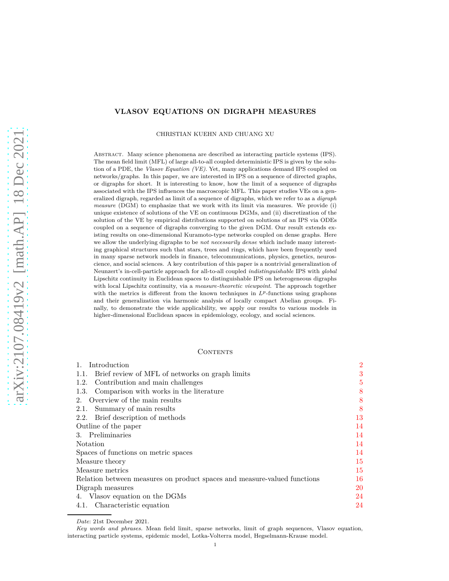## **VLASOV EQUATIONS ON DIGRAPH MEASURES**

CHRISTIAN KUEHN AND CHUANG XU

Abstract. Many science phenomena are described as interacting particle systems (IPS). The mean field limit (MFL) of large all-to-all coupled deterministic IPS is given by the solution of a PDE, the *Vlasov Equation (VE)*. Yet, many applications demand IPS coupled on networks/graphs. In this paper, we are interested in IPS on a sequence of directed graphs, or digraphs for short. It is interesting to know, how the limit of a sequence of digraphs associated with the IPS influences the macroscopic MFL. This paper studies VEs on a generalized digraph, regarded as limit of a sequence of digraphs, which we refer to as a *digraph measure* (DGM) to emphasize that we work with its limit via measures. We provide (i) unique existence of solutions of the VE on continuous DGMs, and (ii) discretization of the solution of the VE by empirical distributions supported on solutions of an IPS via ODEs coupled on a sequence of digraphs converging to the given DGM. Our result extends existing results on one-dimensional Kuramoto-type networks coupled on dense graphs. Here we allow the underlying digraphs to be *not necessarily dense* which include many interesting graphical structures such that stars, trees and rings, which have been frequently used in many sparse network models in finance, telecommunications, physics, genetics, neuroscience, and social sciences. A key contribution of this paper is a nontrivial generalization of Neunzert's in-cell-particle approach for all-to-all coupled *indistinguishable* IPS with *global* Lipschitz continuity in Euclidean spaces to distinguishable IPS on heterogeneous digraphs with local Lipschitz continuity, via a *measure-theoretic viewpoint*. The approach together with the metrics is different from the known techniques in  $L^p$ -functions using graphons and their generalization via harmonic analysis of locally compact Abelian groups. Finally, to demonstrate the wide applicability, we apply our results to various models in higher-dimensional Euclidean spaces in epidemiology, ecology, and social sciences.

## **CONTENTS**

| Introduction                                                             | $\overline{2}$ |
|--------------------------------------------------------------------------|----------------|
| 1.1. Brief review of MFL of networks on graph limits                     | 3              |
| 1.2. Contribution and main challenges                                    | 5              |
| 1.3. Comparison with works in the literature                             | 8              |
| 2. Overview of the main results                                          | 8              |
| 2.1. Summary of main results                                             | 8              |
| 2.2. Brief description of methods                                        | 13             |
| Outline of the paper                                                     | 14             |
| 3. Preliminaries                                                         | 14             |
| Notation                                                                 | 14             |
| Spaces of functions on metric spaces                                     | 14             |
| Measure theory                                                           | 15             |
| Measure metrics                                                          | 15             |
| Relation between measures on product spaces and measure-valued functions | 16             |
| Digraph measures                                                         | 20             |
| 4. Vlasov equation on the DGMs                                           | 24             |
| 4.1. Characteristic equation                                             | 24             |

*Date*: 21st December 2021.

*Key words and phrases.* Mean field limit, sparse networks, limit of graph sequences, Vlasov equation, interacting particle systems, epidemic model, Lotka-Volterra model, Hegselmann-Krause model.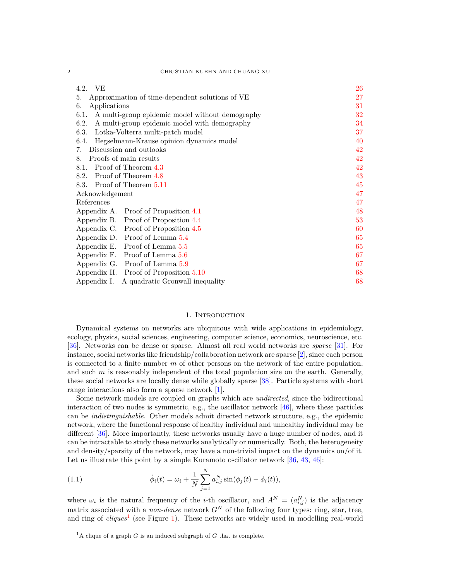| 4.2. VE                                                 | 26 |
|---------------------------------------------------------|----|
| Approximation of time-dependent solutions of VE<br>5.   | 27 |
| Applications<br>6.                                      | 31 |
| 6.1.<br>A multi-group epidemic model without demography | 32 |
| 6.2.<br>A multi-group epidemic model with demography    | 34 |
| 6.3.<br>Lotka-Volterra multi-patch model                | 37 |
| Hegselmann-Krause opinion dynamics model<br>6.4.        | 40 |
| Discussion and outlooks<br>7.                           | 42 |
| Proofs of main results<br>8.                            | 42 |
| Proof of Theorem 4.3<br>8.1.                            | 42 |
| Proof of Theorem 4.8<br>8.2.                            | 43 |
| Proof of Theorem 5.11<br>8.3.                           | 45 |
| Acknowledgement                                         | 47 |
| References                                              | 47 |
| Appendix A. Proof of Proposition 4.1                    | 48 |
| Appendix B. Proof of Proposition 4.4                    | 53 |
| Appendix C. Proof of Proposition 4.5                    | 60 |
| Appendix D. Proof of Lemma 5.4                          | 65 |
| Proof of Lemma $5.5\,$<br>Appendix E.                   | 65 |
| Proof of Lemma 5.6<br>Appendix F.                       | 67 |
| Appendix G. Proof of Lemma 5.9                          | 67 |
| Appendix H. Proof of Proposition 5.10                   | 68 |
| A quadratic Gronwall inequality<br>Appendix I.          | 68 |

## 1. INTRODUCTION

<span id="page-1-0"></span>Dynamical systems on networks are ubiquitous with wide applications in epidemiology, ecology, physics, social sciences, engineering, computer science, economics, neuroscience, etc. [\[36\]](#page-47-1). Networks can be dense or sparse. Almost all real world networks are *sparse* [\[31\]](#page-47-2). For instance, social networks like friendship/collaboration network are sparse [\[2\]](#page-46-2), since each person is connected to a finite number *m* of other persons on the network of the entire population, and such *m* is reasonably independent of the total population size on the earth. Generally, these social networks are locally dense while globally sparse [\[38\]](#page-47-3). Particle systems with short range interactions also form a sparse network [\[1\]](#page-46-3).

Some network models are coupled on graphs which are *undirected*, since the bidirectional interaction of two nodes is symmetric, e.g., the oscillator network [\[46\]](#page-47-4), where these particles can be *indistinguishable*. Other models admit directed network structure, e.g., the epidemic network, where the functional response of healthy individual and unhealthy individual may be different [\[36\]](#page-47-1). More importantly, these networks usually have a huge number of nodes, and it can be intractable to study these networks analytically or numerically. Both, the heterogeneity and density/sparsity of the network, may have a non-trivial impact on the dynamics on/of it. Let us illustrate this point by a simple Kuramoto oscillator network [\[36,](#page-47-1) [43,](#page-47-5) [46\]](#page-47-4):

<span id="page-1-2"></span>(1.1) 
$$
\dot{\phi}_i(t) = \omega_i + \frac{1}{N} \sum_{j=1}^N a_{i,j}^N \sin(\phi_j(t) - \phi_i(t)),
$$

where  $\omega_i$  is the natural frequency of the *i*-th oscillator, and  $A^N = (a_{i,j}^N)$  is the adjacency matrix associated with a *non-dense* network  $G^N$  of the following four types: ring, star, tree, and ring of *cliques*<sup>[1](#page-1-1)</sup> (see Figure [1\)](#page-3-0). These networks are widely used in modelling real-world

<span id="page-1-1"></span><sup>&</sup>lt;sup>1</sup>A clique of a graph  $G$  is an induced subgraph of  $G$  that is complete.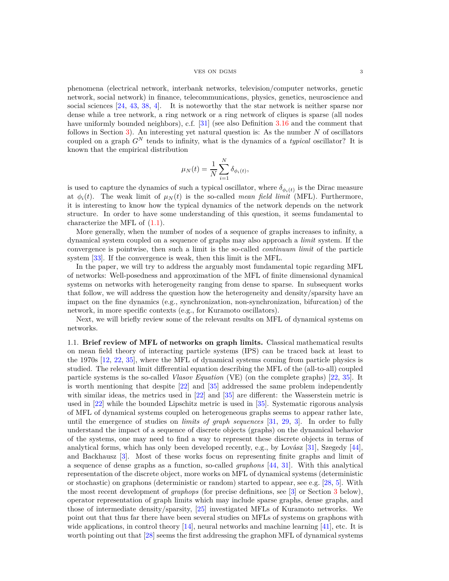### VES ON DGMS 3

phenomena (electrical network, interbank networks, television/computer networks, genetic network, social network) in finance, telecommunications, physics, genetics, neuroscience and social sciences [\[24,](#page-46-4) [43,](#page-47-5) [38,](#page-47-3) [4\]](#page-46-5). It is noteworthy that the star network is neither sparse nor dense while a tree network, a ring network or a ring network of cliques is sparse (all nodes have uniformly bounded neighbors), c.f. [\[31\]](#page-47-2) (see also Definition [3.16](#page-20-0) and the comment that follows in Section [3\)](#page-13-1). An interesting yet natural question is: As the number *N* of oscillators coupled on a graph *G<sup>N</sup>* tends to infinity, what is the dynamics of a *typical* oscillator? It is known that the empirical distribution

$$
\mu_N(t) = \frac{1}{N} \sum_{i=1}^N \delta_{\phi_i(t)},
$$

is used to capture the dynamics of such a typical oscillator, where  $\delta_{\phi_i(t)}$  is the Dirac measure at  $\phi_i(t)$ . The weak limit of  $\mu_N(t)$  is the so-called *mean field limit* (MFL). Furthermore, it is interesting to know how the typical dynamics of the network depends on the network structure. In order to have some understanding of this question, it seems fundamental to characterize the MFL of  $(1.1)$ .

More generally, when the number of nodes of a sequence of graphs increases to infinity, a dynamical system coupled on a sequence of graphs may also approach a *limit* system. If the convergence is pointwise, then such a limit is the so-called *continuum limit* of the particle system [\[33\]](#page-47-6). If the convergence is weak, then this limit is the MFL.

In the paper, we will try to address the arguably most fundamental topic regarding MFL of networks: Well-posedness and approximation of the MFL of finite dimensional dynamical systems on networks with heterogeneity ranging from dense to sparse. In subsequent works that follow, we will address the question how the heterogeneity and density/sparsity have an impact on the fine dynamics (e.g., synchronization, non-synchronization, bifurcation) of the network, in more specific contexts (e.g., for Kuramoto oscillators).

Next, we will briefly review some of the relevant results on MFL of dynamical systems on networks.

<span id="page-2-0"></span>1.1. **Brief review of MFL of networks on graph limits.** Classical mathematical results on mean field theory of interacting particle systems (IPS) can be traced back at least to the 1970s [\[12,](#page-46-6) [22,](#page-46-7) [35\]](#page-47-7), where the MFL of dynamical systems coming from particle physics is studied. The relevant limit differential equation describing the MFL of the (all-to-all) coupled particle systems is the so-called *Vlasov Equation* (VE) (on the complete graphs) [\[22,](#page-46-7) [35\]](#page-47-7). It is worth mentioning that despite [\[22\]](#page-46-7) and [\[35\]](#page-47-7) addressed the same problem independently with similar ideas, the metrics used in [\[22\]](#page-46-7) and [\[35\]](#page-47-7) are different: the Wasserstein metric is used in [\[22\]](#page-46-7) while the bounded Lipschitz metric is used in [\[35\]](#page-47-7). Systematic rigorous analysis of MFL of dynamical systems coupled on heterogeneous graphs seems to appear rather late, until the emergence of studies on *limits of graph sequences* [\[31,](#page-47-2) [29,](#page-47-8) [3\]](#page-46-8). In order to fully understand the impact of a sequence of discrete objects (graphs) on the dynamical behavior of the systems, one may need to find a way to represent these discrete objects in terms of analytical forms, which has only been developed recently, e.g., by Lovász  $[31]$ , Szegedy  $[44]$ , and Backhausz [\[3\]](#page-46-8). Most of these works focus on representing finite graphs and limit of a sequence of dense graphs as a function, so-called *graphons* [\[44,](#page-47-9) [31\]](#page-47-2). With this analytical representation of the discrete object, more works on MFL of dynamical systems (deterministic or stochastic) on graphons (deterministic or random) started to appear, see e.g. [\[28,](#page-47-10) [5\]](#page-46-9). With the most recent development of *graphops* (for precise definitions, see [\[3\]](#page-46-8) or Section [3](#page-13-1) below), operator representation of graph limits which may include sparse graphs, dense graphs, and those of intermediate density/sparsity, [\[25\]](#page-47-11) investigated MFLs of Kuramoto networks. We point out that thus far there have been several studies on MFLs of systems on graphons with wide applications, in control theory [\[14\]](#page-46-10), neural networks and machine learning [\[41\]](#page-47-12), etc. It is worth pointing out that [\[28\]](#page-47-10) seems the first addressing the graphon MFL of dynamical systems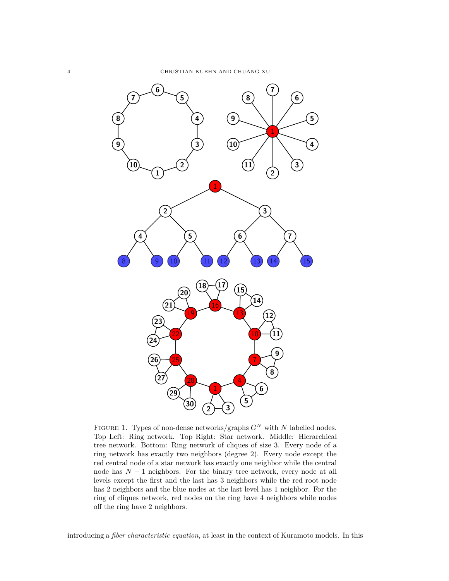<span id="page-3-0"></span>

FIGURE 1. Types of non-dense networks/graphs  $G^N$  with  $N$  labelled nodes. Top Left: Ring network. Top Right: Star network. Middle: Hierarchical tree network. Bottom: Ring network of cliques of size 3. Every node of a ring network has exactly two neighbors (degree 2). Every node except the red central node of a star network has exactly one neighbor while the central node has *N* − 1 neighbors. For the binary tree network, every node at all levels except the first and the last has 3 neighbors while the red root node has 2 neighbors and the blue nodes at the last level has 1 neighbor. For the ring of cliques network, red nodes on the ring have 4 neighbors while nodes off the ring have 2 neighbors.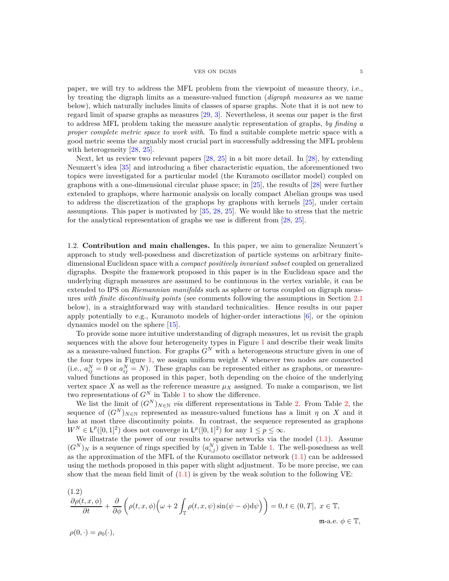### $V$  VES ON DGMS  $$\rm 5$

paper, we will try to address the MFL problem from the viewpoint of measure theory, i.e., by treating the digraph limits as a measure-valued function (*digraph measures* as we name below), which naturally includes limits of classes of sparse graphs. Note that it is not new to regard limit of sparse graphs as measures [\[29,](#page-47-8) [3\]](#page-46-8). Nevertheless, it seems our paper is the first to address MFL problem taking the measure analytic representation of graphs, *by finding a proper complete metric space to work with*. To find a suitable complete metric space with a good metric seems the arguably most crucial part in successfully addressing the MFL problem with heterogeneity [\[28,](#page-47-10) [25\]](#page-47-11).

Next, let us review two relevant papers [\[28,](#page-47-10) [25\]](#page-47-11) in a bit more detail. In [\[28\]](#page-47-10), by extending Neunzert's idea [\[35\]](#page-47-7) and introducing a fiber characteristic equation, the aforementioned two topics were investigated for a particular model (the Kuramoto oscillator model) coupled on graphons with a one-dimensional circular phase space; in [\[25\]](#page-47-11), the results of [\[28\]](#page-47-10) were further extended to graphops, where harmonic analysis on locally compact Abelian groups was used to address the discretization of the graphops by graphons with kernels [\[25\]](#page-47-11), under certain assumptions. This paper is motivated by [\[35,](#page-47-7) [28,](#page-47-10) [25\]](#page-47-11). We would like to stress that the metric for the analytical representation of graphs we use is different from [\[28,](#page-47-10) [25\]](#page-47-11).

<span id="page-4-0"></span>1.2. **Contribution and main challenges.** In this paper, we aim to generalize Neunzert's approach to study well-posedness and discretization of particle systems on arbitrary finitedimensional Euclidean space with a *compact positively invariant subset* coupled on generalized digraphs. Despite the framework proposed in this paper is in the Euclidean space and the underlying digraph measures are assumed to be continuous in the vertex variable, it can be extended to IPS on *Riemannian manifolds* such as sphere or torus coupled on digraph measures *with finite discontinuity points* (see comments following the assumptions in Section [2.1](#page-7-3) below), in a straightforward way with standard technicalities. Hence results in our paper apply potentially to e.g., Kuramoto models of higher-order interactions  $[6]$ , or the opinion dynamics model on the sphere [\[15\]](#page-46-12).

To provide some more intuitive understanding of digraph measures, let us revisit the graph sequences with the above four heterogeneity types in Figure [1](#page-3-0) and describe their weak limits as a measure-valued function. For graphs  $G^N$  with a heterogeneous structure given in one of the four types in Figure [1,](#page-3-0) we assign uniform weight *N* whenever two nodes are connected (i.e.,  $a_{ij}^N = 0$  or  $a_{ij}^N = N$ ). These graphs can be represented either as graphons, or measurevalued functions as proposed in this paper, both depending on the choice of the underlying vertex space *X* as well as the reference measure  $\mu_X$  assigned. To make a comparison, we list two representations of *G<sup>N</sup>* in Table [1](#page-5-0) to show the difference.

We list the limit of  $(G^N)_{N\in\mathbb{N}}$  *via* different representations in Table [2.](#page-5-1) From Table [2,](#page-5-1) the sequence of  $(G^N)_{N\in\mathbb{N}}$  represented as measure-valued functions has a limit *η* on *X* and it has at most three discontinuity points. In contrast, the sequence represented as graphons  $W^N \in \mathsf{L}^p([0,1]^2)$  does not converge in  $\mathsf{L}^p([0,1]^2)$  for any  $1 \leq p \leq \infty$ .

We illustrate the power of our results to sparse networks via the model  $(1.1)$ . Assume  $(G^N)_N$  is a sequence of rings specified by  $(a_{i,j}^N)$  given in Table [1.](#page-5-0) The well-posedness as well as the approximation of the MFL of the Kuramoto oscillator network  $(1.1)$  can be addressed using the methods proposed in this paper with slight adjustment. To be more precise, we can show that the mean field limit of  $(1.1)$  is given by the weak solution to the following VE:

<span id="page-4-1"></span>
$$
\frac{\partial \rho(t, x, \phi)}{\partial t} + \frac{\partial}{\partial \phi} \left( \rho(t, x, \phi) \left( \omega + 2 \int_{\mathbb{T}} \rho(t, x, \psi) \sin(\psi - \phi) d\psi \right) \right) = 0, t \in (0, T], \ x \in \mathbb{T},
$$
  
ma.e.  $\phi \in \mathbb{T},$ 

 $\rho(0, \cdot) = \rho_0(\cdot),$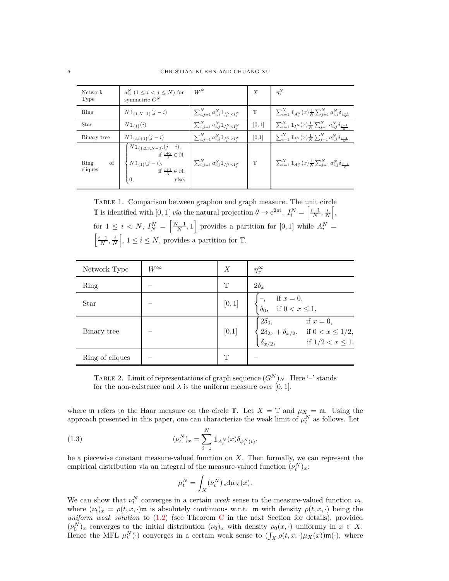<span id="page-5-0"></span>

| Network<br>Type       | $a_{ii}^N$ $(1 \leq i < j \leq N)$ for<br>symmetric $G^N$                                                                                                                                                                                                                                   | $W^N$                                                              | $\boldsymbol{X}$ | $\eta_x^N$                                                                                           |
|-----------------------|---------------------------------------------------------------------------------------------------------------------------------------------------------------------------------------------------------------------------------------------------------------------------------------------|--------------------------------------------------------------------|------------------|------------------------------------------------------------------------------------------------------|
| Ring                  | $N1_{\{1,N-1\}}(j-i)$                                                                                                                                                                                                                                                                       | $\sum_{i,j=1}^{N} a_{i,j}^{N} 1\!\!1_{I_i^N \times I_i^N}$         | T                | $\sum_{i=1}^{N} 1\!\!1_{A_i^N}(x) \frac{1}{N} \sum_{j=1}^{N} a_{i,j}^N \delta_{\frac{j-1}{N}}$       |
| Star                  | $N1_{\{1\}}(i)$                                                                                                                                                                                                                                                                             | $\sum_{i,j=1}^{N} a_{i,j}^{N} 1\!\!1_{I_{i}^{N} \times I_{i}^{N}}$ | [0,1]            | $\sum_{i=1}^N \mathbb{1}_{I_i^N}(x) \frac{1}{N} \sum_{j=1}^N a_{i,j}^N \delta_{\frac{j-1}{N}}$       |
| Binary tree           | $N1_{\{i,i+1\}}(j-i)$                                                                                                                                                                                                                                                                       | $\sum_{i,j=1}^N a_{i,j}^N 1\!\!1_{I^N \times I^N}$                 | [0,1]            | $\sum_{i=1}^{N} 1 \mathbb{1}_{I_i^N}(x) \frac{1}{N} \sum_{j=1}^{N} a_{i,j}^N \delta_{\frac{j-1}{N}}$ |
| of<br>Ring<br>cliques | $\left\{ \begin{aligned} &N\mathbbm{1}_{\{1,2,3,N-3\}}(j-i),\\ &\text{if } \frac{i+2}{3}\in\mathbb{N},\\ &N\mathbbm{1}_{\{1\}}(j-i),\\ &\text{if } \frac{i+1}{3}\in\mathbb{N}, \end{aligned} \quad \right\} \quad \sum_{i,j=1}^N a_{i,j}^N\mathbbm{1}_{I_i^N\times I_j^N}$<br>else.<br>I 0. |                                                                    | $\mathbb T$      | $\sum_{i=1}^{N} 1 \mathbb{1}_{A_i^N}(x) \frac{1}{N} \sum_{j=1}^{N} a_{i,j}^N \delta_{j-1}$           |

Table 1. Comparison between graphon and graph measure. The unit circle T is identified with [0, 1] *via* the natural projection  $\theta \to e^{2\pi i}$ .  $I_i^N = \left[\frac{i-1}{N}, \frac{i}{N}\right]$  $\lceil, \rceil$ for  $1 \leq i \leq N$ ,  $I_N^N = \left[\frac{N-1}{N}, 1\right]$  provides a partition for  $[0, 1]$  while  $A_i^N =$  $\left[\frac{i-1}{N}, \frac{i}{N}\right]$  $\left[, 1 \leq i \leq N, \text{ provides a partition for } \mathbb{T}. \right]$ 

<span id="page-5-1"></span>

| Network Type    | $W^\infty$ | X           | $\eta_x^{\infty}$                                                                                                                                                     |
|-----------------|------------|-------------|-----------------------------------------------------------------------------------------------------------------------------------------------------------------------|
| Ring            |            | Ͳ           | $2\delta_x$                                                                                                                                                           |
| Star            |            | [0, 1]      | if $x = 0$ ,<br>if $0 < x \le 1$ ,<br>$\delta_0,$                                                                                                                     |
| Binary tree     |            | [0,1]       | $\begin{cases} 2\delta_0, & \text{if } x = 0, \\ 2\delta_{2x} + \delta_{x/2}, & \text{if } 0 < x \leq 1/2, \\ \delta_{x/2}, & \text{if } 1/2 < x \leq 1. \end{cases}$ |
| Ring of cliques |            | $\mathbb T$ |                                                                                                                                                                       |

TABLE 2. Limit of representations of graph sequence  $(G^N)_N$ . Here '–' stands for the non-existence and  $\lambda$  is the uniform measure over [0, 1].

where  $\mathfrak m$  refers to the Haar measure on the circle  $\mathbb T$ . Let  $X = \mathbb T$  and  $\mu_X = \mathfrak m$ . Using the approach presented in this paper, one can characterize the weak limit of  $\mu_t^N$  as follows. Let

(1.3) 
$$
(\nu_t^N)_x = \sum_{i=1}^N 1\!\!1_{A_i^N}(x) \delta_{\phi_i^N(t)}.
$$

be a piecewise constant measure-valued function on *X*. Then formally, we can represent the empirical distribution via an integral of the measure-valued function  $(\nu_t^N)_x$ :

$$
\mu_t^N = \int_X (\nu_t^N)_x \mathrm{d} \mu_X(x).
$$

We can show that  $\nu_t^N$  converges in a certain *weak* sense to the measure-valued function  $\nu_t$ , where  $(\nu_t)_x = \rho(t, x, \cdot)$ m is absolutely continuous w.r.t. m with density  $\rho(t, x, \cdot)$  being the *uniform weak solution* to [\(1.2\)](#page-4-1) (see Theorem [C](#page-12-1) in the next Section for details), provided  $(\nu_0^N)_x$  converges to the initial distribution  $(\nu_0)_x$  with density  $\rho_0(x, \cdot)$  uniformly in  $x \in X$ . Hence the MFL  $\mu_t^N(\cdot)$  converges in a certain weak sense to  $(\int_X \rho(t,x,\cdot)\mu_X(x)\mathfrak{m}(\cdot)$ , where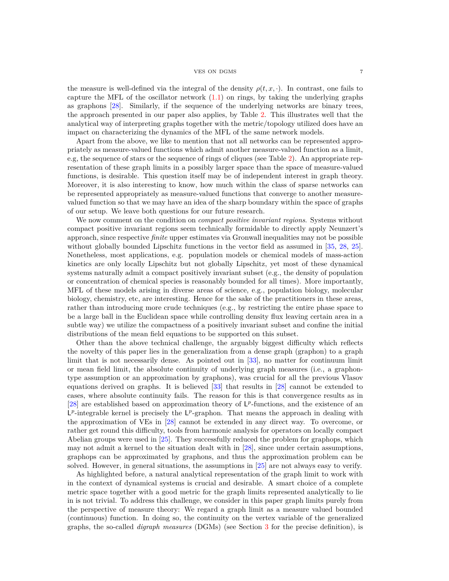### VES ON DGMS 7

the measure is well-defined via the integral of the density  $\rho(t, x, \cdot)$ . In contrast, one fails to capture the MFL of the oscillator network  $(1.1)$  on rings, by taking the underlying graphs as graphons [\[28\]](#page-47-10). Similarly, if the sequence of the underlying networks are binary trees, the approach presented in our paper also applies, by Table [2.](#page-5-1) This illustrates well that the analytical way of interpreting graphs together with the metric/topology utilized does have an impact on characterizing the dynamics of the MFL of the same network models.

Apart from the above, we like to mention that not all networks can be represented appropriately as measure-valued functions which admit another measure-valued function as a limit, e.g, the sequence of stars or the sequence of rings of cliques (see Table [2\)](#page-5-1). An appropriate representation of these graph limits in a possibly larger space than the space of measure-valued functions, is desirable. This question itself may be of independent interest in graph theory. Moreover, it is also interesting to know, how much within the class of sparse networks can be represented appropriately as measure-valued functions that converge to another measurevalued function so that we may have an idea of the sharp boundary within the space of graphs of our setup. We leave both questions for our future research.

We now comment on the condition on *compact positive invariant regions*. Systems without compact positive invariant regions seem technically formidable to directly apply Neunzert's approach, since respective *finite* upper estimates via Gronwall inequalities may not be possible without globally bounded Lipschitz functions in the vector field as assumed in [\[35,](#page-47-7) [28,](#page-47-10) [25\]](#page-47-11). Nonetheless, most applications, e.g. population models or chemical models of mass-action kinetics are only locally Lipschitz but not globally Lipschitz, yet most of these dynamical systems naturally admit a compact positively invariant subset (e.g., the density of population or concentration of chemical species is reasonably bounded for all times). More importantly, MFL of these models arising in diverse areas of science, e.g., population biology, molecular biology, chemistry, etc, are interesting. Hence for the sake of the practitioners in these areas, rather than introducing more crude techniques (e.g., by restricting the entire phase space to be a large ball in the Euclidean space while controlling density flux leaving certain area in a subtle way) we utilize the compactness of a positively invariant subset and confine the initial distributions of the mean field equations to be supported on this subset.

Other than the above technical challenge, the arguably biggest difficulty which reflects the novelty of this paper lies in the generalization from a dense graph (graphon) to a graph limit that is not necessarily dense. As pointed out in [\[33\]](#page-47-6), no matter for continuum limit or mean field limit, the absolute continuity of underlying graph measures (i.e., a graphontype assumption or an approximation by graphons), was crucial for all the previous Vlasov equations derived on graphs. It is believed [\[33\]](#page-47-6) that results in [\[28\]](#page-47-10) cannot be extended to cases, where absolute continuity fails. The reason for this is that convergence results as in [\[28\]](#page-47-10) are established based on approximation theory of  $L^p$ -functions, and the existence of an  $L^p$ -integrable kernel is precisely the  $L^p$ -graphon. That means the approach in dealing with the approximation of VEs in [\[28\]](#page-47-10) cannot be extended in any direct way. To overcome, or rather get round this difficulty, tools from harmonic analysis for operators on locally compact Abelian groups were used in [\[25\]](#page-47-11). They successfully reduced the problem for graphops, which may not admit a kernel to the situation dealt with in [\[28\]](#page-47-10), since under certain assumptions, graphops can be approximated by graphons, and thus the approximation problem can be solved. However, in general situations, the assumptions in [\[25\]](#page-47-11) are not always easy to verify.

As highlighted before, a natural analytical representation of the graph limit to work with in the context of dynamical systems is crucial and desirable. A smart choice of a complete metric space together with a good metric for the graph limits represented analytically to lie in is not trivial. To address this challenge, we consider in this paper graph limits purely from the perspective of measure theory: We regard a graph limit as a measure valued bounded (continuous) function. In doing so, the continuity on the vertex variable of the generalized graphs, the so-called *digraph measures* (DGMs) (see Section [3](#page-13-1) for the precise definition), is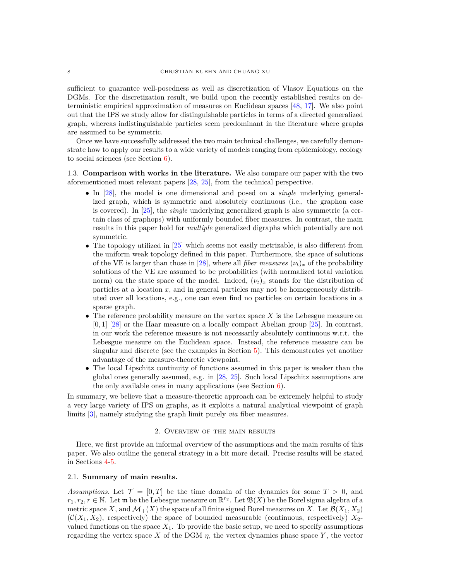sufficient to guarantee well-posedness as well as discretization of Vlasov Equations on the DGMs. For the discretization result, we build upon the recently established results on deterministic empirical approximation of measures on Euclidean spaces [\[48,](#page-47-13) [17\]](#page-46-13). We also point out that the IPS we study allow for distinguishable particles in terms of a directed generalized graph, whereas indistinguishable particles seem predominant in the literature where graphs are assumed to be symmetric.

Once we have successfully addressed the two main technical challenges, we carefully demonstrate how to apply our results to a wide variety of models ranging from epidemiology, ecology to social sciences (see Section [6\)](#page-30-0).

<span id="page-7-0"></span>1.3. **Comparison with works in the literature.** We also compare our paper with the two aforementioned most relevant papers [\[28,](#page-47-10) [25\]](#page-47-11), from the technical perspective.

- In [\[28\]](#page-47-10), the model is one dimensional and posed on a *single* underlying generalized graph, which is symmetric and absolutely continuous (i.e., the graphon case is covered). In [\[25\]](#page-47-11), the *single* underlying generalized graph is also symmetric (a certain class of graphops) with uniformly bounded fiber measures. In contrast, the main results in this paper hold for *multiple* generalized digraphs which potentially are not symmetric.
- The topology utilized in [\[25\]](#page-47-11) which seems not easily metrizable, is also different from the uniform weak topology defined in this paper. Furthermore, the space of solutions of the VE is larger than those in [\[28\]](#page-47-10), where all *fiber measures*  $(\nu_t)_x$  of the probability solutions of the VE are assumed to be probabilities (with normalized total variation norm) on the state space of the model. Indeed,  $(\nu_t)_x$  stands for the distribution of particles at a location *x*, and in general particles may not be homogeneously distributed over all locations, e.g., one can even find no particles on certain locations in a sparse graph.
- The reference probability measure on the vertex space *X* is the Lebesgue measure on [0*,* 1] [\[28\]](#page-47-10) or the Haar measure on a locally compact Abelian group [\[25\]](#page-47-11). In contrast, in our work the reference measure is not necessarily absolutely continuous w.r.t. the Lebesgue measure on the Euclidean space. Instead, the reference measure can be singular and discrete (see the examples in Section [5\)](#page-26-0). This demonstrates yet another advantage of the measure-theoretic viewpoint.
- The local Lipschitz continuity of functions assumed in this paper is weaker than the global ones generally assumed, e.g. in [\[28,](#page-47-10) [25\]](#page-47-11). Such local Lipschitz assumptions are the only available ones in many applications (see Section [6\)](#page-30-0).

In summary, we believe that a measure-theoretic approach can be extremely helpful to study a very large variety of IPS on graphs, as it exploits a natural analytical viewpoint of graph limits [\[3\]](#page-46-8), namely studying the graph limit purely *via* fiber measures.

## 2. Overview of the main results

<span id="page-7-1"></span>Here, we first provide an informal overview of the assumptions and the main results of this paper. We also outline the general strategy in a bit more detail. Precise results will be stated in Sections [4](#page-23-0)[-5.](#page-26-0)

## <span id="page-7-2"></span>2.1. **Summary of main results.**

<span id="page-7-3"></span>*Assumptions.* Let  $\mathcal{T} = [0, T]$  be the time domain of the dynamics for some  $T > 0$ , and  $r_1, r_2, r \in \mathbb{N}$ . Let **m** be the Lebesgue measure on  $\mathbb{R}^{r_2}$ . Let  $\mathfrak{B}(X)$  be the Borel sigma algebra of a metric space X, and  $\mathcal{M}_+(X)$  the space of all finite signed Borel measures on X. Let  $\mathcal{B}(X_1, X_2)$  $(C(X_1, X_2)$ , respectively) the space of bounded measurable (continuous, respectively)  $X_2$ valued functions on the space  $X_1$ . To provide the basic setup, we need to specify assumptions regarding the vertex space *X* of the DGM  $\eta$ , the vertex dynamics phase space *Y*, the vector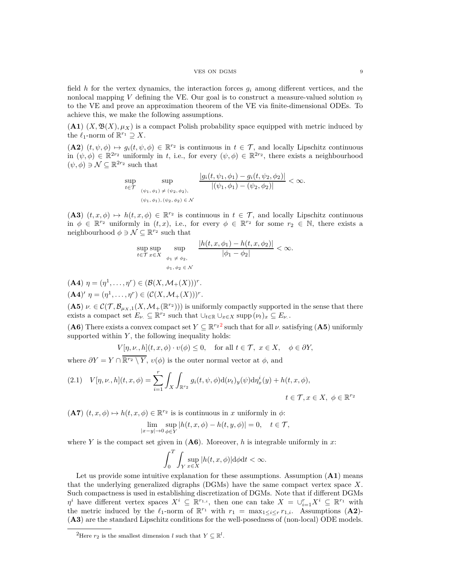### VES ON DGMS 9

field *h* for the vertex dynamics, the interaction forces *g<sup>i</sup>* among different vertices, and the nonlocal mapping *V* defining the VE. Our goal is to construct a measure-valued solution  $\nu_t$ to the VE and prove an approximation theorem of the VE via finite-dimensional ODEs. To achieve this, we make the following assumptions.

 $(A1)$   $(X, \mathfrak{B}(X), \mu_X)$  is a compact Polish probability space equipped with metric induced by the  $\ell_1$ -norm of  $\mathbb{R}^{r_1} \supseteq X$ .

 $(A2)$   $(t, \psi, \phi) \mapsto g_i(t, \psi, \phi) \in \mathbb{R}^{r_2}$  is continuous in  $t \in \mathcal{T}$ , and locally Lipschitz continuous in  $(\psi, \phi) \in \mathbb{R}^{2r_2}$  uniformly in *t*, i.e., for every  $(\psi, \phi) \in \mathbb{R}^{2r_2}$ , there exists a neighbourhood  $(\psi, \phi) \ni \mathcal{N} \subseteq \mathbb{R}^{2r_2}$  such that

$$
\sup_{t\in\mathcal{T}}\sup_{\substack{(\psi_1,\phi_1)\,\neq\,(\psi_2,\phi_2),\\(\psi_1,\phi_1),\,(\psi_2,\phi_2)\,\in\,\mathcal{N}}}\frac{|g_i(t,\psi_1,\phi_1)-g_i(t,\psi_2,\phi_2)|}{|(\psi_1,\phi_1)-(\psi_2,\phi_2)|}<\infty.
$$

(**A3**)  $(t, x, \phi) \mapsto h(t, x, \phi) \in \mathbb{R}^{r_2}$  is continuous in  $t \in \mathcal{T}$ , and locally Lipschitz continuous in  $\phi \in \mathbb{R}^{r_2}$  uniformly in  $(t, x)$ , i.e., for every  $\phi \in \mathbb{R}^{r_2}$  for some  $r_2 \in \mathbb{N}$ , there exists a neighbourhood  $\phi \ni \mathcal{N} \subseteq \mathbb{R}^{r_2}$  such that

$$
\sup_{t \in \mathcal{T}} \sup_{x \in X} \sup_{\phi_1, \phi_2 \in \mathcal{N}} \frac{|h(t, x, \phi_1) - h(t, x, \phi_2)|}{|\phi_1 - \phi_2|} < \infty.
$$

 $(A4)$   $\eta = (\eta^1, \dots, \eta^r) \in (\mathcal{B}(X, \mathcal{M}_+(X)))^r.$  $({\bf A4})'$   $\eta = (\eta^1, \dots, \eta^r) \in (\mathcal{C}(X, \mathcal{M}_+(X)))^r.$ 

(A5)  $\nu \in \mathcal{C}(\mathcal{T}, \mathcal{B}_{\mu_X,1}(X, \mathcal{M}_+(\mathbb{R}^{r_2})))$  is uniformly compactly supported in the sense that there exists a compact set  $E_{\nu} \subseteq \mathbb{R}^{r_2}$  such that  $\cup_{t \in \mathbb{R}} \cup_{x \in X} \text{supp} (\nu_t)_x \subseteq E_{\nu}$ .

(**A6**) There exists a convex compact set  $Y \subseteq \mathbb{R}^{r_2 2}$  $Y \subseteq \mathbb{R}^{r_2 2}$  $Y \subseteq \mathbb{R}^{r_2 2}$  such that for all  $\nu$  satisfying (**A5**) uniformly supported within  $Y$ , the following inequality holds:

$$
V[\eta, \nu., h](t, x, \phi) \cdot \upsilon(\phi) \le 0, \quad \text{for all } t \in \mathcal{T}, \ x \in X, \quad \phi \in \partial Y,
$$

where  $\partial Y = Y \cap \overline{\mathbb{R}^{r_2} \setminus Y}$ ,  $v(\phi)$  is the outer normal vector at  $\phi$ , and

<span id="page-8-1"></span>
$$
(2.1) \quad V[\eta, \nu, h](t, x, \phi) = \sum_{i=1}^r \int_X \int_{\mathbb{R}^{r_2}} g_i(t, \psi, \phi) d(\nu_t)_y(\psi) d\eta_x^i(y) + h(t, x, \phi),
$$

$$
t \in \mathcal{T}, x \in X, \ \phi \in \mathbb{R}^{r_2}
$$

 $(A7)$   $(t, x, \phi) \mapsto h(t, x, \phi) \in \mathbb{R}^{r_2}$  is is continuous in *x* uniformly in  $\phi$ :

$$
\lim_{|x-y|\to 0}\sup_{\phi\in Y}|h(t,x,\phi)-h(t,y,\phi)|=0,\quad t\in\mathcal{T},
$$

where *Y* is the compact set given in  $($ **A6** $)$ . Moreover, *h* is integrable uniformly in *x*:

$$
\int_0^T \int_Y \sup_{x \in X} |h(t, x, \phi)| d\phi dt < \infty.
$$

Let us provide some intuitive explanation for these assumptions. Assumption (**A1**) means that the underlying generalized digraphs (DGMs) have the same compact vertex space *X*. Such compactness is used in establishing discretization of DGMs. Note that if different DGMs  $\eta^i$  have different vertex spaces  $X^i \subseteq \mathbb{R}^{r_{1,i}}$ , then one can take  $X = \cup_{i=1}^r X^i \subseteq \mathbb{R}^{r_1}$  with the metric induced by the  $\ell_1$ -norm of  $\mathbb{R}^{r_1}$  with  $r_1 = \max_{1 \leq i \leq r} r_{1,i}$ . Assumptions (A2)-(**A3**) are the standard Lipschitz conditions for the well-posedness of (non-local) ODE models.

<span id="page-8-0"></span><sup>&</sup>lt;sup>2</sup>Here  $r_2$  is the smallest dimension *l* such that  $Y \subseteq \mathbb{R}^l$ .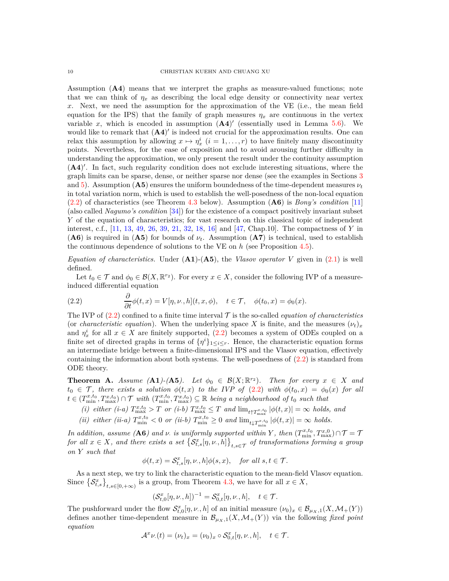Assumption (**A4**) means that we interpret the graphs as measure-valued functions; note that we can think of  $\eta_x$  as describing the local edge density or connectivity near vertex *x*. Next, we need the assumption for the approximation of the VE (i.e., the mean field equation for the IPS) that the family of graph measures  $\eta_x$  are continuous in the vertex variable x, which is encoded in assumption  $(A4)'$  (essentially used in Lemma [5.6\)](#page-27-2). We would like to remark that  $(A4)'$  is indeed not crucial for the approximation results. One can relax this assumption by allowing  $x \mapsto \eta_x^i$   $(i = 1, \ldots, r)$  to have finitely many discontinuity points. Nevertheless, for the ease of exposition and to avoid arousing further difficulty in understanding the approximation, we only present the result under the continuity assumption (**A4**) ′ . In fact, such regularity condition does not exclude interesting situations, where the graph limits can be sparse, dense, or neither sparse nor dense (see the examples in Sections [3](#page-13-1) and [5\)](#page-26-0). Assumption ( $\mathbf{A5}$ ) ensures the uniform boundedness of the time-dependent measures  $\nu_t$ in total variation norm, which is used to establish the well-posedness of the non-local equation [\(2.2\)](#page-9-0) of characteristics (see Theorem [4.3](#page-24-0) below). Assumption (**A6**) is *Bony's condition* [\[11\]](#page-46-14) (also called *Nagumo's condition* [\[34\]](#page-47-14)) for the existence of a compact positively invariant subset *Y* of the equation of characteristics; for vast research on this classical topic of independent interest, c.f., [\[11,](#page-46-14) [13,](#page-46-15) [49,](#page-47-15) [26,](#page-47-16) [39,](#page-47-17) [21,](#page-46-16) [32,](#page-47-18) [18,](#page-46-17) [16\]](#page-46-18) and [\[47,](#page-47-19) Chap.10]. The compactness of *Y* in  $($ **A6**) is required in  $($ **A5** $)$  for bounds of  $\nu_t$ . Assumption  $($ **A7** $)$  is technical, used to establish the continuous dependence of solutions to the VE on *h* (see Proposition [4.5\)](#page-25-1).

*Equation of characteristics.* Under  $(A1)$ - $(A5)$ , the *Vlasov operator V* given in [\(2.1\)](#page-8-1) is well defined.

Let  $t_0 \in \mathcal{T}$  and  $\phi_0 \in \mathcal{B}(X, \mathbb{R}^{r_2})$ . For every  $x \in X$ , consider the following IVP of a measureinduced differential equation

<span id="page-9-0"></span>(2.2) 
$$
\frac{\partial}{\partial t}\phi(t,x) = V[\eta,\nu,h](t,x,\phi), \quad t \in \mathcal{T}, \quad \phi(t_0,x) = \phi_0(x).
$$

The IVP of  $(2.2)$  confined to a finite time interval  $\mathcal T$  is the so-called *equation of characteristics* (or *characteristic equation*). When the underlying space *X* is finite, and the measures  $(\nu_t)_x$ and  $\eta_x^i$  for all  $x \in X$  are finitely supported, [\(2.2\)](#page-9-0) becomes a system of ODEs coupled on a finite set of directed graphs in terms of  $\{\eta^i\}_{1\leq i\leq r}$ . Hence, the characteristic equation forms an intermediate bridge between a finite-dimensional IPS and the Vlasov equation, effectively containing the information about both systems. The well-posedness of  $(2.2)$  is standard from ODE theory.

**Theorem A.** *Assume* (**A1**)-(**A5**). Let  $\phi_0 \in \mathcal{B}(X; \mathbb{R}^{r_2})$ . Then for every  $x \in X$  and  $t_0 \in \mathcal{T}$ *, there exists a solution*  $\phi(t, x)$  *to the IVP of* [\(2.2\)](#page-9-0) *with*  $\phi(t_0, x) = \phi_0(x)$  *for all*  $t \in (T^{x,t_0}_{min}, T^{x,t_0}_{max}) \cap \mathcal{T}$  *with*  $(T^{x,t_0}_{min}, T^{x,t_0}_{max}) \subseteq \mathbb{R}$  *being a neighbourhood of*  $t_0$  *such that* 

- $(i)$  either  $(i-a)$   $T_{\max}^{x,t_0} > T$  or  $(i-b)$   $T_{\max}^{x,t_0} \leq T$  and  $\lim_{t \uparrow T_{\max}^{x,t_0}} |\phi(t,x)| = \infty$  holds, and
- *(ii) either (ii-a)*  $T_{\min}^{x,t_0} < 0$  *or (ii-b)*  $T_{\min}^{x,t_0} \ge 0$  *and*  $\lim_{t \downarrow T_{\min}^{x,t_0}} |\phi(t,x)| = \infty$  *holds.*

*In addition, assume* (**A6***) and ν*. *is uniformly supported within Y*, then  $(T^{x,t_0}_{min}, T^{x,0}_{max}) \cap T = T$  $for \ all \ x \in X, \ and \ there \ exists \ a \ set \  $\left\{ \mathcal{S}_{t,s}^{x}[\eta,\nu,h] \right\}_{t,s \in \mathcal{T}} \ of \ transformations \ forming \ a \ group$$ *on Y such that*

$$
\phi(t,x) = \mathcal{S}_{t,s}^x[\eta,\nu,h]\phi(s,x), \quad \text{for all } s,t \in \mathcal{T}.
$$

As a next step, we try to link the characteristic equation to the mean-field Vlasov equation. Since  $\{\mathcal{S}_{t,s}^x\}_{t,s\in[0,+\infty)}$  is a group, from Theorem [4.3,](#page-24-0) we have for all  $x \in X$ ,

$$
(\mathcal{S}_{t,0}^x[\eta,\nu,h])^{-1} = \mathcal{S}_{0,t}^x[\eta,\nu,h], \quad t \in \mathcal{T}.
$$

The pushforward under the flow  $\mathcal{S}_{t,0}^x[\eta,\nu,h]$  of an initial measure  $(\nu_0)_x \in \mathcal{B}_{\mu_X,1}(X,\mathcal{M}_+(Y))$ defines another time-dependent measure in  $\mathcal{B}_{\mu_X,1}(X,\mathcal{M}_+(Y))$  via the following *fixed point equation*

$$
\mathcal{A}^x \nu(t) = (\nu_t)_x = (\nu_0)_x \circ \mathcal{S}_{0,t}^x[\eta,\nu_\cdot,h], \quad t \in \mathcal{T}.
$$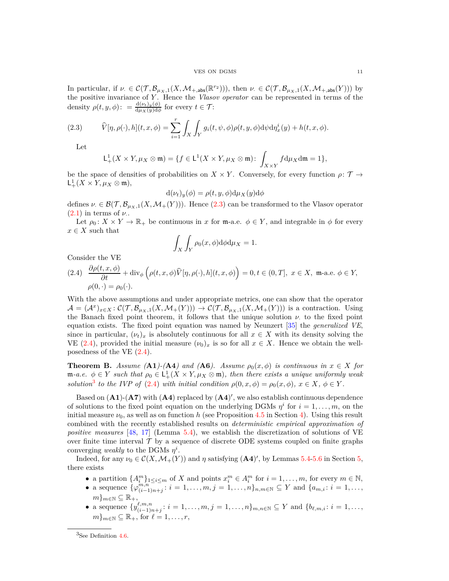#### VES ON DGMS 11

In particular, if  $\nu \in C(\mathcal{T}, \mathcal{B}_{\mu_X,1}(X, \mathcal{M}_{+,\text{abs}}(\mathbb{R}^{r_2}))),$  then  $\nu \in C(\mathcal{T}, \mathcal{B}_{\mu_X,1}(X, \mathcal{M}_{+,\text{abs}}(Y)))$  by the positive invariance of *Y* . Hence the *Vlasov operator* can be represented in terms of the density  $\rho(t, y, \phi)$ : =  $\frac{d(\nu_t)_y(\phi)}{d\mu_X(y)d\phi}$  for every  $t \in \mathcal{T}$ :

(2.3) 
$$
\widehat{V}[\eta, \rho(\cdot), h](t, x, \phi) = \sum_{i=1}^r \int_X \int_Y g_i(t, \psi, \phi) \rho(t, y, \phi) d\psi d\eta_x^i(y) + h(t, x, \phi).
$$

Let

<span id="page-10-0"></span>
$$
\mathsf{L}^1_+(X \times Y, \mu_X \otimes \mathfrak{m}) = \{ f \in \mathsf{L}^1(X \times Y, \mu_X \otimes \mathfrak{m}) \colon \int_{X \times Y} f d\mu_X d\mathfrak{m} = 1 \},
$$

be the space of densities of probabilities on  $X \times Y$ . Conversely, for every function  $\rho: \mathcal{T} \to \mathbb{R}$  $\mathsf{L}^1_+(X \times Y, \mu_X \otimes \mathfrak{m}),$ 

$$
d(\nu_t)_y(\phi) = \rho(t, y, \phi) d\mu_X(y) d\phi
$$

defines  $\nu \in \mathcal{B}(\mathcal{T}, \mathcal{B}_{\mu_X,1}(X, \mathcal{M}_+(Y)))$ . Hence [\(2.3\)](#page-10-0) can be transformed to the Vlasov operator  $(2.1)$  in terms of  $\nu$ .

Let  $\rho_0: X \times Y \to \mathbb{R}_+$  be continuous in *x* for m-a.e.  $\phi \in Y$ , and integrable in  $\phi$  for every  $x \in X$  such that

$$
\int_X \int_Y \rho_0(x,\phi) \mathrm{d}\phi \mathrm{d}\mu_X = 1.
$$

Consider the VE

<span id="page-10-1"></span>(2.4) 
$$
\frac{\partial \rho(t, x, \phi)}{\partial t} + \text{div}_{\phi} \left( \rho(t, x, \phi) \widehat{V}[\eta, \rho(\cdot), h](t, x, \phi) \right) = 0, t \in (0, T], x \in X, \text{ m-a.e. } \phi \in Y,
$$

$$
\rho(0, \cdot) = \rho_0(\cdot).
$$

With the above assumptions and under appropriate metrics, one can show that the operator  $\mathcal{A} = (\mathcal{A}^x)_{x \in X} : \mathcal{C}(\mathcal{T}, \mathcal{B}_{\mu_X,1}(X, \mathcal{M}_+(Y))) \to \mathcal{C}(\mathcal{T}, \mathcal{B}_{\mu_X,1}(X, \mathcal{M}_+(Y)))$  is a contraction. Using the Banach fixed point theorem, it follows that the unique solution  $\nu$  to the fixed point equation exists. The fixed point equation was named by Neunzert [\[35\]](#page-47-7) the *generalized VE*, since in particular,  $(\nu_t)_x$  is absolutely continuous for all  $x \in X$  with its density solving the VE [\(2.4\)](#page-10-1), provided the initial measure  $(\nu_0)_x$  is so for all  $x \in X$ . Hence we obtain the wellposedness of the VE  $(2.4)$ .

**Theorem B.** *Assume* (**A1**)-(**A4**) and (**A6**). Assume  $p_0(x, \phi)$  is continuous in  $x \in X$  for  $m-a.e.$   $\phi \in Y$  such that  $\rho_0 \in L^1_+(X \times Y, \mu_X \otimes \mathfrak{m})$ , then there exists a unique uniformly weak *solution*<sup>[3](#page-10-2)</sup> *to the IVP of* [\(2.4\)](#page-10-1) *with initial condition*  $\rho(0, x, \phi) = \rho_0(x, \phi)$ ,  $x \in X$ ,  $\phi \in Y$ .

Based on  $(A1)$ - $(A7)$  with  $(A4)$  replaced by  $(A4)'$ , we also establish continuous dependence of solutions to the fixed point equation on the underlying DGMs  $\eta^i$  for  $i = 1, \ldots, m$ , on the initial measure  $\nu_0$ , as well as on function *h* (see Proposition [4.5](#page-25-1) in Section [4\)](#page-23-0). Using this result combined with the recently established results on *deterministic empirical approximation of positive measures* [\[48,](#page-47-13) [17\]](#page-46-13) (Lemma [5.4\)](#page-27-0), we establish the discretization of solutions of VE over finite time interval  $\mathcal T$  by a sequence of discrete ODE systems coupled on finite graphs converging *weakly* to the DGMs  $\eta^i$ .

Indeed, for any  $\nu_0 \in C(X, \mathcal{M}_+(Y))$  and  $\eta$  satisfying  $(\mathbf{A4})'$ , by Lemmas [5.4](#page-27-0)[-5.6](#page-27-2) in Section [5,](#page-26-0) there exists

- a partition  $\{A_i^m\}_{1 \leq i \leq m}$  of *X* and points  $x_i^m \in A_i^m$  for  $i = 1, \ldots, m$ , for every  $m \in \mathbb{N}$ ,
- a sequence  $\{\varphi_{(i-1)}^{m,n}\}$  $\binom{m,n}{(i-1)n+j}$ :  $i = 1, \ldots, m, j = 1, \ldots, n\}$ <sub>*n,m*∈N</sub> ⊆ Y and { $a_{m,i}: i = 1, \ldots, n$ }  $m\}_{m\in\mathbb{N}}\subseteq\mathbb{R}_{+},$
- a sequence  $\{y^{\ell,m,n}_{(i-1)\sigma}$  $\{i,m,n \atop (i-1)n+j}: i = 1, \ldots, m, j = 1, \ldots, n\}$ <sub>*m*,*n*∈N ⊆ Y and {*b*<sub>*l*</sub><sub>*m*,*i*</sub>: *i* = 1,...,</sub>  $m\}_{m\in\mathbb{N}}\subseteq\mathbb{R}_+$ , for  $\ell=1,\ldots,r$ ,

<span id="page-10-2"></span> ${}^{3}$ See Definition [4.6.](#page-25-2)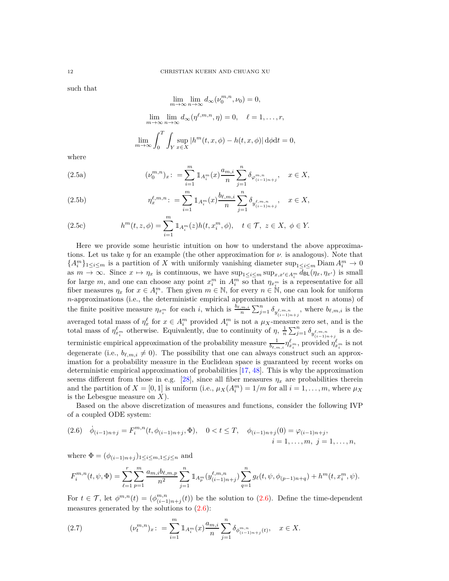such that

$$
\lim_{m \to \infty} \lim_{n \to \infty} d_{\infty}(\nu_0^{m,n}, \nu_0) = 0,
$$
  

$$
\lim_{m \to \infty} \lim_{n \to \infty} d_{\infty}(\eta^{\ell,m,n}, \eta) = 0, \quad \ell = 1, \dots, r,
$$
  

$$
\lim_{m \to \infty} \int_0^T \int_Y \sup_{x \in X} |h^m(t, x, \phi) - h(t, x, \phi)| d\phi dt = 0,
$$

<span id="page-11-1"></span>where

(2.5a) 
$$
(\nu_0^{m,n})_x: = \sum_{i=1}^m \mathbb{1}_{A_i^m}(x) \frac{a_{m,i}}{n} \sum_{j=1}^n \delta_{\varphi_{(i-1)n+j}^{m,n}}, \quad x \in X,
$$

(2.5b) 
$$
\eta_x^{\ell,m,n} \colon = \sum_{i=1}^m 1\!\!1_{A_i^m}(x) \frac{b_{\ell,m,i}}{n} \sum_{j=1}^n \delta_{y_{(i-1)n+j}^{\ell,m,n}}, \quad x \in X,
$$

(2.5c) 
$$
h^{m}(t, z, \phi) = \sum_{i=1}^{m} 1 \, A_{i}^{m}(z) h(t, x_{i}^{m}, \phi), \quad t \in \mathcal{T}, \ z \in X, \ \phi \in Y.
$$

Here we provide some heuristic intuition on how to understand the above approximations. Let us take  $\eta$  for an example (the other approximation for  $\nu$  is analogous). Note that  ${A_i^m}_{1 \leq i \leq m}$  is a partition of *X* with uniformly vanishing diameter sup<sub>1≤*i*≤*m*</sub> Diam  $A_i^m \to 0$ as  $m \to \infty$ . Since  $x \mapsto \eta_x$  is continuous, we have  $\sup_{1 \le i \le m} \sup_{x,x' \in A_i^m} d_{\text{BL}}(\eta_x, \eta_{x'})$  is small for large *m*, and one can choose any point  $x_i^m$  in  $A_i^m$  so that  $\eta_{x_i^m}$  is a representative for all fiber measures  $\eta_x$  for  $x \in A_i^m$ . Then given  $m \in \mathbb{N}$ , for every  $n \in \mathbb{N}$ , one can look for uniform *n*-approximations (i.e., the deterministic empirical approximation with at most *n* atoms) of the finite positive measure  $\eta_{x_i^m}$  for each i, which is  $\frac{b_{\ell,m,i}}{n} \sum_{j=1}^n \delta_{y_{(i-1)n+j}^{\ell,m,n}}$ , where  $b_{\ell,m,i}$  is the averaged total mass of  $\eta_x^{\ell}$  for  $x \in A_i^m$  provided  $A_i^m$  is not a  $\mu_X$ -measure zero set, and is the total mass of  $\eta_{x_i^m}^{\ell}$  otherwise. Equivalently, due to continuity of  $\eta$ ,  $\frac{1}{n} \sum_{j=1}^n \delta_{y_{(i-1)n+j}^{\ell,m,n}}$ is a deterministic empirical approximation of the probability measure  $\frac{1}{b_{\ell,m,i}} \eta_{x_i^m}^{\ell}$ , provided  $\eta_{x_i^m}^{\ell}$  is not degenerate (i.e.,  $b_{\ell,m,i} \neq 0$ ). The possibility that one can always construct such an approximation for a probability measure in the Euclidean space is guaranteed by recent works on deterministic empirical approximation of probabilities [\[17,](#page-46-13) [48\]](#page-47-13). This is why the approximation seems different from those in e.g. [\[28\]](#page-47-10), since all fiber measures  $\eta_x$  are probabilities therein and the partition of  $X = [0, 1]$  is uniform (i.e.,  $\mu_X(A_i^m) = 1/m$  for all  $i = 1, \ldots, m$ , where  $\mu_X$ is the Lebesgue measure on *X*).

Based on the above discretization of measures and functions, consider the following IVP of a coupled ODE system:

<span id="page-11-0"></span>
$$
(2.6) \quad \dot{\phi}_{(i-1)n+j} = F_i^{m,n}(t, \phi_{(i-1)n+j}, \Phi), \quad 0 < t \leq T, \quad \phi_{(i-1)n+j}(0) = \varphi_{(i-1)n+j},
$$
\n
$$
i = 1, \dots, m, \ j = 1, \dots, n,
$$

where  $\Phi = (\phi_{(i-1)n+j})_{1 \leq i \leq m, 1 \leq j \leq n}$  and

$$
F_i^{m,n}(t,\psi,\Phi) = \sum_{\ell=1}^r \sum_{p=1}^m \frac{a_{m,i}b_{\ell,m,p}}{n^2} \sum_{j=1}^n \mathbbm{1}_{A_p^m}(y_{(i-1)n+j}^{\ell,m,n}) \sum_{q=1}^n g_{\ell}(t,\psi,\phi_{(p-1)n+q}) + h^m(t,x_i^m,\psi).
$$

For  $t \in \mathcal{T}$ , let  $\phi^{m,n}(t) = (\phi^{m,n}_{(i-1)})$  $\binom{m,n}{(i-1)n+j}(t)$  be the solution to [\(2.6\)](#page-11-0). Define the time-dependent measures generated by the solutions to  $(2.6)$ :

<span id="page-11-2"></span>(2.7) 
$$
(\nu_t^{m,n})_x: = \sum_{i=1}^m 1\!\!1_{A_i^m}(x) \frac{a_{m,i}}{n} \sum_{j=1}^n \delta_{\phi_{(i-1)n+j}^{m,n}(t)}, \quad x \in X.
$$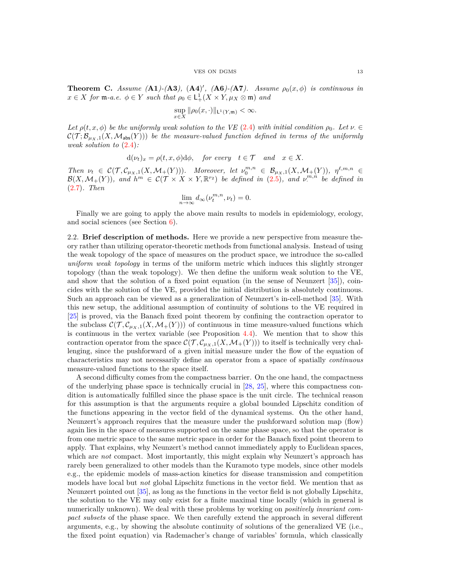<span id="page-12-1"></span>**Theorem C.** *Assume* (**A1**)-(**A3**), (**A4**)', (**A6**)-(**A7**). *Assume*  $\rho_0(x,\phi)$  *is continuous in*  $x \in X$  *for*  $\mathfrak{m}$ *-a.e.*  $\phi \in Y$  *such that*  $\rho_0 \in L^1_+(X \times Y, \mu_X \otimes \mathfrak{m})$  *and* 

$$
\sup_{x\in X} \|\rho_0(x,\cdot)\|_{\mathsf{L}^1(Y,\mathfrak{m})} < \infty.
$$

*Let*  $\rho(t, x, \phi)$  *be the uniformly weak solution to the VE* [\(2.4\)](#page-10-1) *with initial condition*  $\rho_0$ *. Let*  $\nu \in$  $\mathcal{C}(\mathcal{T}; \mathcal{B}_{\mu_X,1}(X, \mathcal{M}_{\text{abs}}(Y)))$  be the measure-valued function defined in terms of the uniformly *weak solution to* [\(2.4\)](#page-10-1)*:*

$$
d(\nu_t)_x = \rho(t, x, \phi)d\phi
$$
, for every  $t \in \mathcal{T}$  and  $x \in X$ .

Then  $\nu_t \in C(\mathcal{T}, \mathcal{C}_{\mu_X,1}(X, \mathcal{M}_+(Y))).$  Moreover, let  $\nu_0^{m,n} \in \mathcal{B}_{\mu_X,1}(X, \mathcal{M}_+(Y)),$   $\eta^{\ell,m,n} \in$  $\mathcal{B}(X, \mathcal{M}_+(Y))$ , and  $h^m \in C(\mathcal{T} \times X \times Y, \mathbb{R}^{r_2})$  be defined in  $(2.5)$ , and  $v^{m,n}$  be defined in [\(2.7\)](#page-11-2)*. Then*

$$
\lim_{n \to \infty} d_{\infty}(\nu_t^{m,n}, \nu_t) = 0.
$$

Finally we are going to apply the above main results to models in epidemiology, ecology, and social sciences (see Section [6\)](#page-30-0).

<span id="page-12-0"></span>2.2. **Brief description of methods.** Here we provide a new perspective from measure theory rather than utilizing operator-theoretic methods from functional analysis. Instead of using the weak topology of the space of measures on the product space, we introduce the so-called *uniform weak topology* in terms of the uniform metric which induces this slightly stronger topology (than the weak topology). We then define the uniform weak solution to the VE, and show that the solution of a fixed point equation (in the sense of Neunzert [\[35\]](#page-47-7)), coincides with the solution of the VE, provided the initial distribution is absolutely continuous. Such an approach can be viewed as a generalization of Neunzert's in-cell-method [\[35\]](#page-47-7). With this new setup, the additional assumption of continuity of solutions to the VE required in [\[25\]](#page-47-11) is proved, via the Banach fixed point theorem by confining the contraction operator to the subclass  $\mathcal{C}(\mathcal{T}, \mathcal{C}_{\mu_X,1}(X, \mathcal{M}_+(Y)))$  of continuous in time measure-valued functions which is continuous in the vertex variable (see Proposition  $4.4$ ). We mention that to show this contraction operator from the space  $\mathcal{C}(\mathcal{T}, \mathcal{C}_{\mu_X,1}(X, \mathcal{M}_+(Y)))$  to itself is technically very challenging, since the pushforward of a given initial measure under the flow of the equation of characteristics may not necessarily define an operator from a space of spatially *continuous* measure-valued functions to the space itself.

A second difficulty comes from the compactness barrier. On the one hand, the compactness of the underlying phase space is technically crucial in  $[28, 25]$  $[28, 25]$ , where this compactness condition is automatically fulfilled since the phase space is the unit circle. The technical reason for this assumption is that the arguments require a global bounded Lipschitz condition of the functions appearing in the vector field of the dynamical systems. On the other hand, Neunzert's approach requires that the measure under the pushforward solution map (flow) again lies in the space of measures supported on the same phase space, so that the operator is from one metric space to the same metric space in order for the Banach fixed point theorem to apply. That explains, why Neunzert's method cannot immediately apply to Euclidean spaces, which are *not* compact. Most importantly, this might explain why Neunzert's approach has rarely been generalized to other models than the Kuramoto type models, since other models e.g., the epidemic models of mass-action kinetics for disease transmission and competition models have local but *not* global Lipschitz functions in the vector field. We mention that as Neunzert pointed out [\[35\]](#page-47-7), as long as the functions in the vector field is not globally Lipschitz, the solution to the VE may only exist for a finite maximal time locally (which in general is numerically unknown). We deal with these problems by working on *positively invariant compact subsets* of the phase space. We then carefully extend the approach in several different arguments, e.g., by showing the absolute continuity of solutions of the generalized VE (i.e., the fixed point equation) via Rademacher's change of variables' formula, which classically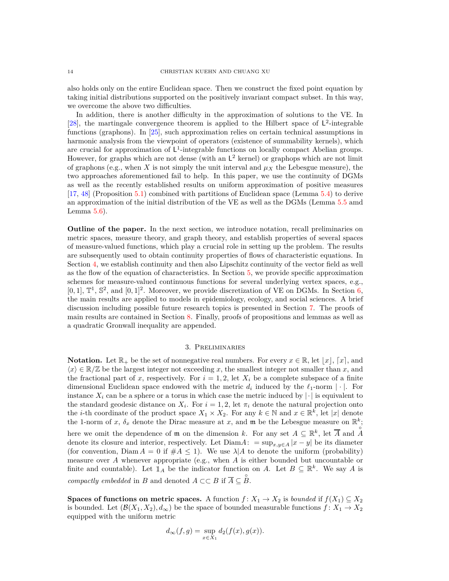also holds only on the entire Euclidean space. Then we construct the fixed point equation by taking initial distributions supported on the positively invariant compact subset. In this way, we overcome the above two difficulties.

In addition, there is another difficulty in the approximation of solutions to the VE. In [\[28\]](#page-47-10), the martingale convergence theorem is applied to the Hilbert space of  $\mathsf{L}^2$ -integrable functions (graphons). In [\[25\]](#page-47-11), such approximation relies on certain technical assumptions in harmonic analysis from the viewpoint of operators (existence of summability kernels), which are crucial for approximation of  $L^1$ -integrable functions on locally compact Abelian groups. However, for graphs which are not dense (with an  $L^2$  kernel) or graphops which are not limit of graphons (e.g., when *X* is not simply the unit interval and  $\mu_X$  the Lebesgue measure), the two approaches aforementioned fail to help. In this paper, we use the continuity of DGMs as well as the recently established results on uniform approximation of positive measures [\[17,](#page-46-13) [48\]](#page-47-13) (Proposition [5.1\)](#page-26-2) combined with partitions of Euclidean space (Lemma [5.4\)](#page-27-0) to derive an approximation of the initial distribution of the VE as well as the DGMs (Lemma [5.5](#page-27-1) amd Lemma  $5.6$ ).

<span id="page-13-0"></span>**Outline of the paper.** In the next section, we introduce notation, recall preliminaries on metric spaces, measure theory, and graph theory, and establish properties of several spaces of measure-valued functions, which play a crucial role in setting up the problem. The results are subsequently used to obtain continuity properties of flows of characteristic equations. In Section [4,](#page-23-0) we establish continuity and then also Lipschitz continuity of the vector field as well as the flow of the equation of characteristics. In Section [5,](#page-26-0) we provide specific approximation schemes for measure-valued continuous functions for several underlying vertex spaces, e.g., [0, 1],  $\mathbb{T}^1$ ,  $\mathbb{S}^2$ , and  $[0,1]^2$ . Moreover, we provide discretization of VE on DGMs. In Section [6,](#page-30-0) the main results are applied to models in epidemiology, ecology, and social sciences. A brief discussion including possible future research topics is presented in Section [7.](#page-41-0) The proofs of main results are contained in Section [8.](#page-41-1) Finally, proofs of propositions and lemmas as well as a quadratic Gronwall inequality are appended.

## 3. Preliminaries

<span id="page-13-2"></span><span id="page-13-1"></span>**Notation.** Let  $\mathbb{R}_+$  be the set of nonnegative real numbers. For every  $x \in \mathbb{R}$ , let  $|x|$ ,  $[x]$ , and  $\langle x \rangle \in \mathbb{R}/\mathbb{Z}$  be the largest integer not exceeding *x*, the smallest integer not smaller than *x*, and the fractional part of x, respectively. For  $i = 1, 2$ , let  $X_i$  be a complete subspace of a finite dimensional Euclidean space endowed with the metric  $d_i$  induced by the  $\ell_1$ -norm | · |. For instance  $X_i$  can be a sphere or a torus in which case the metric induced by  $|\cdot|$  is equivalent to the standard geodesic distance on  $X_i$ . For  $i = 1, 2$ , let  $\pi_i$  denote the natural projection onto the *i*-th coordinate of the product space  $X_1 \times X_2$ . For any  $k \in \mathbb{N}$  and  $x \in \mathbb{R}^k$ , let |*x*| denote the 1-norm of *x*,  $\delta_x$  denote the Dirac measure at *x*, and **m** be the Lebesgue measure on  $\mathbb{R}^k$ ; here we omit the dependence of  $\mathfrak{m}$  on the dimension *k*. For any set  $A \subseteq \mathbb{R}^k$ , let  $\overline{A}$  and  $\overline{A}$ denote its closure and interior, respectively. Let  $Diam A: = sup_{x,y\in A} |x-y|$  be its diameter (for convention, Diam  $A = 0$  if  $\#A \leq 1$ ). We use  $\lambda | A$  to denote the uniform (probability) measure over *A* whenever appropriate (e.g., when *A* is either bounded but uncountable or finite and countable). Let  $\mathbb{1}_A$  be the indicator function on *A*. Let  $B \subseteq \mathbb{R}^k$ . We say *A* is *compactly embedded* in *B* and denoted  $A \subset\subset B$  if  $\overline{A} \subseteq \overset{\circ}{B}$ .

<span id="page-13-3"></span>**Spaces of functions on metric spaces.** A function  $f: X_1 \to X_2$  is *bounded* if  $f(X_1) \subseteq X_2$ is bounded. Let  $(\mathcal{B}(X_1, X_2), d_\infty)$  be the space of bounded measurable functions  $f: X_1 \to X_2$ equipped with the uniform metric

$$
d_{\infty}(f,g) = \sup_{x \in X_1} d_2(f(x), g(x)).
$$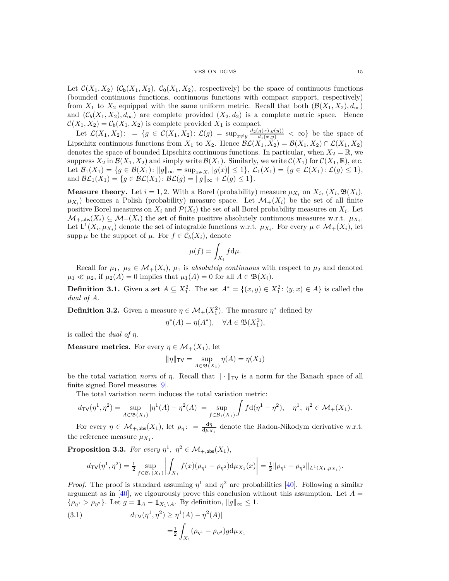### VES ON DGMS 15

Let  $\mathcal{C}(X_1, X_2)$   $(\mathcal{C}_b(X_1, X_2), \mathcal{C}_0(X_1, X_2))$ , respectively) be the space of continuous functions (bounded continuous functions, continuous functions with compact support, respectively) from  $X_1$  to  $X_2$  equipped with the same uniform metric. Recall that both  $(\mathcal{B}(X_1, X_2), d_\infty)$ and  $(C_b(X_1, X_2), d_\infty)$  are complete provided  $(X_2, d_2)$  is a complete metric space. Hence  $\mathcal{C}(X_1, X_2) = \mathcal{C}_b(X_1, X_2)$  is complete provided  $X_1$  is compact.

Let  $\mathcal{L}(X_1, X_2)$ : = { $g \in \mathcal{C}(X_1, X_2)$ :  $\mathcal{L}(g) = \sup_{x \neq y} \frac{d_2(g(x), g(y))}{d_1(x, y)} < \infty$ } be the space of Lipschitz continuous functions from *X*<sub>1</sub> to *X*<sub>2</sub>. Hence  $\mathcal{BL}(X_1, X_2) = \mathcal{B}(X_1, X_2) \cap \mathcal{L}(X_1, X_2)$ denotes the space of bounded Lipschitz continuous functions. In particular, when  $X_2 = \mathbb{R}$ , we suppress  $X_2$  in  $\mathcal{B}(X_1, X_2)$  and simply write  $\mathcal{B}(X_1)$ . Similarly, we write  $\mathcal{C}(X_1)$  for  $\mathcal{C}(X_1, \mathbb{R})$ , etc. Let  $\mathcal{B}_1(X_1) = \{g \in \mathcal{B}(X_1) : ||g||_{\infty} = \sup_{x \in X_1} |g(x)| \leq 1\}, \mathcal{L}_1(X_1) = \{g \in \mathcal{L}(X_1) : \mathcal{L}(g) \leq 1\},$ and  $\mathcal{BL}_1(X_1) = \{ g \in \mathcal{BL}(X_1) : \mathcal{BL}(g) = ||g||_{\infty} + \mathcal{L}(g) \leq 1 \}.$ 

<span id="page-14-0"></span>**Measure theory.** Let  $i = 1, 2$ . With a Borel (probability) measure  $\mu_{X_i}$  on  $X_i$ ,  $(X_i, \mathfrak{B}(X_i))$ ,  $\mu_{X_i}$ ) becomes a Polish (probability) measure space. Let  $\mathcal{M}_+(X_i)$  be the set of all finite positive Borel measures on  $X_i$  and  $\mathcal{P}(X_i)$  the set of all Borel probability measures on  $X_i$ . Let  $\mathcal{M}_{+,\text{abs}}(X_i) \subseteq \mathcal{M}_{+}(X_i)$  the set of finite positive absolutely continuous measures w.r.t.  $\mu_{X_i}$ . Let  $L^1(X_i, \mu_{X_i})$  denote the set of integrable functions w.r.t.  $\mu_{X_i}$ . For every  $\mu \in \mathcal{M}_+(X_i)$ , let supp  $\mu$  be the support of  $\mu$ . For  $f \in C_b(X_i)$ , denote

$$
\mu(f) = \int_{X_i} f \mathrm{d}\mu.
$$

Recall for  $\mu_1, \mu_2 \in \mathcal{M}_+(X_i)$ ,  $\mu_1$  is *absolutely continuous* with respect to  $\mu_2$  and denoted  $\mu_1 \ll \mu_2$ , if  $\mu_2(A) = 0$  implies that  $\mu_1(A) = 0$  for all  $A \in \mathfrak{B}(X_i)$ .

**Definition 3.1.** Given a set  $A \subseteq X_1^2$ . The set  $A^* = \{(x, y) \in X_1^2 : (y, x) \in A\}$  is called the *dual of A*.

**Definition 3.2.** Given a measure  $\eta \in M_+(X_1^2)$ . The measure  $\eta^*$  defined by

$$
\eta^*(A) = \eta(A^*), \quad \forall A \in \mathfrak{B}(X_1^2),
$$

is called the *dual of η*.

<span id="page-14-1"></span>**Measure metrics.** For every  $\eta \in \mathcal{M}_+(X_1)$ , let

$$
\|\eta\|_{\mathsf{TV}} = \sup_{A \in \mathfrak{B}(X_1)} \eta(A) = \eta(X_1)
$$

be the total variation *norm* of *η*. Recall that  $\|\cdot\|_{TV}$  is a norm for the Banach space of all finite signed Borel measures [\[9\]](#page-46-19).

The total variation norm induces the total variation metric:

$$
d_{\text{TV}}(\eta^1, \eta^2) = \sup_{A \in \mathfrak{B}(X_1)} |\eta^1(A) - \eta^2(A)| = \sup_{f \in \mathcal{B}_1(X_1)} \int f d(\eta^1 - \eta^2), \quad \eta^1, \ \eta^2 \in \mathcal{M}_+(X_1).
$$

For every  $\eta \in \mathcal{M}_{+,\text{abs}}(X_1)$ , let  $\rho_{\eta}$ : =  $\frac{d\eta}{d\mu_{X_1}}$  denote the Radon-Nikodym derivative w.r.t. the reference measure  $\mu_{X_1}$ .

**Proposition 3.3.** *For every*  $\eta^1$ ,  $\eta^2 \in M_{+,\text{abs}}(X_1)$ ,

$$
d_{\text{TV}}(\eta^1, \eta^2) = \frac{1}{2} \sup_{f \in \mathcal{B}_1(X_1)} \left| \int_{X_1} f(x) (\rho_{\eta^1} - \rho_{\eta^2}) \, d\mu_{X_1}(x) \right| = \frac{1}{2} ||\rho_{\eta^1} - \rho_{\eta^2}||_{L^1(X_1, \mu_{X_1})}.
$$

*Proof.* The proof is standard assuming  $\eta^1$  and  $\eta^2$  are probabilities [\[40\]](#page-47-20). Following a similar argument as in [\[40\]](#page-47-20), we rigourously prove this conclusion without this assumption. Let  $A =$  $\{\rho_{\eta} \geq \rho_{\eta^2}\}$ . Let  $g = \mathbb{1}_A - \mathbb{1}_{X_1 \setminus A}$ . By definition,  $||g||_{\infty} \leq 1$ .

<span id="page-14-2"></span>(3.1) 
$$
d_{\text{TV}}(\eta^1, \eta^2) \geq |\eta^1(A) - \eta^2(A)|
$$

$$
= \frac{1}{2} \int_{X_1} (\rho_{\eta^1} - \rho_{\eta^2}) g d\mu_{X_1}
$$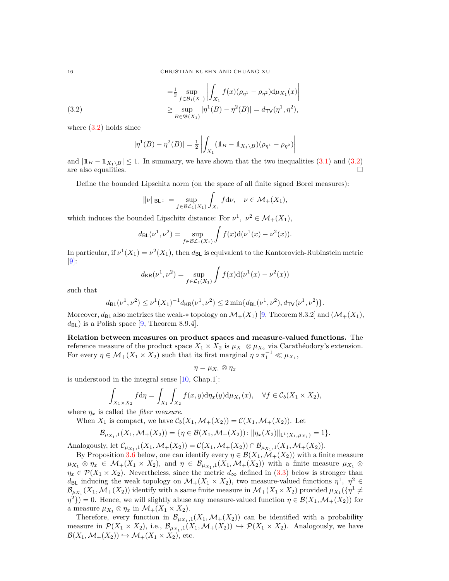<span id="page-15-1"></span>
$$
\begin{aligned}\n&= \frac{1}{2} \sup_{f \in \mathcal{B}_1(X_1)} \left| \int_{X_1} f(x) (\rho_{\eta^1} - \rho_{\eta^2}) \mathrm{d} \mu_{X_1}(x) \right| \\
&\geq \sup_{B \in \mathfrak{B}(X_1)} |\eta^1(B) - \eta^2(B)| = d_{\text{TV}}(\eta^1, \eta^2),\n\end{aligned}
$$

where  $(3.2)$  holds since

$$
|\eta^{1}(B) - \eta^{2}(B)| = \frac{1}{2} \left| \int_{X_1} (\mathbb{1}_{B} - \mathbb{1}_{X_1 \setminus B})(\rho_{\eta^{1}} - \rho_{\eta^{2}}) \right|
$$

and  $|\mathbb{1}_B - \mathbb{1}_{X_1 \setminus B}| \le 1$ . In summary, we have shown that the two inequalities [\(3.1\)](#page-14-2) and [\(3.2\)](#page-15-1) are also equalities. are also equalities.

Define the bounded Lipschitz norm (on the space of all finite signed Borel measures):

$$
\|\nu\|_{\mathsf{BL}}\colon = \sup_{f \in \mathcal{BL}_1(X_1)} \int_{X_1} f \mathrm{d} \nu, \quad \nu \in \mathcal{M}_+(X_1),
$$

which induces the bounded Lipschitz distance: For  $\nu^1$ ,  $\nu^2 \in \mathcal{M}_+(X_1)$ ,

$$
d_{\mathsf{BL}}(\nu^1, \nu^2) = \sup_{f \in \mathcal{BL}_1(X_1)} \int f(x) d(\nu^1(x) - \nu^2(x)).
$$

In particular, if  $\nu^1(X_1) = \nu^2(X_1)$ , then  $d_{\text{BL}}$  is equivalent to the Kantorovich-Rubinstein metric  $|9|$ :

$$
d_{\mathsf{KR}}(\nu^1, \nu^2) = \sup_{f \in \mathcal{L}_1(X_1)} \int f(x) d(\nu^1(x) - \nu^2(x))
$$

such that

$$
d_{\mathsf{BL}}(\nu^1, \nu^2) \le \nu^1(X_1)^{-1} d_{\mathsf{KR}}(\nu^1, \nu^2) \le 2 \min\{d_{\mathsf{BL}}(\nu^1, \nu^2), d_{\mathsf{TV}}(\nu^1, \nu^2)\}.
$$

Moreover,  $d_{BL}$  also metrizes the weak-∗ topology on  $\mathcal{M}_+(X_1)$  [\[9,](#page-46-19) Theorem 8.3.2] and  $(\mathcal{M}_+(X_1),$  $d_{\text{BL}}$ ) is a Polish space [\[9,](#page-46-19) Theorem 8.9.4].

<span id="page-15-0"></span>**Relation between measures on product spaces and measure-valued functions.** The reference measure of the product space  $X_1 \times X_2$  is  $\mu_{X_1} \otimes \mu_{X_2}$  via Carathéodory's extension. For every  $\eta \in \mathcal{M}_+(X_1 \times X_2)$  such that its first marginal  $\eta \circ \pi_1^{-1} \ll \mu_{X_1}$ ,

$$
\eta=\mu_{X_1}\otimes \eta_x
$$

is understood in the integral sense [\[10,](#page-46-20) Chap.1]:

$$
\int_{X_1 \times X_2} f d\eta = \int_{X_1} \int_{X_2} f(x, y) d\eta_x(y) d\mu_{X_1}(x), \quad \forall f \in \mathcal{C}_b(X_1 \times X_2),
$$

where  $\eta_x$  is called the *fiber measure*.

When  $X_1$  is compact, we have  $\mathcal{C}_b(X_1,\mathcal{M}_+(X_2)) = \mathcal{C}(X_1,\mathcal{M}_+(X_2)).$  Let

$$
\mathcal{B}_{\mu_{X_1},1}(X_1,\mathcal{M}_+(X_2)) = \{ \eta \in \mathcal{B}(X_1,\mathcal{M}_+(X_2)) : ||\eta_x(X_2)||_{\mathsf{L}^1(X_1,\mu_{X_1})} = 1 \}.
$$

Analogously, let  $\mathcal{C}_{\mu_{X_1},1}(X_1,\mathcal{M}_+(X_2)) = \mathcal{C}(X_1,\mathcal{M}_+(X_2)) \cap \mathcal{B}_{\mu_{X_1},1}(X_1,\mathcal{M}_+(X_2)).$ 

By Proposition [3.6](#page-17-0) below, one can identify every  $\eta \in \mathcal{B}(X_1,\mathcal{M}_+(X_2))$  with a finite measure  $\mu_{X_1} \otimes \eta_x \in \mathcal{M}_+(X_1 \times X_2)$ , and  $\eta \in \mathcal{B}_{\mu_{X_1},1}(X_1,\mathcal{M}_+(X_2))$  with a finite measure  $\mu_{X_1} \otimes$  $\eta_x \in \mathcal{P}(X_1 \times X_2)$ . Nevertheless, since the metric  $d_{\infty}$  defined in [\(3.3\)](#page-16-0) below is stronger than  $d_{BL}$  inducing the weak topology on  $\mathcal{M}_+(X_1 \times X_2)$ , two measure-valued functions  $\eta^1$ ,  $\eta^2 \in$  $\mathcal{B}_{\mu_{X_1}}(X_1,\mathcal{M}_+(X_2))$  identify with a same finite measure in  $\mathcal{M}_+(X_1\times X_2)$  provided  $\mu_{X_1}(\{\eta^1\neq 0\})$  $\{(n, n) \in \mathcal{B}(X_1, \mathcal{M}_+(X_2))\}$  for  $n \in \mathcal{B}(X_1, \mathcal{M}_+(X_2))$  for a measure  $\mu_{X_1} \otimes \eta_x$  in  $\mathcal{M}_+(X_1 \times X_2)$ .

Therefore, every function in  $\mathcal{B}_{\mu_{X_1},1}(X_1,\mathcal{M}_+(X_2))$  can be identified with a probability measure in  $\mathcal{P}(X_1 \times X_2)$ , i.e.,  $\mathcal{B}_{\mu_{X_1},1}(X_1,\mathcal{M}_+(X_2)) \hookrightarrow \mathcal{P}(X_1 \times X_2)$ . Analogously, we have  $\mathcal{B}(X_1,\mathcal{M}_+(X_2)) \hookrightarrow \mathcal{M}_+(X_1 \times X_2)$ , etc.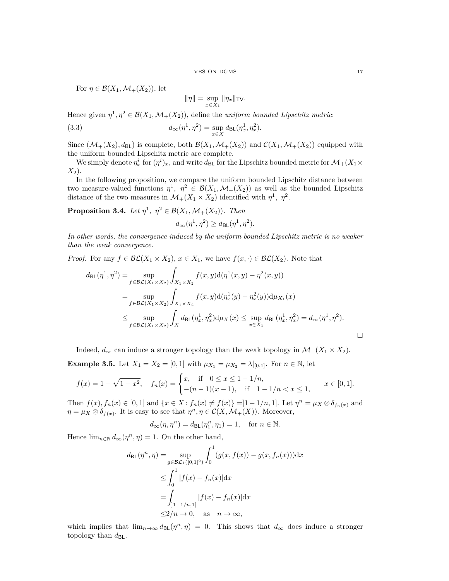For  $\eta \in \mathcal{B}(X_1,\mathcal{M}_+(X_2))$ , let

<span id="page-16-0"></span>
$$
\|\eta\|=\sup_{x\in X_1}\|\eta_x\|_{\mathsf{TV}}.
$$

Hence given  $\eta^1, \eta^2 \in \mathcal{B}(X_1, \mathcal{M}_+(X_2))$ , define the *uniform bounded Lipschitz metric*:

(3.3) 
$$
d_{\infty}(\eta^1, \eta^2) = \sup_{x \in X} d_{\text{BL}}(\eta_x^1, \eta_x^2).
$$

Since  $(\mathcal{M}_+(X_2), d_{\text{BL}})$  is complete, both  $\mathcal{B}(X_1, \mathcal{M}_+(X_2))$  and  $\mathcal{C}(X_1, \mathcal{M}_+(X_2))$  equipped with the uniform bounded Lipschitz metric are complete.

We simply denote  $\eta_x^i$  for  $(\eta^i)_x$ , and write  $d_{BL}$  for the Lipschitz bounded metric for  $\mathcal{M}_+(X_1 \times$ *X*2).

In the following proposition, we compare the uniform bounded Lipschitz distance between two measure-valued functions  $\eta^1$ ,  $\eta^2 \in \mathcal{B}(X_1,\mathcal{M}_+(X_2))$  as well as the bounded Lipschitz distance of the two measures in  $\mathcal{M}_+(X_1 \times X_2)$  identified with  $\eta^1$ ,  $\eta^2$ .

<span id="page-16-1"></span>**Proposition 3.4.** *Let*  $\eta^1$ ,  $\eta^2 \in \mathcal{B}(X_1, \mathcal{M}_+(X_2))$ *. Then*  $d_{\infty}(\eta^1, \eta^2) \geq d_{\text{BL}}(\eta^1, \eta^2).$ 

*In other words, the convergence induced by the uniform bounded Lipschitz metric is no weaker than the weak convergence.*

*Proof.* For any  $f \in \mathcal{BL}(X_1 \times X_2)$ ,  $x \in X_1$ , we have  $f(x, \cdot) \in \mathcal{BL}(X_2)$ . Note that

$$
d_{\text{BL}}(\eta^{1}, \eta^{2}) = \sup_{f \in \mathcal{BL}(X_{1} \times X_{2})} \int_{X_{1} \times X_{2}} f(x, y) d(\eta^{1}(x, y) - \eta^{2}(x, y))
$$
  
\n
$$
= \sup_{f \in \mathcal{BL}(X_{1} \times X_{2})} \int_{X_{1} \times X_{2}} f(x, y) d(\eta_{x}^{1}(y) - \eta_{x}^{2}(y)) d\mu_{X_{1}}(x)
$$
  
\n
$$
\leq \sup_{f \in \mathcal{BL}(X_{1} \times X_{2})} \int_{X} d_{\text{BL}}(\eta_{x}^{1}, \eta_{x}^{2}) d\mu_{X}(x) \leq \sup_{x \in X_{1}} d_{\text{BL}}(\eta_{x}^{1}, \eta_{x}^{2}) = d_{\infty}(\eta^{1}, \eta^{2}).
$$

Indeed,  $d_{\infty}$  can induce a stronger topology than the weak topology in  $\mathcal{M}_+(X_1 \times X_2)$ .

**Example 3.5.** Let  $X_1 = X_2 = [0, 1]$  with  $\mu_{X_1} = \mu_{X_2} = \lambda |_{[0,1]}$ . For  $n \in \mathbb{N}$ , let

$$
f(x) = 1 - \sqrt{1 - x^2}, \quad f_n(x) = \begin{cases} x, & \text{if } 0 \le x \le 1 - 1/n, \\ -(n - 1)(x - 1), & \text{if } 1 - 1/n < x \le 1, \end{cases} \quad x \in [0, 1].
$$

Then  $f(x)$ ,  $f_n(x) \in [0,1]$  and  $\{x \in X : f_n(x) \neq f(x)\} = ]1 - 1/n, 1]$ . Let  $\eta^n = \mu_X \otimes \delta_{f_n(x)}$  and  $\eta = \mu_X \otimes \delta_{f(x)}$ . It is easy to see that  $\eta^n, \eta \in C(X, \mathcal{M}_+(X))$ . Moreover,

$$
d_{\infty}(\eta, \eta^n) = d_{\mathsf{BL}}(\eta^n_1, \eta_1) = 1, \quad \text{for } n \in \mathbb{N}.
$$

Hence  $\lim_{n \in \mathbb{N}} d_{\infty}(\eta^n, \eta) = 1$ . On the other hand,

$$
d_{\text{BL}}(\eta^n, \eta) = \sup_{g \in \mathcal{BL}_1([0,1]^2)} \int_0^1 (g(x, f(x)) - g(x, f_n(x))) dx
$$
  
\n
$$
\leq \int_0^1 |f(x) - f_n(x)| dx
$$
  
\n
$$
= \int_{]1-1/n,1]} |f(x) - f_n(x)| dx
$$
  
\n
$$
\leq 2/n \to 0, \text{ as } n \to \infty,
$$

which implies that  $\lim_{n\to\infty} d_{BL}(\eta^n, \eta) = 0$ . This shows that  $d_{\infty}$  does induce a stronger topology than  $d_{BL}$ .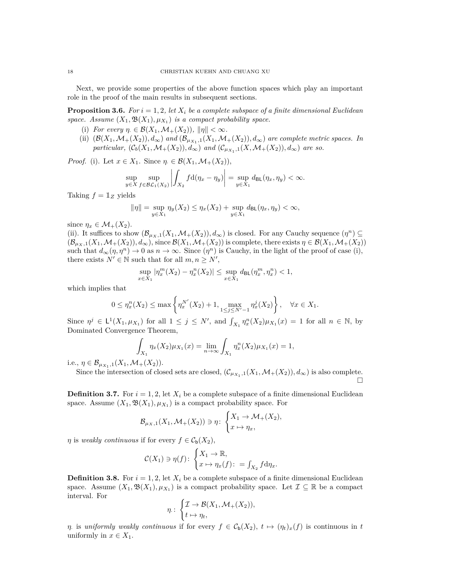Next, we provide some properties of the above function spaces which play an important role in the proof of the main results in subsequent sections.

<span id="page-17-0"></span>**Proposition 3.6.** *For*  $i = 1, 2$ *, let*  $X_i$  *be a complete subspace of a finite dimensional Euclidean* space. Assume  $(X_1, \mathfrak{B}(X_1), \mu_{X_1})$  *is a compact probability space.* 

- (i) *For every*  $\eta \in \mathcal{B}(X_1,\mathcal{M}_+(X_2)), ||\eta|| < \infty$ .
- (ii)  $(\mathcal{B}(X_1,\mathcal{M}_+(X_2)),d_\infty)$  *and*  $(\mathcal{B}_{\mu_{X_1},1}(X_1,\mathcal{M}_+(X_2)),d_\infty)$  *are complete metric spaces. In particular,*  $(C_b(X_1, \mathcal{M}_+(X_2)), d_\infty)$  *and*  $(C_{\mu_{X_1},1}(X, \mathcal{M}_+(X_2)), d_\infty)$  *are so.*

*Proof.* (i). Let  $x \in X_1$ . Since  $\eta \in \mathcal{B}(X_1, \mathcal{M}_+(X_2)),$ 

$$
\sup_{y \in X} \sup_{f \in \mathcal{BL}_1(X_2)} \left| \int_{X_2} f d(\eta_x - \eta_y) \right| = \sup_{y \in X_1} d_{\mathsf{BL}}(\eta_x, \eta_y) < \infty.
$$

Taking  $f = 1_Z$  yields

$$
\|\eta\| = \sup_{y \in X_1} \eta_y(X_2) \le \eta_x(X_2) + \sup_{y \in X_1} d_{\text{BL}}(\eta_x, \eta_y) < \infty,
$$

since  $\eta_x \in \mathcal{M}_+(X_2)$ .

(ii). It suffices to show  $(\mathcal{B}_{\mu_X,1}(X_1,\mathcal{M}_+(X_2)),d_{\infty})$  is closed. For any Cauchy sequence  $(\eta^n) \subseteq$  $(\mathcal{B}_{\mu_X,1}(X_1,\mathcal{M}_+(X_2)),d_{\infty}),$  since  $\mathcal{B}(X_1,\mathcal{M}_+(X_2))$  is complete, there exists  $\eta \in \mathcal{B}(X_1,\mathcal{M}_+(X_2))$ such that  $d_{\infty}(\eta, \eta^n) \to 0$  as  $n \to \infty$ . Since  $(\eta^n)$  is Cauchy, in the light of the proof of case (i), there exists  $N' \in \mathbb{N}$  such that for all  $m, n \ge N'$ ,

$$
\sup_{x \in X_1} |\eta_x^m(X_2) - \eta_x^n(X_2)| \le \sup_{x \in X_1} d_{\text{BL}}(\eta_x^m, \eta_x^n) < 1,
$$

which implies that

$$
0 \le \eta_x^{n}(X_2) \le \max\left\{\eta_x^{N'}(X_2) + 1, \max_{1 \le j \le N'-1} \eta_x^{j}(X_2)\right\}, \quad \forall x \in X_1.
$$

Since  $\eta^j \in L^1(X_1, \mu_{X_1})$  for all  $1 \leq j \leq N'$ , and  $\int_{X_1} \eta_x^n(X_2) \mu_{X_1}(x) = 1$  for all  $n \in \mathbb{N}$ , by Dominated Convergence Theorem,

$$
\int_{X_1} \eta_x(X_2) \mu_{X_1}(x) = \lim_{n \to \infty} \int_{X_1} \eta_x^n(X_2) \mu_{X_1}(x) = 1,
$$

i.e.,  $\eta \in \mathcal{B}_{\mu_{X_1},1}(X_1,\mathcal{M}_+(X_2)).$ 

Since the intersection of closed sets are closed,  $(\mathcal{C}_{\mu_{X_1},1}(X_1,\mathcal{M}_+(X_2)),d_{\infty})$  is also complete. П

**Definition 3.7.** For  $i = 1, 2$ , let  $X_i$  be a complete subspace of a finite dimensional Euclidean space. Assume  $(X_1, \mathfrak{B}(X_1), \mu_{X_1})$  is a compact probability space. For

$$
\mathcal{B}_{\mu_X,1}(X_1,\mathcal{M}_+(X_2)) \ni \eta \colon \begin{cases} X_1 \to \mathcal{M}_+(X_2), \\ x \mapsto \eta_x, \end{cases}
$$

*η* is *weakly continuous* if for every  $f \in C_b(X_2)$ ,

$$
\mathcal{C}(X_1) \ni \eta(f) \colon \begin{cases} X_1 \to \mathbb{R}, \\ x \mapsto \eta_x(f) \colon = \int_{X_2} f \, \mathrm{d}\eta_x. \end{cases}
$$

**Definition 3.8.** For  $i = 1, 2$ , let  $X_i$  be a complete subspace of a finite dimensional Euclidean space. Assume  $(X_1, \mathfrak{B}(X_1), \mu_{X_1})$  is a compact probability space. Let  $\mathcal{I} \subseteq \mathbb{R}$  be a compact interval. For

$$
\eta: \begin{cases} \mathcal{I} \to \mathcal{B}(X_1, \mathcal{M}_+(X_2)), \\ t \mapsto \eta_t, \end{cases}
$$

*η*. is *uniformly weakly continuous* if for every  $f \in C_b(X_2)$ ,  $t \mapsto (\eta_t)_x(f)$  is continuous in *t* uniformly in  $x \in X_1$ .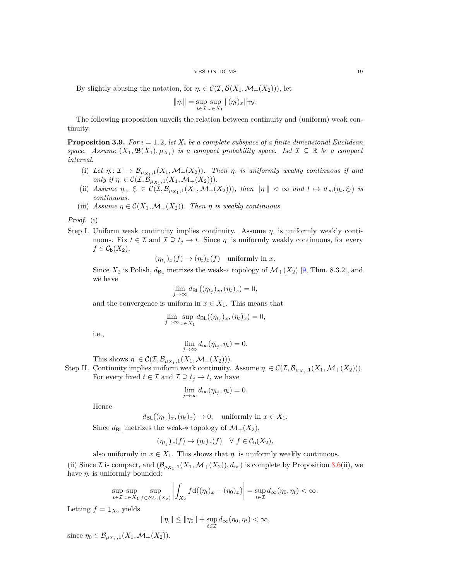By slightly abusing the notation, for  $\eta \in \mathcal{C}(\mathcal{I}, \mathcal{B}(X_1, \mathcal{M}_+(X_2)))$ , let

$$
\|\eta.\| = \sup_{t \in \mathcal{I}} \sup_{x \in X_1} \|(\eta_t)_x\|_{\mathsf{TV}}.
$$

The following proposition unveils the relation between continuity and (uniform) weak continuity.

<span id="page-18-0"></span>**Proposition 3.9.** *For*  $i = 1, 2$ *, let*  $X_i$  *be a complete subspace of a finite dimensional Euclidean space.* Assume  $(X_1, \mathfrak{B}(X_1), \mu_{X_1})$  *is a compact probability space.* Let  $\mathcal{I} \subseteq \mathbb{R}$  *be a compact interval.*

- (i) Let  $\eta: \mathcal{I} \to \mathcal{B}_{\mu_{X_1},1}(X_1,\mathcal{M}_+(X_2))$ . Then  $\eta$  is uniformly weakly continuous if and *only if*  $\eta \in C(\mathcal{I}, \mathcal{B}_{\mu_{X_1},1}(X_1, \mathcal{M}_+(X_2)))$ .
- (ii) Assume  $\eta$ ,  $\xi \in C(\mathcal{I}, \mathcal{B}_{\mu_{X_1},1}(X_1, \mathcal{M}_+(X_2)))$ , then  $\|\eta\| < \infty$  and  $t \mapsto d_{\infty}(\eta_t, \xi_t)$  is *continuous.*
- (iii) *Assume*  $\eta \in \mathcal{C}(X_1, \mathcal{M}_+(X_2))$ *. Then*  $\eta$  *is weakly continuous.*

*Proof.* (i)

Step I. Uniform weak continuity implies continuity. Assume *η*· is uniformly weakly continuous. Fix  $t \in \mathcal{I}$  and  $\mathcal{I} \supseteq t_j \to t$ . Since  $\eta$  is uniformly weakly continuous, for every  $f \in C_{\mathsf{b}}(X_2)$ ,

$$
(\eta_{t_j})_x(f) \to (\eta_t)_x(f) \quad \text{uniformly in } x.
$$

Since  $X_2$  is Polish,  $d_{\text{BL}}$  metrizes the weak- $*$  topology of  $\mathcal{M}_+(X_2)$  [\[9,](#page-46-19) Thm. 8.3.2], and we have

$$
\lim_{j \to \infty} d_{\mathsf{BL}}((\eta_{t_j})_x, (\eta_t)_x) = 0,
$$

and the convergence is uniform in  $x \in X_1$ . This means that

$$
\lim_{j \to \infty} \sup_{x \in X_1} d_{\text{BL}}((\eta_{t_j})_x, (\eta_t)_x) = 0,
$$

i.e.,

$$
\lim_{j \to \infty} d_{\infty}(\eta_{t_j}, \eta_t) = 0.
$$

This shows  $\eta \in \mathcal{C}(\mathcal{I}, \mathcal{B}_{\mu_{X_1},1}(X_1, \mathcal{M}_+(X_2))).$ 

Step II. Continuity implies uniform weak continuity. Assume  $\eta \in \mathcal{C}(\mathcal{I}, \mathcal{B}_{\mu_{X_1},1}(X_1, \mathcal{M}_+(X_2))).$ For every fixed  $t \in \mathcal{I}$  and  $\mathcal{I} \supseteq t_j \rightarrow t$ , we have

$$
\lim_{j \to \infty} d_{\infty}(\eta_{t_j}, \eta_t) = 0.
$$

Hence

 $d_{\text{BL}}((\eta_{t_j})_x, (\eta_t)_x) \to 0$ , uniformly in  $x \in X_1$ .

Since  $d_{BL}$  metrizes the weak-∗ topology of  $\mathcal{M}_+(X_2)$ ,

$$
(\eta_{t_j})_x(f) \to (\eta_t)_x(f) \quad \forall \ f \in C_{\mathsf{b}}(X_2),
$$

also uniformly in  $x \in X_1$ . This shows that  $\eta$  is uniformly weakly continuous.

(ii) Since *I* is compact, and  $(\mathcal{B}_{\mu_{X_1},1}(X_1,\mathcal{M}_+(X_2)),d_{\infty})$  is complete by Proposition [3.6\(](#page-17-0)ii), we have  $\eta$  is uniformly bounded:

$$
\sup_{t \in \mathcal{I}} \sup_{x \in X_1} \sup_{f \in \mathcal{BL}_1(X_2)} \left| \int_{X_2} f d((\eta_t)_x - (\eta_0)_x) \right| = \sup_{t \in \mathcal{I}} d_{\infty}(\eta_0, \eta_t) < \infty.
$$

Letting  $f = \mathbb{1}_{X_2}$  yields

$$
\|\eta_{\cdot}\| \le \|\eta_0\| + \sup_{t \in \mathcal{I}} d_{\infty}(\eta_0, \eta_t) < \infty,
$$

since  $\eta_0 \in \mathcal{B}_{\mu_{X_1},1}(X_1, \mathcal{M}_+(X_2)).$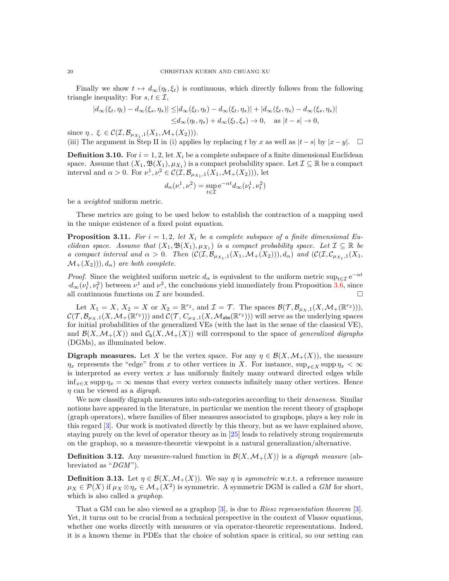Finally we show  $t \mapsto d_{\infty}(\eta_t, \xi_t)$  is continuous, which directly follows from the following triangle inequality: For  $s, t \in \mathcal{I}$ ,

$$
\begin{aligned} |d_{\infty}(\xi_t, \eta_t) - d_{\infty}(\xi_s, \eta_s)| \leq & |d_{\infty}(\xi_t, \eta_t) - d_{\infty}(\xi_t, \eta_s)| + |d_{\infty}(\xi_t, \eta_s) - d_{\infty}(\xi_s, \eta_s)| \\ \leq & d_{\infty}(\eta_t, \eta_s) + d_{\infty}(\xi_t, \xi_s) \to 0, \quad \text{as } |t - s| \to 0, \end{aligned}
$$

since  $\eta$ ,  $\xi \in \mathcal{C}(\mathcal{I}, \mathcal{B}_{\mu_{X_1},1}(X_1, \mathcal{M}_+(X_2))).$ 

(iii) The argument in Step II in (i) applies by replacing *t* by *x* as well as  $|t-s|$  by  $|x-y|$ .  $\square$ 

<span id="page-19-1"></span>**Definition 3.10.** For  $i = 1, 2$ , let  $X_i$  be a complete subspace of a finite dimensional Euclidean space. Assume that  $(X_1, \mathfrak{B}(X_1), \mu_{X_1})$  is a compact probability space. Let  $\mathcal{I} \subseteq \mathbb{R}$  be a compact interval and  $\alpha > 0$ . For  $\nu^1$ .  $L^1, \nu^2 \in \mathcal{C}(\mathcal{I}, \mathcal{B}_{\mu_{X_1},1}(X_1, \mathcal{M}_+(X_2))),$  let

$$
d_{\alpha}(\nu_{\cdot}^1, \nu_{\cdot}^2) = \sup_{t \in \mathcal{I}} e^{-\alpha t} d_{\infty}(\nu_t^1, \nu_t^2)
$$

be a *weighted* uniform metric.

These metrics are going to be used below to establish the contraction of a mapping used in the unique existence of a fixed point equation.

<span id="page-19-2"></span>**Proposition 3.11.** For  $i = 1, 2$ , let  $X_i$  be a complete subspace of a finite dimensional Eu*clidean space. Assume that*  $(X_1, \mathfrak{B}(X_1), \mu_{X_1})$  *is a compact probability space. Let*  $\mathcal{I} \subseteq \mathbb{R}$  *be a* compact interval and  $\alpha > 0$ . Then  $(C(\mathcal{I}, \mathcal{B}_{\mu_{X_1},1}(X_1, \mathcal{M}_+(X_2))), d_{\alpha})$  and  $(C(\mathcal{I}, \mathcal{C}_{\mu_{X_1},1}(X_1, \mathcal{M}_+(X_2))))$  $\mathcal{M}_+(X_2))$ ,  $d_\alpha$ ) are both complete.

*Proof.* Since the weighted uniform metric  $d_{\alpha}$  is equivalent to the uniform metric  $\sup_{t\in\mathcal{I}}e^{-\alpha t}$  $\cdot d_{\infty}(\nu_t^1, \nu_t^2)$  between  $\nu_t^1$  and  $\nu_t^2$ , the conclusions yield immediately from Proposition [3.6,](#page-17-0) since all continuous functions on  $\mathcal I$  are bounded.  $\Box$ 

Let  $X_1 = X$ ,  $X_2 = X$  or  $X_2 = \mathbb{R}^{r_2}$ , and  $\mathcal{I} = \mathcal{T}$ . The spaces  $\mathcal{B}(\mathcal{T}, \mathcal{B}_{\mu_X,1}(X, \mathcal{M}_+(\mathbb{R}^{r_2}))),$  $\mathcal{C}(\mathcal{T}, \mathcal{B}_{\mu_X,1}(X, \mathcal{M}_+(\mathbb{R}^{r_2})))$  and  $\mathcal{C}(\mathcal{T}, C_{\mu_X,1}(X, \mathcal{M}_{\text{abs}}(\mathbb{R}^{r_2})))$  will serve as the underlying spaces for initial probabilities of the generalized VEs (with the last in the sense of the classical VE), and  $\mathcal{B}(X,\mathcal{M}_+(X))$  and  $\mathcal{C}_b(X,\mathcal{M}_+(X))$  will correspond to the space of *generalized digraphs* (DGMs), as illuminated below.

<span id="page-19-0"></span>**Digraph measures.** Let *X* be the vertex space. For any  $\eta \in \mathcal{B}(X, \mathcal{M}_+(X))$ , the measure *η*<sub>*x*</sub> represents the "edge" from *x* to other vertices in *X*. For instance,  $\sup_{x \in X} \sup p \eta_x < \infty$ is interpreted as every vertex *x* has uniformly finitely many outward directed edges while  $\inf_{x \in X} \operatorname{supp} \eta_x = \infty$  means that every vertex connects infinitely many other vertices. Hence *η* can be viewed as a *digraph*.

We now classify digraph measures into sub-categories according to their *denseness*. Similar notions have appeared in the literature, in particular we mention the recent theory of graphops (graph operators), where families of fiber measures associated to graphops, plays a key role in this regard [\[3\]](#page-46-8). Our work is motivated directly by this theory, but as we have explained above, staying purely on the level of operator theory as in [\[25\]](#page-47-11) leads to relatively strong requirements on the graphop, so a measure-theoretic viewpoint is a natural generalization/alternative.

**Definition 3.12.** Any measure-valued function in  $\mathcal{B}(X, \mathcal{M}_+(X))$  is a *digraph measure* (abbreviated as "*DGM*").

**Definition 3.13.** Let  $\eta \in \mathcal{B}(X, \mathcal{M}_+(X))$ . We say  $\eta$  is *symmetric* w.r.t. a reference measure  $\mu_X \in \mathcal{P}(X)$  if  $\mu_X \otimes \eta_x \in \mathcal{M}_+(X^2)$  is symmetric. A symmetric DGM is called a *GM* for short, which is also called a *graphop*.

That a GM can be also viewed as a graphop [\[3\]](#page-46-8), is due to *Riesz representation theorem* [\[3\]](#page-46-8). Yet, it turns out to be crucial from a technical perspective in the context of Vlasov equations, whether one works directly with measures or via operator-theoretic representations. Indeed, it is a known theme in PDEs that the choice of solution space is critical, so our setting can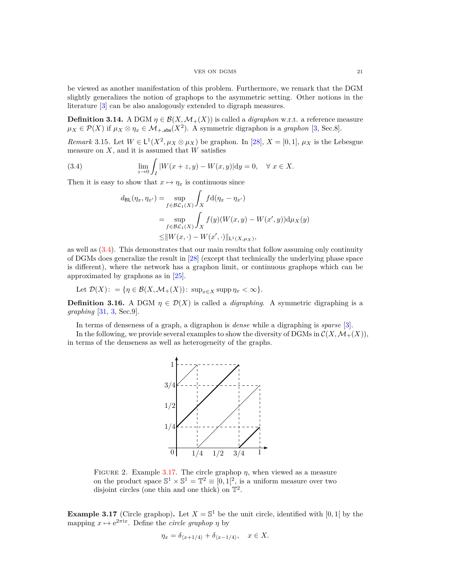### VES ON DGMS 21

be viewed as another manifestation of this problem. Furthermore, we remark that the DGM slightly generalizes the notion of graphops to the asymmetric setting. Other notions in the literature [\[3\]](#page-46-8) can be also analogously extended to digraph measures.

**Definition 3.14.** A DGM  $\eta \in \mathcal{B}(X, \mathcal{M}_+(X))$  is called a *digraphon* w.r.t. a reference measure  $\mu_X \in \mathcal{P}(X)$  if  $\mu_X \otimes \eta_x \in \mathcal{M}_{+, \text{abs}}(X^2)$ . A symmetric digraphon is a *graphon* [\[3,](#page-46-8) Sec.8].

<span id="page-20-4"></span>*Remark* 3.15*.* Let  $W \in L^1(X^2, \mu_X \otimes \mu_X)$  be graphon. In [\[28\]](#page-47-10),  $X = [0, 1]$ ,  $\mu_X$  is the Lebesgue measure on *X*, and it is assumed that *W* satisfies

(3.4) 
$$
\lim_{z \to 0} \int_{I} |W(x+z,y) - W(x,y)| dy = 0, \quad \forall \ x \in X.
$$

Then it is easy to show that  $x \mapsto \eta_x$  is continuous since

<span id="page-20-1"></span>
$$
d_{\text{BL}}(\eta_x, \eta_{x'}) = \sup_{f \in \mathcal{BL}_1(X)} \int_X f d(\eta_x - \eta_{x'})
$$
  
= 
$$
\sup_{f \in \mathcal{BL}_1(X)} \int_X f(y) (W(x, y) - W(x', y)) d\mu_X(y)
$$
  

$$
\leq ||W(x, \cdot) - W(x', \cdot)||_{\text{L}^1(X, \mu_X)},
$$

as well as  $(3.4)$ . This demonstrates that our main results that follow assuming only continuity of DGMs does generalize the result in [\[28\]](#page-47-10) (except that technically the underlying phase space is different), where the network has a graphon limit, or continuous graphops which can be approximated by graphons as in [\[25\]](#page-47-11).

Let 
$$
\mathcal{D}(X) := \{ \eta \in \mathcal{B}(X, \mathcal{M}_+(X)) : \sup_{x \in X} \text{supp } \eta_x < \infty \}.
$$

<span id="page-20-0"></span>**Definition 3.16.** A DGM  $\eta \in \mathcal{D}(X)$  is called a *digraphing*. A symmetric digraphing is a *graphing* [\[31,](#page-47-2) [3,](#page-46-8) Sec.9].

In terms of denseness of a graph, a digraphon is *dense* while a digraphing is *sparse* [\[3\]](#page-46-8).

<span id="page-20-3"></span>In the following, we provide several examples to show the diversity of DGMs in  $\mathcal{C}(X,\mathcal{M}_+(X))$ , in terms of the denseness as well as heterogeneity of the graphs.



FIGURE 2. Example [3.17.](#page-20-2) The circle graphop  $\eta$ , when viewed as a measure on the product space  $\mathbb{S}^1 \times \mathbb{S}^1 = \mathbb{T}^2 \equiv [0,1]^2$ , is a uniform measure over two disjoint circles (one thin and one thick) on  $\mathbb{T}^2$ .

<span id="page-20-2"></span>**Example 3.17** (Circle graphop). Let  $X = \mathbb{S}^1$  be the unit circle, identified with [0, 1] by the mapping  $x \mapsto e^{2\pi i x}$ . Define the *circle graphop*  $\eta$  by

$$
\eta_x = \delta_{\langle x+1/4 \rangle} + \delta_{\langle x-1/4 \rangle}, \quad x \in X.
$$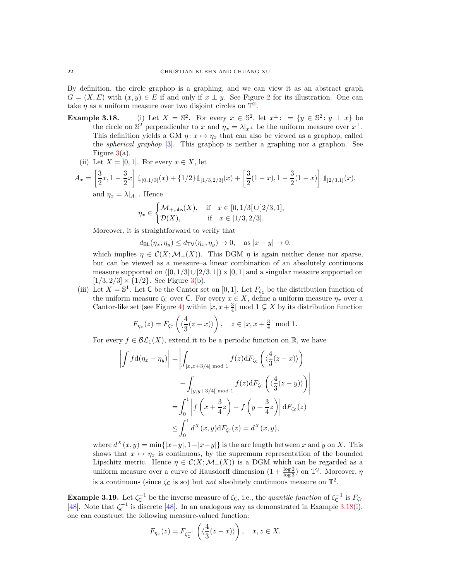By definition, the circle graphop is a graphing, and we can view it as an abstract graph  $G = (X, E)$  with  $(x, y) \in E$  if and only if  $x \perp y$ . See Figure [2](#page-20-3) for its illustration. One can take  $\eta$  as a uniform measure over two disjoint circles on  $\mathbb{T}^2$ .

- **Example 3.18.** (i) Let  $X = \mathbb{S}^2$ . For every  $x \in \mathbb{S}^2$ , let  $x^{\perp}$ :  $= \{y \in \mathbb{S}^2 : y \perp x\}$  be the circle on  $\mathbb{S}^2$  perpendicular to *x* and  $\eta_x = \lambda|_{x^\perp}$  be the uniform measure over  $x^\perp$ . This definition yields a GM  $\eta: x \mapsto \eta_x$  that can also be viewed as a graphop, called the *spherical graphop* [\[3\]](#page-46-8). This graphop is neither a graphing nor a graphon. See Figure  $3(a)$  $3(a)$ .
	- (ii) Let  $X = [0, 1]$ . For every  $x \in X$ , let

$$
A_x = \left[\frac{3}{2}x, 1 - \frac{3}{2}x\right] \mathbb{1}_{[0,1/3[}(x) + \{1/2\} \mathbb{1}_{[1/3,2/3]}(x) + \left[\frac{3}{2}(1-x), 1 - \frac{3}{2}(1-x)\right] \mathbb{1}_{[2/3,1]}(x),
$$
  
and  $\eta_x = \lambda|_{A_x}$ . Hence

$$
\eta_x\in \begin{cases} \mathcal{M}_{+,\text{abs}}(X), & \text{if}\quad x\in [0,1/3[\,\cup\,]2/3,1],\\ \mathcal{D}(X), & \text{if}\quad x\in [1/3,2/3]. \end{cases}
$$

Moreover, it is straightforward to verify that

 $d_{\text{BL}}(\eta_x, \eta_y) \leq d_{\text{TV}}(\eta_x, \eta_y) \to 0, \text{ as } |x - y| \to 0,$ 

which implies  $\eta \in \mathcal{C}(X; \mathcal{M}_+(X))$ . This DGM  $\eta$  is again neither dense nor sparse, but can be viewed as a measure–a linear combination of an absolutely continuous measure supported on  $([0, 1/3] \cup [2/3, 1]) \times [0, 1]$  and a singular measure supported on  $[1/3, 2/3] \times \{1/2\}$ . See Figure [3\(](#page-22-0)b).

(iii) Let  $X = \mathbb{S}^1$ . Let C be the Cantor set on [0, 1]. Let  $F_{\zeta_{\mathsf{C}}}$  be the distribution function of the uniform measure  $\zeta_c$  over C. For every  $x \in X$ , define a uniform measure  $\eta_x$  over a Cantor-like set (see Figure [4\)](#page-22-1) within  $[x, x + \frac{3}{4}] \text{ mod } 1 \subsetneq X$  by its distribution function

$$
F_{\eta_x}(z) = F_{\zeta_{\mathsf{C}}}\left( \langle \frac{4}{3}(z-x) \rangle \right), \quad z \in [x, x + \frac{3}{4} \mathsf{[} \bmod 1.
$$

For every  $f \in \mathcal{BL}_1(X)$ , extend it to be a periodic function on R, we have

$$
\left| \int f d(\eta_x - \eta_y) \right| = \left| \int_{[x,x+3/4[ \mod 1]} f(z) dF_{\zeta_{\mathsf{C}}} \left( \langle \frac{4}{3}(z-x) \rangle \right) \right|
$$
  

$$
- \int_{[y,y+3/4[ \mod 1]} f(z) dF_{\zeta_{\mathsf{C}}} \left( \langle \frac{4}{3}(z-y) \rangle \right) \right|
$$
  

$$
= \int_0^1 \left| f \left( x + \frac{3}{4} z \right) - f \left( y + \frac{3}{4} z \right) \right| dF_{\zeta_{\mathsf{C}}} (z)
$$
  

$$
\leq \int_0^1 d^X(x,y) dF_{\zeta_{\mathsf{C}}} (z) = d^X(x,y),
$$

where  $d^X(x, y) = \min\{|x - y|, 1 - |x - y|\}$  is the arc length between *x* and *y* on *X*. This shows that  $x \mapsto \eta_x$  is continuous, by the supremum representation of the bounded Lipschitz metric. Hence  $\eta \in \mathcal{C}(X; \mathcal{M}_+(X))$  is a DGM which can be regarded as a uniform measure over a curve of Hausdorff dimension  $(1 + \frac{\log 2}{\log 3})$  on  $\mathbb{T}^2$ . Moreover,  $\eta$ is a continuous (since  $\zeta_c$  is so) but *not* absolutely continuous measure on  $\mathbb{T}^2$ .

**Example 3.19.** Let  $\zeta_{\mathsf{C}}^{-1}$  be the inverse measure of  $\zeta_{\mathsf{C}}$ , i.e., the *quantile function* of  $\zeta_{\mathsf{C}}^{-1}$  is  $F_{\zeta_{\mathsf{C}}}$ [\[48\]](#page-47-13). Note that  $\zeta_{\text{C}}^{-1}$  is discrete [\[48\]](#page-47-13). In an analogous way as demonstrated in Example 3.18(i), one can construct the following measure-valued function:

$$
F_{\eta_x}(z) = F_{\zeta_{\mathsf{C}}^{-1}}\left(\langle \frac{4}{3}(z-x)\rangle\right), \quad x, z \in X.
$$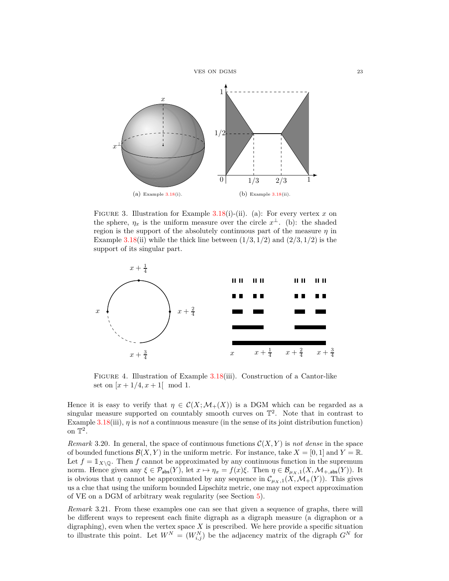<span id="page-22-0"></span>

FIGURE 3. Illustration for Example 3.18(i)-(ii). (a): For every vertex  $x$  on the sphere,  $\eta_x$  is the uniform measure over the circle  $x^{\perp}$ . (b): the shaded region is the support of the absolutely continuous part of the measure *η* in Example 3.18(ii) while the thick line between  $(1/3, 1/2)$  and  $(2/3, 1/2)$  is the support of its singular part.

<span id="page-22-1"></span>

Figure 4. Illustration of Example 3.18(iii). Construction of a Cantor-like set on  $[x + 1/4, x + 1] \mod 1$ .

Hence it is easy to verify that  $\eta \in \mathcal{C}(X;\mathcal{M}_+(X))$  is a DGM which can be regarded as a singular measure supported on countably smooth curves on  $\mathbb{T}^2$ . Note that in contrast to Example 3.18(iii), *η* is *not* a continuous measure (in the sense of its joint distribution function) on  $\mathbb{T}^2$ .

<span id="page-22-2"></span>*Remark* 3.20. In general, the space of continuous functions  $\mathcal{C}(X, Y)$  is *not dense* in the space of bounded functions  $\mathcal{B}(X, Y)$  in the uniform metric. For instance, take  $X = [0, 1]$  and  $Y = \mathbb{R}$ . Let  $f = 1_{X\setminus\mathbb{Q}}$ . Then f cannot be approximated by any continuous function in the supremum norm. Hence given any  $\xi \in \mathcal{P}_{\text{abs}}(Y)$ , let  $x \mapsto \eta_x = f(x)\xi$ . Then  $\eta \in \mathcal{B}_{\mu_X,1}(X, \mathcal{M}_{+, \text{abs}}(Y))$ . It is obvious that  $\eta$  cannot be approximated by any sequence in  $\mathcal{C}_{\mu_X,1}(X,\mathcal{M}_+(Y))$ . This gives us a clue that using the uniform bounded Lipschitz metric, one may not expect approximation of VE on a DGM of arbitrary weak regularity (see Section [5\)](#page-26-0).

*Remark* 3.21*.* From these examples one can see that given a sequence of graphs, there will be different ways to represent each finite digraph as a digraph measure (a digraphon or a digraphing), even when the vertex space *X* is prescribed. We here provide a specific situation to illustrate this point. Let  $W^N = (W^N_{i,j})$  be the adjacency matrix of the digraph  $G^N$  for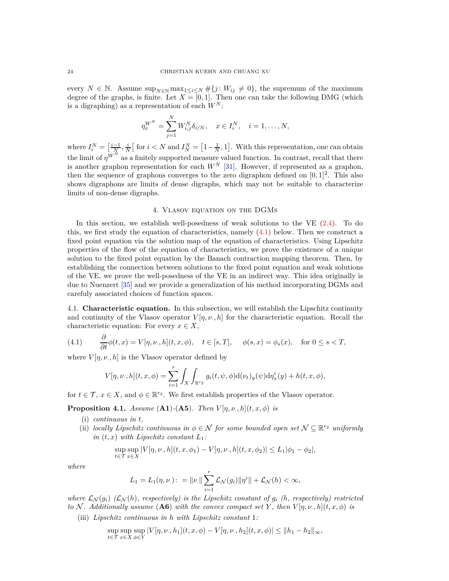every  $N \in \mathbb{N}$ . Assume  $\sup_{N \in \mathbb{N}} \max_{1 \leq i \leq N} \# \{j : W_{ij} \neq 0\}$ , the supremum of the maximum degree of the graphs, is finite. Let  $X = [0, 1]$ . Then one can take the following DMG (which is a digraphing) as a representation of each  $W^N$ :

$$
\eta_x^{W^N} = \sum_{j=1}^N W_{i,j}^N \delta_{i/N}, \quad x \in I_i^N, \quad i = 1, \dots, N,
$$

where  $I_i^N = \left[\frac{i-1}{N}, \frac{i}{N}\right]$  for  $i < N$  and  $I_N^N = \left[1 - \frac{1}{N}, 1\right]$ . With this representation, one can obtain the limit of  $\eta^{W^N}$  as a finitely supported measure valued function. In contrast, recall that there is another graphon representation for each  $W^N$  [\[31\]](#page-47-2). However, if represented as a graphon, then the sequence of graphons converges to the zero digraphon defined on  $[0,1]^2$ . This also shows digraphons are limits of dense digraphs, which may not be suitable to characterize limits of non-dense digraphs.

## 4. Vlasov equation on the DGMs

<span id="page-23-0"></span>In this section, we establish well-posedness of weak solutions to the VE [\(2.4\)](#page-10-1). To do this, we first study the equation of characteristics, namely  $(4.1)$  below. Then we construct a fixed point equation via the solution map of the equation of characteristics. Using Lipschitz properties of the flow of the equation of characteristics, we prove the existence of a unique solution to the fixed point equation by the Banach contraction mapping theorem. Then, by establishing the connection between solutions to the fixed point equation and weak solutions of the VE, we prove the well-posedness of the VE in an indirect way. This idea originally is due to Nuenzert [\[35\]](#page-47-7) and we provide a generalization of his method incorporating DGMs and carefuly associated choices of function spaces.

<span id="page-23-1"></span>4.1. **Characteristic equation.** In this subsection, we will establish the Lipschitz continuity and continuity of the Vlasov operator  $V[\eta, \nu, h]$  for the characteristic equation. Recall the characteristic equation: For every  $x \in X$ ,

(4.1) 
$$
\frac{\partial}{\partial t}\phi(t,x) = V[\eta,\nu,h](t,x,\phi), \quad t \in [s,T], \quad \phi(s,x) = \phi_s(x), \quad \text{for } 0 \le s < T,
$$

where  $V[\eta, \nu, h]$  is the Vlasov operator defined by

<span id="page-23-3"></span>
$$
V[\eta, \nu, h](t, x, \phi) = \sum_{i=1}^r \int_X \int_{\mathbb{R}^{r_2}} g_i(t, \psi, \phi) d(\nu_t)_y(\psi) d\eta_x^i(y) + h(t, x, \phi),
$$

for  $t \in \mathcal{T}$ ,  $x \in X$ , and  $\phi \in \mathbb{R}^{r_2}$ . We first establish properties of the Vlasov operator.

<span id="page-23-2"></span>**Proposition 4.1.** *Assume* (**A1**) $\cdot$ (**A5**)*. Then*  $V[\eta, \nu, h](t, x, \phi)$  *is* 

- (i) *continuous in t,*
- (ii) *locally Lipschitz continuous in*  $\phi \in \mathcal{N}$  *for some bounded open set*  $\mathcal{N} \subseteq \mathbb{R}^{r_2}$  *uniformly in*  $(t, x)$  *with Lipschitz constant*  $L_1$ *:*

$$
\sup_{t \in \mathcal{T}} \sup_{x \in X} |V[\eta, \nu, h](t, x, \phi_1) - V[\eta, \nu, h](t, x, \phi_2)| \le L_1 |\phi_1 - \phi_2|,
$$

*where*

$$
L_1 = L_1(\eta, \nu) : = \| \nu \| \sum_{i=1}^r \mathcal{L}_{\mathcal{N}}(g_i) \| \eta^i \| + \mathcal{L}_{\mathcal{N}}(h) < \infty,
$$

*where*  $\mathcal{L}_{\mathcal{N}}(g_i)$   $(\mathcal{L}_{\mathcal{N}}(h)$ *, respectively) is the Lipschitz constant of*  $g_i$   $(h,$  respectively) restricted *to*  $N$ *. Additionally assume*  $($ **A6** $)$  *with the convex compact set*  $Y$ *, then*  $V[\eta, \nu, h](t, x, \phi)$  *is* (iii) *Lipschitz continuous in h with Lipschitz constant* 1*:*

$$
\sup_{t \in \mathcal{T}} \sup_{x \in X} \sup_{\phi \in Y} |V[\eta, \nu, h_1](t, x, \phi) - V[\eta, \nu, h_2](t, x, \phi)| \le ||h_1 - h_2||_{\infty},
$$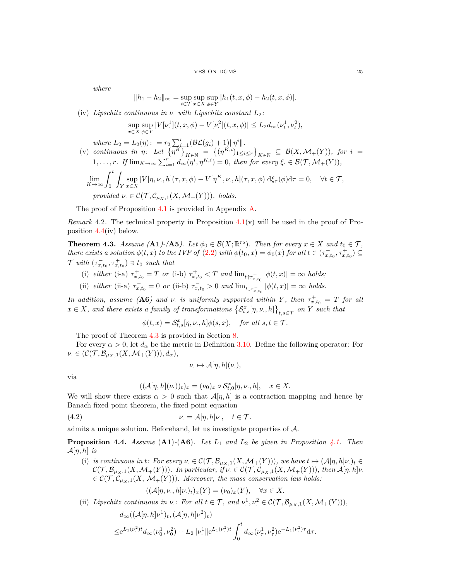*where*

$$
||h_1 - h_2||_{\infty} = \sup_{t \in \mathcal{T}} \sup_{x \in X} \sup_{\phi \in Y} |h_1(t, x, \phi) - h_2(t, x, \phi)|.
$$

(iv) *Lipschitz continuous in ν*· *with Lipschitz constant L*2*:*

$$
\sup_{x \in X} \sup_{\phi \in Y} |V[\nu^1](t, x, \phi) - V[\nu^2](t, x, \phi)| \le L_2 d_{\infty}(\nu_t^1, \nu_t^2),
$$

*where*  $L_2 = L_2(\eta)$ :  $= r_2 \sum_{i=1}^r (\mathcal{BL}(g_i) + 1) ||\eta^i||.$ 

(v) *continuous in*  $\eta$ : Let  $\{\overline{\eta^K}\}_{K \in \mathbb{N}} = \{(\eta^{K,i})_{1 \le i \le r}\}_{K \in \mathbb{N}} \subseteq \mathcal{B}(X, \mathcal{M}_+(Y)),$  for  $i =$  $1, \ldots, r$ *. If*  $\lim_{K \to \infty} \sum_{i=1}^{r} d_{\infty}(\eta^{i}, \eta^{K,i}) = 0$ *, then for every*  $\xi \in \mathcal{B}(\mathcal{T}, \mathcal{M}_+(Y)),$  $\lim_{K \to \infty} \int_0^t$ Z *Y* sup  $\sup_{x \in X} |V[\eta, \nu, h](\tau, x, \phi) - V[\eta^K, \nu, h](\tau, x, \phi)| d\xi_{\tau}(\phi) d\tau = 0, \quad \forall t \in \mathcal{T},$ *provided*  $\nu \in \mathcal{C}(\mathcal{T}, \mathcal{C}_{\mu_X,1}(X, \mathcal{M}_+(Y)))$ *. holds.* 

The proof of Proposition [4.1](#page-23-2) is provided in Appendix [A.](#page-47-0)

*Remark* 4.2*.* The technical property in Proposition [4.1\(](#page-23-2)v) will be used in the proof of Proposition  $4.4$ (iv) below.

<span id="page-24-0"></span>**Theorem 4.3.** *Assume* (**A1**)-(**A5***). Let*  $\phi_0 \in \mathcal{B}(X; \mathbb{R}^{r_2})$ *. Then for every*  $x \in X$  *and*  $t_0 \in \mathcal{T}$ *, there exists a solution*  $\phi(t, x)$  *to the IVP of* [\(2.2\)](#page-9-0) *with*  $\phi(t_0, x) = \phi_0(x)$  *for all*  $t \in (\tau_{x,t_0}^-, \tau_{x,t_0}^+) \subseteq$  $\mathcal{T}$  with  $(\tau_{x,t_0}^-, \tau_{x,t_0}^+) \ni t_0$  such that

- (i)  $\text{either} \ (\text{i-a}) \ \tau^+_{x,t_0} = T \ \text{or} \ (\text{i-b}) \ \tau^+_{x,t_0} < T \ \text{and} \ \lim_{t \uparrow \tau^+_{x,t_0}} |\phi(t,x)| = \infty \ \text{holds};$
- (ii) *either* (ii-a)  $\tau_{x,t_0}^{-1} = 0$  *or* (ii-b)  $\tau_{x,t_0}^{-1} > 0$  *and*  $\lim_{t \downarrow \tau_{x,t_0}^{-1}} |\phi(t,x)| = \infty$  *holds.*

*In addition, assume* (**A6***) and ν*. *is uniformly supported within Y*, then  $\tau^+_{x,t_0} = T$  *for all*  $x \in X$ *, and there exists a family of transformations*  $\{S_{t,s}^x[\eta,\nu,h]\}_{t,s \in \mathcal{T}}$  *on Y such that* 

$$
\phi(t,x)=\mathcal{S}_{t,s}^{x}[\eta,\nu,h]\phi(s,x),\quad \textit{for all }s,t\in\mathcal{T}.
$$

The proof of Theorem [4.3](#page-24-0) is provided in Section [8.](#page-41-1)

For every  $\alpha > 0$ , let  $d_{\alpha}$  be the metric in Definition [3.10.](#page-19-1) Define the following operator: For  $\nu \in (\mathcal{C}(\mathcal{T}, \mathcal{B}_{\mu_X,1}(X, \mathcal{M}_+(Y))), d_\alpha),$ 

$$
\nu_{\cdot} \mapsto \mathcal{A}[\eta, h](\nu_{\cdot}),
$$

via

<span id="page-24-2"></span>
$$
((\mathcal{A}[\eta,h](\nu))_t)_x = (\nu_0)_x \circ \mathcal{S}_{t,0}^x[\eta,\nu,h], \quad x \in X.
$$

We will show there exists  $\alpha > 0$  such that  $\mathcal{A}[\eta, h]$  is a contraction mapping and hence by Banach fixed point theorem, the fixed point equation

(4.2) 
$$
\nu = \mathcal{A}[\eta, h]\nu, \quad t \in \mathcal{T}.
$$

admits a unique solution. Beforehand, let us investigate properties of A.

<span id="page-24-1"></span>**Proposition 4.4.** *Assume* (**A1**)*-*(**A6**)*. Let L*<sup>1</sup> *and L*<sup>2</sup> *be given in Proposition [4.1.](#page-23-2) Then*  $\mathcal{A}[\eta, h]$  *is* 

(i) is continuous in t: For every  $\nu \in \mathcal{C}(\mathcal{T}, \mathcal{B}_{\mu_X,1}(X, \mathcal{M}_+(Y))),$  we have  $t \mapsto (\mathcal{A}[\eta, h]\nu)_{t \in \mathcal{C}(\mathcal{T}, \mathcal{B}_{\mu_X,1}(X, \mathcal{M}_+(Y))))$  $\mathcal{C}(\mathcal{T}, \mathcal{B}_{\mu_X,1}(X, \mathcal{M}_+(Y)))$ *. In particular, if*  $\nu \in \mathcal{C}(\mathcal{T}, \mathcal{C}_{\mu_X,1}(X, \mathcal{M}_+(Y))),$  then  $\mathcal{A}[\eta, h]\nu$ .  $\in \mathcal{C}(\mathcal{T}, \mathcal{C}_{\mu_X,1}(X, \mathcal{M}_+(Y)))$ *. Moreover, the mass conservation law holds:* 

$$
((\mathcal{A}[\eta,\nu,h]\nu_{\cdot})_t)_x(Y)=(\nu_0)_x(Y), \quad \forall x \in X.
$$

(ii) *Lipschitz continuous in*  $\nu$ *: For all*  $t \in \mathcal{T}$ *, and*  $\nu$ <sup>1</sup>  $P^1, \nu^2 \in \mathcal{C}(\mathcal{T}, \mathcal{B}_{\mu_X,1}(X, \mathcal{M}_+(Y))),$ 

$$
d_{\infty}((\mathcal{A}[\eta,h]\nu^1)_t,(\mathcal{A}[\eta,h]\nu^2)_t)
$$
  

$$
\leq e^{L_1(\nu^2)t}d_{\infty}(\nu_0^1,\nu_0^2)+L_2\|\nu^1\|e^{L_1(\nu^2)t}\int_0^td_{\infty}(\nu_\tau^1,\nu_\tau^2)e^{-L_1(\nu_\tau^2)\tau}\mathrm{d}\tau.
$$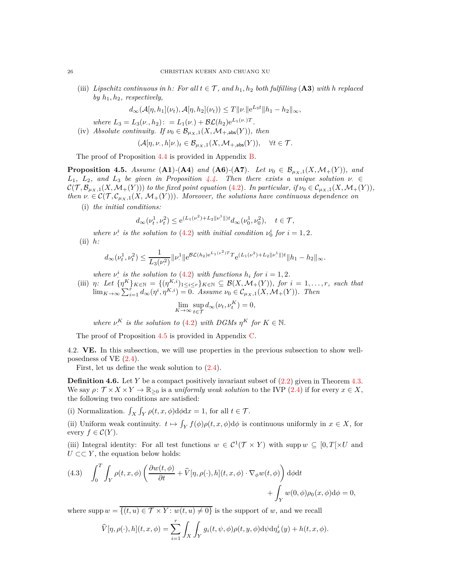(iii) *Lipschitz continuous in h*: For all  $t \in \mathcal{T}$ , and  $h_1, h_2$  both fulfilling (A3) with *h* replaced *by*  $h_1$ ,  $h_2$ *, respectively,* 

$$
d_{\infty}(\mathcal{A}[\eta, h_1](\nu_t), \mathcal{A}[\eta, h_2](\nu_t)) \leq T ||\nu|| e^{L_3 t} ||h_1 - h_2||_{\infty},
$$

*where*  $L_3 = L_3(\nu, h_2)$ :  $= L_1(\nu) + \mathcal{BL}(h_2)e^{L_1(\nu)T}$ .

(iv) Absolute continuity. If 
$$
\nu_0 \in \mathcal{B}_{\mu_X,1}(X, \mathcal{M}_{+,\text{abs}}(Y))
$$
, then

$$
(\mathcal{A}[\eta,\nu,,h]\nu_\cdot)_t \in \mathcal{B}_{\mu_X,1}(X,\mathcal{M}_{+,\text{abs}}(Y)), \quad \forall t \in \mathcal{T}.
$$

The proof of Proposition [4.4](#page-24-1) is provided in Appendix [B.](#page-52-0)

<span id="page-25-1"></span>**Proposition 4.5.** *Assume* (**A1**)*-*(**A4**) *and* (**A6**)*-*(**A7**)*. Let*  $\nu_0 \in B_{\mu_X,1}(X, \mathcal{M}_+(Y))$ *, and L*<sub>1</sub>*, L*<sub>2</sub>*,* and *L*<sub>3</sub> *be given in Proposition*  $\frac{1}{4}$ *.4. Then there exists a unique solution*  $\nu \in \mathbb{R}$  $\mathcal{C}(\mathcal{T}, \mathcal{B}_{\mu_X,1}(X, \mathcal{M}_+(Y)))$  *to the fixed point equation* [\(4.2\)](#page-24-2). In particular, if  $\nu_0 \in \mathcal{C}_{\mu_X,1}(X, \mathcal{M}_+(Y)),$ *then*  $\nu \in C(\mathcal{T}, \mathcal{C}_{\mu_X,1}(X, \mathcal{M}_+(Y)))$ *. Moreover, the solutions have continuous dependence on* 

(i) *the initial conditions:*

$$
d_{\infty}(\nu_t^1, \nu_t^2) \le e^{(L_1(\nu_t^2) + L_2 \|\nu^1\|)t} d_{\infty}(\nu_0^1, \nu_0^2), \quad t \in \mathcal{T},
$$

*where ν i i is the solution to* [\(4.2\)](#page-24-2) *with initial condition*  $\nu_0^i$  *for*  $i = 1, 2$ *.* (ii) *h:*

$$
d_{\infty}(\nu_t^1, \nu_t^2) \le \frac{1}{L_3(\nu_t^2)} \|\nu_t^1\| e^{\mathcal{BL}(h_2) e^{L_1(\nu_t^2)T}} T e^{(L_1(\nu_t^2) + L_2 \|\nu_t^1\|)t} \|h_1 - h_2\|_{\infty}.
$$

*where*  $\nu^i$  *is the solution to* [\(4.2\)](#page-24-2) *with functions*  $h_i$  *for*  $i = 1, 2$ *.* 

(iii) *η*: Let  $\{n^K\}_{K\in\mathbb{N}} = \{(n^K_{K,i})_{1\leq i\leq r}\}_{K\in\mathbb{N}} \subseteq \mathcal{B}(X,\mathcal{M}_+(Y)),$  for  $i = 1,\ldots,r$ *, such that*  $\lim_{K \to \infty} \sum_{i=1}^{r} d_{\infty}(\eta^{i}, \eta^{K,i}) = 0$ *. Assume*  $\nu_0 \in C_{\mu_X,1}(X, \mathcal{M}_+(Y))$ *. Then* 

$$
\lim_{K \to \infty} \sup_{t \in \mathcal{T}} d_{\infty}(\nu_t, \nu_t^K) = 0,
$$

*where*  $\nu$ <sup>*K*</sup>. *is the solution to* [\(4.2\)](#page-24-2) *with DGMs*  $\eta^K$  *for*  $K \in \mathbb{N}$ *.* 

The proof of Proposition [4.5](#page-25-1) is provided in Appendix [C.](#page-59-0)

<span id="page-25-0"></span>4.2. **VE.** In this subsection, we will use properties in the previous subsection to show wellposedness of VE [\(2.4\)](#page-10-1).

First, let us define the weak solution to [\(2.4\)](#page-10-1).

<span id="page-25-2"></span>**Definition 4.6.** Let *Y* be a compact positively invariant subset of  $(2.2)$  given in Theorem [4.3.](#page-24-0) We say  $\rho: \mathcal{T} \times X \times Y \to \mathbb{R}_{\geq 0}$  is a *uniformly weak solution* to the IVP [\(2.4\)](#page-10-1) if for every  $x \in X$ , the following two conditions are satisfied:

(i) Normalization.  $\int_X \int_Y \rho(t, x, \phi) d\phi dx = 1$ , for all  $t \in \mathcal{T}$ .

(ii) Uniform weak continuity.  $t \mapsto \int_Y f(\phi) \rho(t, x, \phi) d\phi$  is continuous uniformly in  $x \in X$ , for every  $f \in \mathcal{C}(Y)$ .

(iii) Integral identity: For all test functions  $w \in C^1(\mathcal{T} \times Y)$  with supp  $w \subseteq [0, T] \times U$  and  $U \subset Y$ , the equation below holds:

<span id="page-25-3"></span>(4.3) 
$$
\int_0^T \int_Y \rho(t, x, \phi) \left( \frac{\partial w(t, \phi)}{\partial t} + \widehat{V}[\eta, \rho(\cdot), h](t, x, \phi) \cdot \nabla_{\phi} w(t, \phi) \right) d\phi dt + \int_Y w(0, \phi) \rho_0(x, \phi) d\phi = 0,
$$

where  $\text{supp } w = \overline{\{(t, u) \in \mathcal{T} \times Y : w(t, u) \neq 0\}}$  is the support of *w*, and we recall

$$
\widehat{V}[\eta, \rho(\cdot), h](t, x, \phi) = \sum_{i=1}^r \int_X \int_Y g_i(t, \psi, \phi) \rho(t, y, \phi) d\psi d\eta_x^i(y) + h(t, x, \phi).
$$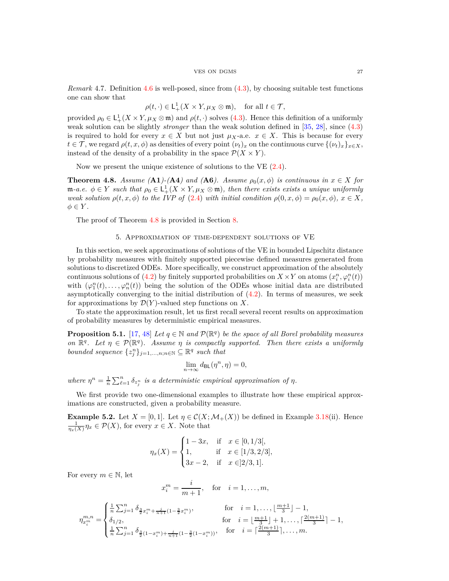*Remark* 4.7*.* Definition [4.6](#page-25-2) is well-posed, since from [\(4.3\)](#page-25-3), by choosing suitable test functions one can show that

$$
\rho(t,\cdot)\in\mathsf{L}_+^1(X\times Y,\mu_X\otimes \mathfrak{m}),\quad\text{for all }t\in\mathcal{T},
$$

provided  $\rho_0 \in L^1_+(X \times Y, \mu_X \otimes \mathfrak{m})$  and  $\rho(t, \cdot)$  solves [\(4.3\)](#page-25-3). Hence this definition of a uniformly weak solution can be slightly *stronger* than the weak solution defined in [\[35,](#page-47-7) [28\]](#page-47-10), since [\(4.3\)](#page-25-3) is required to hold for every  $x \in X$  but not just  $\mu_X$ -a.e.  $x \in X$ . This is because for every  $t \in \mathcal{T}$ , we regard  $\rho(t, x, \phi)$  as densities of every point  $(\nu_t)_x$  on the continuous curve  $\{(\nu_t)_x\}_{x \in X}$ , instead of the density of a probability in the space  $\mathcal{P}(X \times Y)$ .

Now we present the unique existence of solutions to the VE [\(2.4\)](#page-10-1).

<span id="page-26-1"></span>**Theorem 4.8.** *Assume* (**A1**)-(**A4**) and (**A6**). Assume  $\rho_0(x, \phi)$  is continuous in  $x \in X$  for  $m-a.e.$   $\phi \in Y$  such that  $\rho_0 \in L^1_+(X \times Y, \mu_X \otimes \mathfrak{m})$ , then there exists exists a unique uniformly *weak solution*  $\rho(t, x, \phi)$  *to the IVP of* [\(2.4\)](#page-10-1) *with initial condition*  $\rho(0, x, \phi) = \rho_0(x, \phi)$ *,*  $x \in X$ *,*  $\phi \in Y$ *.* 

<span id="page-26-0"></span>The proof of Theorem [4.8](#page-26-1) is provided in Section [8.](#page-41-1)

## 5. Approximation of time-dependent solutions of VE

In this section, we seek approximations of solutions of the VE in bounded Lipschitz distance by probability measures with finitely supported piecewise defined measures generated from solutions to discretized ODEs. More specifically, we construct approximation of the absolutely continuous solutions of [\(4.2\)](#page-24-2) by finitely supported probabilities on  $X \times Y$  on atoms  $(x_i^n, \varphi_i^n(t))$ with  $(\varphi_1^n(t), \ldots, \varphi_n^n(t))$  being the solution of the ODEs whose initial data are distributed asymptotically converging to the initial distribution of  $(4.2)$ . In terms of measures, we seek for approximations by  $\mathcal{D}(Y)$ -valued step functions on X.

To state the approximation result, let us first recall several recent results on approximation of probability measures by deterministic empirical measures.

<span id="page-26-2"></span>**Proposition 5.1.** [\[17,](#page-46-13) [48\]](#page-47-13) *Let*  $q \in \mathbb{N}$  *and*  $\mathcal{P}(\mathbb{R}^q)$  *be the space of all Borel probability measures on*  $\mathbb{R}^q$ *. Let*  $\eta \in \mathcal{P}(\mathbb{R}^q)$ *. Assume*  $\eta$  *is compactly supported. Then there exists a uniformly bounded sequence*  $\{z_j^n\}_{j=1,\ldots,n;n\in\mathbb{N}} \subseteq \mathbb{R}^q$  such that

$$
\lim_{n \to \infty} d_{\mathsf{BL}}(\eta^n, \eta) = 0,
$$

*where*  $\eta^n = \frac{1}{n} \sum_{\ell=1}^n \delta_{z_i^n}$  *is a deterministic empirical approximation of*  $\eta$ *.* 

We first provide two one-dimensional examples to illustrate how these empirical approximations are constructed, given a probability measure.

**Example 5.2.** Let  $X = [0, 1]$ . Let  $\eta \in \mathcal{C}(X; \mathcal{M}_+(X))$  be defined in Example 3.18(ii). Hence  $\frac{1}{\eta_x(X)}\eta_x \in \mathcal{P}(X)$ , for every  $x \in X$ . Note that

$$
\eta_x(X) = \begin{cases} 1 - 3x, & \text{if } x \in [0, 1/3[, \\ 1, & \text{if } x \in [1/3, 2/3], \\ 3x - 2, & \text{if } x \in ]2/3, 1]. \end{cases}
$$

For every  $m \in \mathbb{N}$ , let

$$
x_i^m = \frac{i}{m+1}, \quad \text{for} \quad i = 1, \dots, m,
$$

$$
\eta_{x_i^m}^{m,n} = \begin{cases} \frac{1}{n} \sum_{j=1}^n \delta_{\frac{3}{2}x_i^m + \frac{j}{n+1}(1-\frac{3}{2}x_i^m)}, & \text{for } i = 1, \dots, \left\lfloor \frac{m+1}{3} \right\rfloor - 1, \\ \delta_{1/2}, & \text{for } i = \left\lfloor \frac{m+1}{3} \right\rfloor + 1, \dots, \left\lceil \frac{2(m+1)}{3} \right\rceil - 1, \\ \frac{1}{n} \sum_{j=1}^n \delta_{\frac{3}{2}(1-x_i^m) + \frac{j}{n+1}(1-\frac{3}{2}(1-x_i^m))}, & \text{for } i = \left\lceil \frac{2(m+1)}{3} \right\rceil, \dots, m. \end{cases}
$$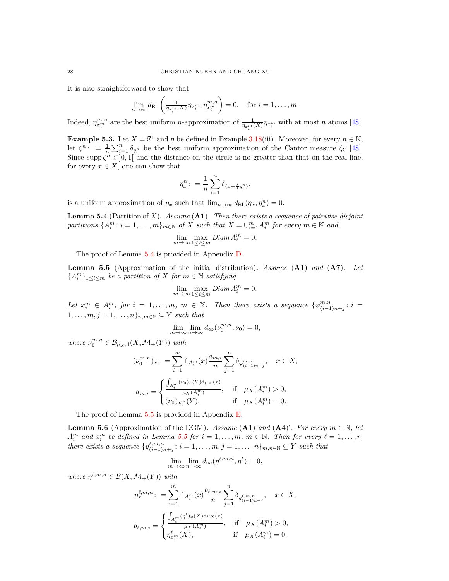It is also straightforward to show that

$$
\lim_{n\to\infty} d_{\text{BL}}\left(\frac{1}{\eta_{x_i^m}(X)}\eta_{x_i^m}, \eta_{x_i^m}^{m,n}\right) = 0, \text{ for } i = 1,\dots, m.
$$

Indeed,  $\eta_{x_i^m}^{m,n}$  are the best uniform *n*-approximation of  $\frac{1}{\eta_{x_i^m}(X)} \eta_{x_i^m}$  with at most *n* atoms [\[48\]](#page-47-13).

**Example 5.3.** Let  $X = \mathbb{S}^1$  and  $\eta$  be defined in Example 3.18(iii). Moreover, for every  $n \in \mathbb{N}$ , let  $\zeta^n$ : =  $\frac{1}{n} \sum_{i=1}^n \delta_{y_i^n}$  be the best uniform approximation of the Cantor measure  $\zeta_c$  [\[48\]](#page-47-13). Since supp  $\zeta^n \subset ]0,1[$  and the distance on the circle is no greater than that on the real line, for every  $x \in X$ , one can show that

$$
\eta_x^n: = \frac{1}{n} \sum_{i=1}^n \delta_{\langle x + \frac{3}{4}y_i^n \rangle},
$$

is a uniform approximation of  $\eta_x$  such that  $\lim_{n\to\infty} d_{BL}(\eta_x, \eta_x^n) = 0$ .

<span id="page-27-0"></span>**Lemma 5.4** (Partition of *X*)**.** *Assume* (**A1**)*. Then there exists a sequence of pairwise disjoint partitions*  $\{A_i^m : i = 1, \ldots, m\}_{m \in \mathbb{N}}$  *of X such that*  $X = \bigcup_{i=1}^m A_i^m$  *for every*  $m \in \mathbb{N}$  *and* 

$$
\lim_{m \to \infty} \max_{1 \le i \le m} Diam A_i^m = 0.
$$

The proof of Lemma [5.4](#page-27-0) is provided in Appendix [D.](#page-64-0)

<span id="page-27-1"></span>**Lemma 5.5** (Approximation of the initial distribution)**.** *Assume* (**A1**) *and* (**A7**)*. Let*  ${A}_{i}^{m}$ <sub>1≤*i*≤*m*</sub> *be a partition of X for*  $m \in \mathbb{N}$  *satisfying* 

$$
\lim_{m \to \infty} \max_{1 \le i \le m} Diam A_i^m = 0.
$$

*Let*  $x_i^m \in A_i^m$ , for  $i = 1, \ldots, m$ ,  $m \in \mathbb{N}$ . Then there exists a sequence  $\{\varphi_{(i-1)}^{m,n} \leq \varphi_{(i-1)}^{m,n} \leq \varphi_{(i-1)}^{m,n}\}$  $\binom{m,n}{(i-1)n+j}$ :  $i =$  $1, \ldots, m, j = 1, \ldots, n\}$ <sub>*n,m*∈N</sub>  $\subseteq$  *Y such that* 

$$
\lim_{m \to \infty} \lim_{n \to \infty} d_{\infty}(\nu_0^{m,n}, \nu_0) = 0,
$$

 $where \nu_0^{m,n} \in \mathcal{B}_{\mu_X,1}(X, \mathcal{M}_+(Y)) \text{ with }$ 

$$
(\nu_0^{m,n})_x: = \sum_{i=1}^m \mathbbm{1}_{A_i^m}(x) \frac{a_{m,i}}{n} \sum_{j=1}^n \delta_{\varphi_{(i-1)n+j}^{m,n}}, \quad x \in X,
$$
  

$$
a_{m,i} = \begin{cases} \frac{\int_{A_i^m} (\nu_0)_x(Y) d\mu_X(x)}{\mu_X(A_i^m)}, & \text{if } \mu_X(A_i^m) > 0, \\ (\nu_0)_{x_i^m}(Y), & \text{if } \mu_X(A_i^m) = 0. \end{cases}
$$

The proof of Lemma [5.5](#page-27-1) is provided in Appendix [E.](#page-64-1)

<span id="page-27-2"></span>**Lemma 5.6** (Approximation of the DGM). *Assume* (**A1**) *and* (**A4**)'. For every  $m \in \mathbb{N}$ , let  $A_i^m$  and  $x_i^m$  be defined in Lemma [5.5](#page-27-1) for  $i = 1, \ldots, m, m \in \mathbb{N}$ . Then for every  $\ell = 1, \ldots, r$ , *i*  $u_{i}$   $u_{i}$ *there exists a sequence*  $\{y_{(i-1)i}^{\ell,m,n}\}$  $(i, i, n, n \n, j: i = 1, ..., m, j = 1, ..., n\}$ <sub>*m*,*n*∈N ⊆ *Y such that*</sub>

$$
\lim_{m \to \infty} \lim_{n \to \infty} d_{\infty}(\eta^{\ell,m,n}, \eta^{\ell}) = 0,
$$

 $where \ \eta^{\ell,m,n} \in \mathcal{B}(X,\mathcal{M}_+(Y)) \ with$ 

$$
\begin{aligned} \eta^{\ell,m,n}_{x} : \; &= \sum_{i=1}^{m} \mathbbm{1}_{A_i^m}(x) \frac{b_{\ell,m,i}}{n} \sum_{j=1}^{n} \delta_{y^{\ell,m,n}_{(i-1)n+j}}, \quad x \in X, \\ b_{\ell,m,i} &= \begin{cases} \frac{\int_{A_i^m} (\eta^\ell)_x(X) \mathrm{d} \mu_X(x)}{\mu_X(A_i^m)}, & \text{if} \quad \mu_X(A_i^m) > 0, \\ \eta^{\ell}_{x_i^m}(X), & \text{if} \quad \mu_X(A_i^m) = 0. \end{cases} \end{aligned}
$$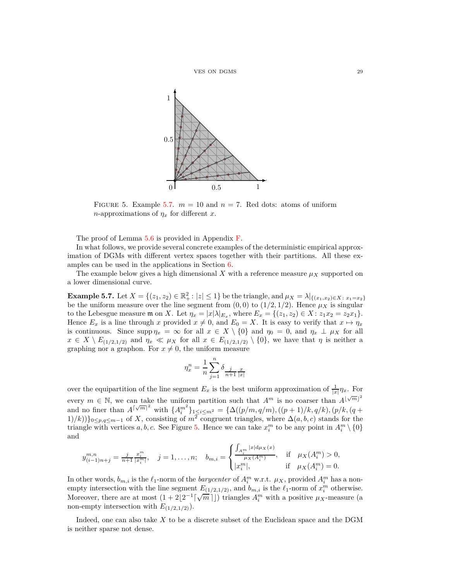<span id="page-28-1"></span>

FIGURE 5. Example [5.7.](#page-28-0)  $m = 10$  and  $n = 7$ . Red dots: atoms of uniform *n*-approximations of  $\eta_x$  for different *x*.

The proof of Lemma [5.6](#page-27-2) is provided in Appendix [F.](#page-66-0)

In what follows, we provide several concrete examples of the deterministic empirical approximation of DGMs with different vertex spaces together with their partitions. All these examples can be used in the applications in Section [6.](#page-30-0)

The example below gives a high dimensional  $X$  with a reference measure  $\mu_X$  supported on a lower dimensional curve.

<span id="page-28-0"></span>**Example 5.7.** Let  $X = \{(z_1, z_2) \in \mathbb{R}^2_+ : |z| \le 1\}$  be the triangle, and  $\mu_X = \lambda |_{\{(x_1, x_2) \in X : x_1 = x_2\}}$ be the uniform measure over the line segment from  $(0,0)$  to  $(1/2,1/2)$ . Hence  $\mu_X$  is singular to the Lebesgue measure  $\mathfrak{m}$  on *X*. Let  $\eta_x = |x| \lambda |_{E_x}$ , where  $E_x = \{(z_1, z_2) \in X : z_1 x_2 = z_2 x_1\}.$ Hence  $E_x$  is a line through *x* provided  $x \neq 0$ , and  $E_0 = X$ . It is easy to verify that  $x \mapsto \eta_x$ is continuous. Since  $\text{supp } \eta_x = \infty$  for all  $x \in X \setminus \{0\}$  and  $\eta_0 = 0$ , and  $\eta_x \perp \mu_x$  for all  $x \in X \setminus E_{(1/2,1/2)}$  and  $\eta_x \ll \mu_X$  for all  $x \in E_{(1/2,1/2)} \setminus \{0\}$ , we have that  $\eta$  is neither a graphing nor a graphon. For  $x \neq 0$ , the uniform measure

$$
\eta_x^n = \frac{1}{n}\sum_{j=1}^n \delta_{\frac{j}{n+1}\frac{x}{|x|}}
$$

over the equipartition of the line segment  $E_x$  is the best uniform approximation of  $\frac{1}{|x|}\eta_x$ . For every  $m \in \mathbb{N}$ , we can take the uniform partition such that  $A^m$  is no coarser than  $A^{\lfloor \sqrt{m} \rfloor^2}$ and no finer than  $A^{\lceil \sqrt{m} \rceil^2}$  with  $\{A_i^{m^2}\}_{1 \le i \le m^2} = \{ \Delta((p/m, q/m), ((p+1)/k, q/k), (p/k, (q+1)/k) \}$ 1)*/k*))}<sub>0≤*p*, $q$ ≤*m*−1 of *X*, consisting of  $m^2$  congruent triangles, where  $\Delta(a, b, c)$  stands for the</sub> triangle with vertices  $a, b, c$ . See Figure [5.](#page-28-1) Hence we can take  $x_i^m$  to be any point in  $A_i^m \setminus \{0\}$ and

$$
y_{(i-1)n+j}^{m,n} = \frac{j}{n+1} \frac{x_i^m}{|x_i^m|}, \quad j = 1, ..., n; \quad b_{m,i} = \begin{cases} \frac{\int_{A_i^m} |x| d\mu_X(x)}{\mu_X(A_i^m)}, & \text{if } \mu_X(A_i^m) > 0, \\ |x_i^m|, & \text{if } \mu_X(A_i^m) = 0. \end{cases}
$$

In other words,  $b_{m,i}$  is the  $\ell_1$ -norm of the *barycenter* of  $A_i^m$  w.r.t.  $\mu_X$ , provided  $A_i^m$  has a nonempty intersection with the line segment  $E_{(1/2,1/2)}$ , and  $b_{m,i}$  is the  $\ell_1$ -norm of  $x_i^m$  otherwise. Moreover, there are at most  $(1+2\lfloor 2^{-1} \lceil \sqrt{m} \rceil \rfloor)$  triangles  $A_i^m$  with a positive  $\mu_X$ -measure (a non-empty intersection with  $E_{(1/2,1/2)}$ .

Indeed, one can also take *X* to be a discrete subset of the Euclidean space and the DGM is neither sparse not dense.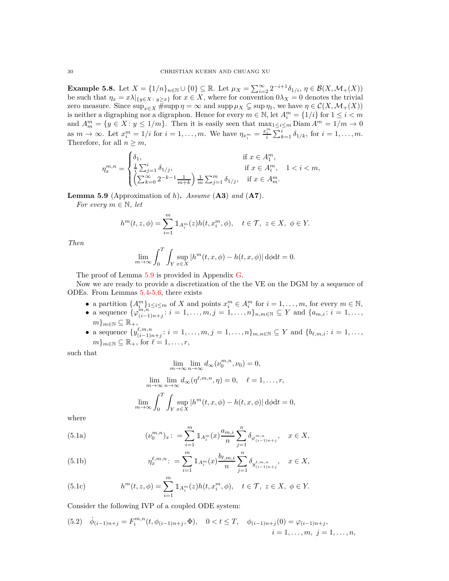<span id="page-29-3"></span>**Example 5.8.** Let  $X = \{1/n\}_{n \in \mathbb{N}} \cup \{0\} \subseteq \mathbb{R}$ . Let  $\mu_X = \sum_{i=2}^{\infty} 2^{-i+1} \delta_{1/i}, \eta \in \mathcal{B}(X, \mathcal{M}_+(X))$ be such that  $\eta_x = x\lambda|_{\{y \in X : y \geq x\}}$  for  $x \in X$ , where for convention  $0\lambda_X = 0$  denotes the trivial zero measure. Since  $\sup_{x \in X} \# \sup p \eta = \infty$  and  $\sup p \mu_X \subsetneq \sup \eta_1$ , we have  $\eta \in C(X, \mathcal{M}_+(X))$ is neither a digraphing nor a digraphon. Hence for every  $m \in \mathbb{N}$ , let  $A_i^m = \{1/i\}$  for  $1 \le i < m$ and  $A_m^m = \{ y \in X : y \leq 1/m \}$ . Then it is easily seen that  $\max_{m=1}^{\infty} \leq i \leq m$  Diam  $A^m = 1/m \to 0$ as  $m \to \infty$ . Let  $x_i^m = 1/i$  for  $i = 1, \ldots, m$ . We have  $\eta_{x_i^m} = \frac{x_i^m}{i} \sum_{k=1}^{i} \delta_{1/k}$ , for  $i = 1, \ldots, m$ . Therefore, for all  $n \geq m$ ,

$$
\eta_x^{m,n}=\begin{cases} \delta_1, &\text{if }x\in A_1^m,\\ \frac{1}{i}\sum_{j=1}^i\delta_{1/j}, &\text{if }x\in A_i^m,\\ \left(\sum_{k=0}^\infty2^{-k-1}\frac{1}{m+k}\right)\frac{1}{m}\sum_{j=1}^m\delta_{1/j}, &\text{if }x\in A_m^m. \end{cases} \quad 1
$$

<span id="page-29-0"></span>**Lemma 5.9** (Approximation of *h*)**.** *Assume* (**A3**) *and* (**A7**)*.*

*For every*  $m \in \mathbb{N}$ *, let* 

$$
h^m(t, z, \phi) = \sum_{i=1}^m \mathbbm{1}_{A_i^m}(z) h(t, x_i^m, \phi), \quad t \in \mathcal{T}, \ z \in X, \ \phi \in Y.
$$

*Then*

$$
\lim_{m \to \infty} \int_0^T \int_Y \sup_{x \in X} |h^m(t, x, \phi) - h(t, x, \phi)| d\phi dt = 0.
$$

The proof of Lemma [5.9](#page-29-0) is provided in Appendix [G.](#page-66-1)

Now we are ready to provide a discretization of the the VE on the DGM by a sequence of ODEs. From Lemmas [5.4-](#page-27-0)[5.6,](#page-27-2) there exists

- a partition  $\{A_i^m\}_{1 \leq i \leq m}$  of *X* and points  $x_i^m \in A_i^m$  for  $i = 1, \ldots, m$ , for every  $m \in \mathbb{N}$ ,
- a sequence  $\{\varphi_{(i-1)}^{m,n}\}$  $\binom{m,n}{(i-1)n+j}$ :  $i = 1, \ldots, m, j = 1, \ldots, n\}$ <sub>*n,m*∈N ⊆ Y and { $a_{m,i}: i = 1, \ldots, n$ }</sub>  $m\}_{m\in\mathbb{N}}\subseteq\mathbb{R}_{+},$
- a sequence  $\{y^{\ell,m,n}_{(i-1)\sigma}$  $(i, m, n \n\t i \in \{1, ..., m, j = 1, ..., n\}$ ,  $n, n \in \mathbb{N} \subseteq Y$  and  $\{b_{\ell,m,i} : i = 1, ..., n\}$  $m\}_{m\in\mathbb{N}}\subseteq\mathbb{R}_+$ , for  $\ell=1,\ldots,r$ ,

such that

$$
\lim_{m \to \infty} \lim_{n \to \infty} d_{\infty}(\nu_0^{m,n}, \nu_0) = 0,
$$
  

$$
\lim_{m \to \infty} \lim_{n \to \infty} d_{\infty}(\eta^{\ell,m,n}, \eta) = 0, \quad \ell = 1, \dots, r,
$$
  

$$
\lim_{m \to \infty} \int_0^T \int_Y \sup_{x \in X} |h^m(t, x, \phi) - h(t, x, \phi)| d\phi dt = 0,
$$

<span id="page-29-2"></span>where

(5.1a) 
$$
(\nu_0^{m,n})_x: = \sum_{i=1}^m \mathbb{1}_{A_i^m}(x) \frac{a_{m,i}}{n} \sum_{j=1}^n \delta_{\varphi_{(i-1)n+j}^{m,n}}, \quad x \in X,
$$

(5.1b) 
$$
\eta_x^{\ell,m,n} := \sum_{i=1}^m 1\!\!1_{A_i^m}(x) \frac{b_{\ell,m,i}}{n} \sum_{j=1}^n \delta_{y_{(i-1)n+j}^{\ell,m,n}}, \quad x \in X,
$$

(5.1c) 
$$
h^{m}(t, z, \phi) = \sum_{i=1}^{m} 1\!\!1_{A_{i}^{m}}(z)h(t, x_{i}^{m}, \phi), \quad t \in \mathcal{T}, \ z \in X, \ \phi \in Y.
$$

Consider the following IVP of a coupled ODE system:

<span id="page-29-1"></span>(5.2) 
$$
\dot{\phi}_{(i-1)n+j} = F_i^{m,n}(t, \phi_{(i-1)n+j}, \Phi), \quad 0 < t \leq T, \quad \phi_{(i-1)n+j}(0) = \varphi_{(i-1)n+j},
$$
\n
$$
i = 1, \ldots, m, \ j = 1, \ldots, n,
$$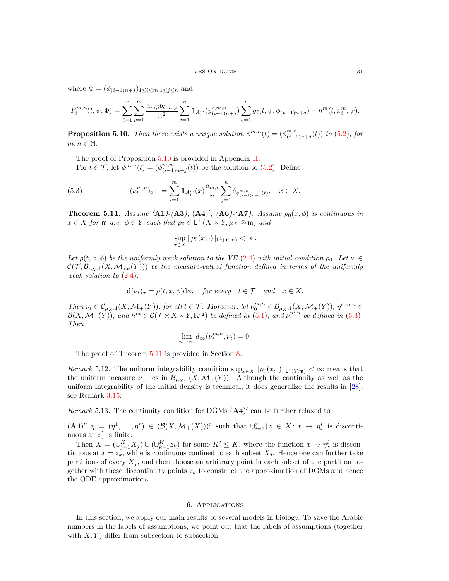where  $\Phi = (\phi_{(i-1)n+j})_{1 \leq i \leq m, 1 \leq j \leq n}$  and

$$
F_i^{m,n}(t,\psi,\Phi) = \sum_{\ell=1}^r \sum_{p=1}^m \frac{a_{m,i}b_{\ell,m,p}}{n^2} \sum_{j=1}^n \mathbbm{1}_{A_p^m}(y_{(i-1)n+j}^{\ell,m,n}) \sum_{q=1}^n g_\ell(t,\psi,\phi_{(p-1)n+q}) + h^m(t,x_i^m,\psi).
$$

<span id="page-30-2"></span>**Proposition 5.10.** *Then there exists a unique solution*  $\phi^{m,n}(t) = (\phi^{m,n}_{(i-1)})(t)$  $\binom{m,n}{(i-1)n+j}(t)$  *to* [\(5.2\)](#page-29-1)*, for*  $m, n \in \mathbb{N}$ .

The proof of Proposition [5.10](#page-30-2) is provided in Appendix [H.](#page-67-0)

<span id="page-30-3"></span>For  $t \in \mathcal{T}$ , let  $\phi^{m,n}(t) = (\phi^{m,n}_{(i-1)})$  $\binom{m,n}{(i-1)n+j}(t)$  be the solution to  $(5.2)$ . Define

(5.3) 
$$
(\nu_t^{m,n})_x: = \sum_{i=1}^m 1\!\!1_{A_i^m}(x) \frac{a_{m,i}}{n} \sum_{j=1}^n \delta_{\phi^{m,n}_{(i-1)n+j}(t)}, \quad x \in X.
$$

<span id="page-30-1"></span>**Theorem 5.11.** *Assume* (**A1**)-(**A3**), (**A4**)', (**A6**)-(**A7**). *Assume*  $\rho_0(x, \phi)$  *is continuous in*  $x \in X$  *for*  $\mathfrak{m}$ *-a.e.*  $\phi \in Y$  *such that*  $\rho_0 \in \mathsf{L}_+^1(X \times Y, \mu_X \otimes \mathfrak{m})$  *and* 

$$
\sup_{x\in X} \|\rho_0(x,\cdot)\|_{\mathsf{L}^1(Y,\mathfrak{m})} < \infty.
$$

*Let*  $\rho(t, x, \phi)$  *be the uniformly weak solution to the VE* [\(2.4\)](#page-10-1) *with initial condition*  $\rho_0$ *. Let*  $\nu \in$  $\mathcal{C}(\mathcal{T}; \mathcal{B}_{\mu_X,1}(X, \mathcal{M}_{\text{abs}}(Y)))$  be the measure-valued function defined in terms of the uniformly *weak solution to* [\(2.4\)](#page-10-1)*:*

$$
d(\nu_t)_x = \rho(t, x, \phi) d\phi
$$
, for every  $t \in \mathcal{T}$  and  $x \in X$ .

Then  $\nu_t \in C_{\mu_X,1}(X, \mathcal{M}_+(Y)),$  for all  $t \in \mathcal{T}$ . Moreover, let  $\nu_0^{m,n} \in \mathcal{B}_{\mu_X,1}(X, \mathcal{M}_+(Y)),$   $\eta^{\ell,m,n} \in$  $\mathcal{B}(X, \mathcal{M}_+(Y))$ , and  $h^m \in \mathcal{C}(\mathcal{T} \times X \times Y, \mathbb{R}^{r_2})$  be defined in [\(5.1\)](#page-29-2), and  $\nu^{m,n}$  be defined in [\(5.3\)](#page-30-3). *Then*

$$
\lim_{n \to \infty} d_{\infty}(\nu_t^{m,n}, \nu_t) = 0.
$$

The proof of Theorem [5.11](#page-30-1) is provided in Section [8.](#page-41-1)

*Remark* 5.12. The uniform integrability condition  $\sup_{x \in X} ||\rho_0(x, \cdot)||_{L^1(Y,\mathfrak{m})} < \infty$  means that the uniform measure  $\nu_0$  lies in  $\mathcal{B}_{\mu_X,1}(X,\mathcal{M}_+(Y))$ . Although the continuity as well as the uniform integrability of the initial density is technical, it does generalize the results in [\[28\]](#page-47-10), see Remark [3.15.](#page-20-4)

*Remark* 5.13. The continuity condition for DGMs  $(A4)'$  can be further relaxed to

 $(A4)''\ \eta = (\eta^1, \ldots, \eta^r) \in (\mathcal{B}(X, \mathcal{M}_+(X)))^r$  such that  $\bigcup_{i=1}^r \{z \in X : x \mapsto \eta^i_x \text{ is discontinuous}\}$ nuous at *z*} is finite.

Then  $X = (\bigcup_{j=1}^K X_j) \cup (\bigcup_{k=1}^{K'} z_k)$  for some  $K' \leq K$ , where the function  $x \mapsto \eta_x^i$  is discontinuous at  $x = z_k$ , while is continuous confined to each subset  $X_j$ . Hence one can further take partitions of every  $X_i$ , and then choose an arbitrary point in each subset of the partition together with these discontinuity points  $z_k$  to construct the approximation of DGMs and hence the ODE approximations.

## 6. Applications

<span id="page-30-0"></span>In this section, we apply our main results to several models in biology. To save the Arabic numbers in the labels of assumptions, we point out that the labels of assumptions (together with  $X, Y$  differ from subsection to subsection.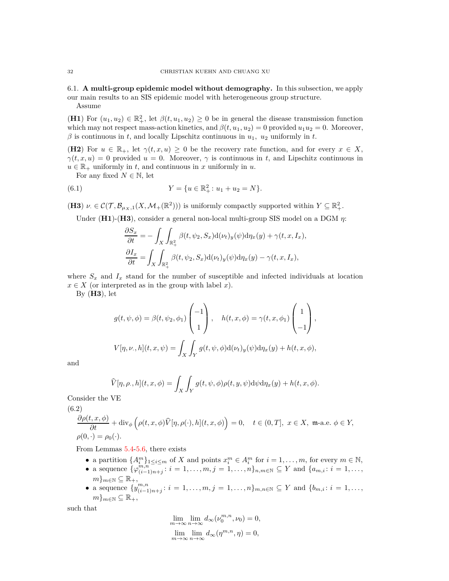<span id="page-31-0"></span>6.1. **A multi-group epidemic model without demography.** In this subsection, we apply our main results to an SIS epidemic model with heterogeneous group structure. Assume

**(H1)** For  $(u_1, u_2) \in \mathbb{R}^2_+$ , let  $\beta(t, u_1, u_2) \geq 0$  be in general the disease transmission function which may not respect mass-action kinetics, and  $\beta(t, u_1, u_2) = 0$  provided  $u_1 u_2 = 0$ . Moreover,  $\beta$  is continuous in *t*, and locally Lipschitz continuous in  $u_1$ ,  $u_2$  uniformly in *t*.

**(H2**) For  $u \in \mathbb{R}_+$ , let  $\gamma(t, x, u) \geq 0$  be the recovery rate function, and for every  $x \in X$ ,  $\gamma(t, x, u) = 0$  provided  $u = 0$ . Moreover,  $\gamma$  is continuous in *t*, and Lipschitz continuous in  $u \in \mathbb{R}_+$  uniformly in *t*, and continuous in *x* uniformly in *u*.

For any fixed  $N \in \mathbb{N}$ , let

(6.1) 
$$
Y = \{u \in \mathbb{R}^2_+ : u_1 + u_2 = N\}.
$$

(**H3**)  $\nu \in \mathcal{C}(\mathcal{T}, \mathcal{B}_{\mu_X,1}(X, \mathcal{M}_+(\mathbb{R}^2)))$  is uniformly compactly supported within  $Y \subseteq \mathbb{R}^2_+$ .

Under (**H1**)-(**H3**), consider a general non-local multi-group SIS model on a DGM *η*:

<span id="page-31-2"></span>
$$
\frac{\partial S_x}{\partial t} = -\int_X \int_{\mathbb{R}_+^2} \beta(t, \psi_2, S_x) d(\nu_t)_y(\psi) d\eta_x(y) + \gamma(t, x, I_x),
$$
  

$$
\frac{\partial I_x}{\partial t} = \int_X \int_{\mathbb{R}_+^2} \beta(t, \psi_2, S_x) d(\nu_t)_y(\psi) d\eta_x(y) - \gamma(t, x, I_x),
$$

where  $S_x$  and  $I_x$  stand for the number of susceptible and infected individuals at location  $x \in X$  (or interpreted as in the group with label *x*).

By (**H3**), let

$$
g(t, \psi, \phi) = \beta(t, \psi_2, \phi_1) \begin{pmatrix} -1 \\ 1 \end{pmatrix}, \quad h(t, x, \phi) = \gamma(t, x, \phi_1) \begin{pmatrix} 1 \\ -1 \end{pmatrix},
$$

$$
V[\eta, \nu, h](t, x, \psi) = \int_X \int_Y g(t, \psi, \phi) d(\nu_t)_y(\psi) d\eta_x(y) + h(t, x, \phi),
$$

and

$$
\widehat{V}[\eta, \rho_-, h](t, x, \phi) = \int_X \int_Y g(t, \psi, \phi) \rho(t, y, \psi) d\psi d\eta_x(y) + h(t, x, \phi).
$$

Consider the VE

(6.2)

<span id="page-31-1"></span>
$$
\frac{\partial \rho(t, x, \phi)}{\partial t} + \text{div}_{\phi} \left( \rho(t, x, \phi) \widehat{V}[\eta, \rho(\cdot), h](t, x, \phi) \right) = 0, \quad t \in (0, T], \ x \in X, \ \mathfrak{m} \text{-a.e. } \phi \in Y,
$$
  

$$
\rho(0, \cdot) = \rho_0(\cdot).
$$

From Lemmas [5.4-](#page-27-0)[5.6,](#page-27-2) there exists

- a partition  $\{A_i^m\}_{1 \leq i \leq m}$  of *X* and points  $x_i^m \in A_i^m$  for  $i = 1, \ldots, m$ , for every  $m \in \mathbb{N}$ ,
- a sequence  $\{\varphi_{(i-1)}^{m,n}\}$  $\binom{m,n}{(i-1)n+j}$ :  $i = 1, \ldots, m, j = 1, \ldots, n\}$ <sub>*n,m*∈N</sub> ⊆ Y and { $a_{m,i}: i = 1, \ldots, n$ }  $m\}_{m\in\mathbb{N}}\subseteq\mathbb{R}_{+},$
- a sequence  $\{y^{m,n}_{(i-1)}\}$  $\binom{m,n}{(i-1)n+j}$ :  $i = 1, \ldots, m, j = 1, \ldots, n$ *}* $m, n \in \mathbb{N}$  ⊆ *Y* and { $b_{m,i}: i = 1, \ldots, n$ }  $m\}_{m\in\mathbb{N}}\subseteq\mathbb{R}_+,$

such that

$$
\lim_{m \to \infty} \lim_{n \to \infty} d_{\infty}(\nu_0^{m,n}, \nu_0) = 0,
$$
  

$$
\lim_{m \to \infty} \lim_{n \to \infty} d_{\infty}(\eta^{m,n}, \eta) = 0,
$$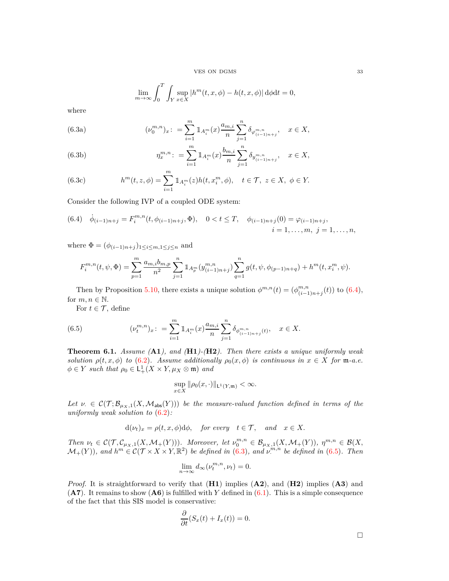VES ON DGMS 33

$$
\lim_{m \to \infty} \int_0^T \int_Y \sup_{x \in X} |h^m(t, x, \phi) - h(t, x, \phi)| d\phi dt = 0,
$$

<span id="page-32-1"></span>where

(6.3a) 
$$
(\nu_0^{m,n})_x: = \sum_{i=1}^m 1\!\!1_{A_i^m}(x) \frac{a_{m,i}}{n} \sum_{j=1}^n \delta_{\varphi_{(i-1)n+j}^{m,n}}, \quad x \in X,
$$

(6.3b) 
$$
\eta_x^{m,n} := \sum_{i=1}^m \mathbb{1}_{A_i^m}(x) \frac{b_{m,i}}{n} \sum_{j=1}^n \delta_{y_{(i-1)n+j}^{m,n}}, \quad x \in X,
$$

(6.3c) 
$$
h^{m}(t, z, \phi) = \sum_{i=1}^{m} 1 \, A_{i}^{m}(z) h(t, x_{i}^{m}, \phi), \quad t \in \mathcal{T}, \ z \in X, \ \phi \in Y.
$$

Consider the following IVP of a coupled ODE system:

<span id="page-32-0"></span>
$$
(6.4) \quad \dot{\phi}_{(i-1)n+j} = F_i^{m,n}(t, \phi_{(i-1)n+j}, \Phi), \quad 0 < t \le T, \quad \phi_{(i-1)n+j}(0) = \varphi_{(i-1)n+j},
$$
\n
$$
i = 1, \dots, m, \ j = 1, \dots, n,
$$

where  $\Phi = (\phi_{(i-1)n+j})_{1 \leq i \leq m, 1 \leq j \leq n}$  and

$$
F_i^{m,n}(t,\psi,\Phi) = \sum_{p=1}^m \frac{a_{m,i}b_{m,p}}{n^2} \sum_{j=1}^n \mathbbm{1}_{A_p^m}(y^{m,n}_{(i-1)n+j}) \sum_{q=1}^n g(t,\psi,\phi_{(p-1)n+q}) + h^m(t,x_i^m,\psi).
$$

Then by Proposition [5.10,](#page-30-2) there exists a unique solution  $\phi^{m,n}(t) = (\phi^{m,n}_{(i-1)})$  $\binom{m,n}{(i-1)n+j}(t)$  to [\(6.4\)](#page-32-0), for  $m, n \in \mathbb{N}$ .

<span id="page-32-2"></span>For  $t \in \mathcal{T}$ , define

(6.5) 
$$
(\nu_t^{m,n})_x: = \sum_{i=1}^m \mathbb{1}_{A_i^m}(x) \frac{a_{m,i}}{n} \sum_{j=1}^n \delta_{\phi_{(i-1)n+j}^{m,n}(t)}, \quad x \in X.
$$

**Theorem 6.1.** *Assume (***A1***), and (***H1***)-(***H2***). Then there exists a unique uniformly weak solution*  $\rho(t, x, \phi)$  *to* [\(6.2\)](#page-31-1)*.* Assume additionally  $\rho_0(x, \phi)$  is continuous in  $x \in X$  for m-a.e.  $\phi \in Y$  *such that*  $\rho_0 \in L^1_+(X \times Y, \mu_X \otimes \mathfrak{m})$  *and* 

$$
\sup_{x\in X} \|\rho_0(x,\cdot)\|_{\mathsf{L}^1(Y,\mathfrak{m})} < \infty.
$$

Let  $\nu \in C(\mathcal{T}; \mathcal{B}_{\mu_X,1}(X, \mathcal{M}_{\text{abs}}(Y)))$  be the measure-valued function defined in terms of the *uniformly weak solution to* [\(6.2\)](#page-31-1)*:*

$$
d(\nu_t)_x = \rho(t, x, \phi) d\phi
$$
, for every  $t \in \mathcal{T}$ , and  $x \in X$ .

Then  $\nu_t \in \mathcal{C}(\mathcal{T}, \mathcal{C}_{\mu_X,1}(X, \mathcal{M}_+(Y))).$  Moreover, let  $\nu_0^{m,n} \in \mathcal{B}_{\mu_X,1}(X, \mathcal{M}_+(Y)),$   $\eta^{m,n} \in \mathcal{B}(X, \mathcal{M}_+(Y)).$  $\mathcal{M}_+(Y)$ ), and  $h^m \in \mathcal{C}(\mathcal{T} \times X \times Y, \mathbb{R}^2)$  be defined in [\(6.3\)](#page-32-1), and  $v^{m,n}$  be defined in [\(6.5\)](#page-32-2). Then

$$
\lim_{n \to \infty} d_{\infty}(\nu_t^{m,n}, \nu_t) = 0.
$$

*Proof.* It is straightforward to verify that (**H1**) implies (**A2**), and (**H2**) implies (**A3**) and (**A7**). It remains to show (**A6**) is fulfilled with *Y* defined in [\(6.1\)](#page-31-2). This is a simple consequence of the fact that this SIS model is conservative:

$$
\frac{\partial}{\partial t}(S_x(t) + I_x(t)) = 0.
$$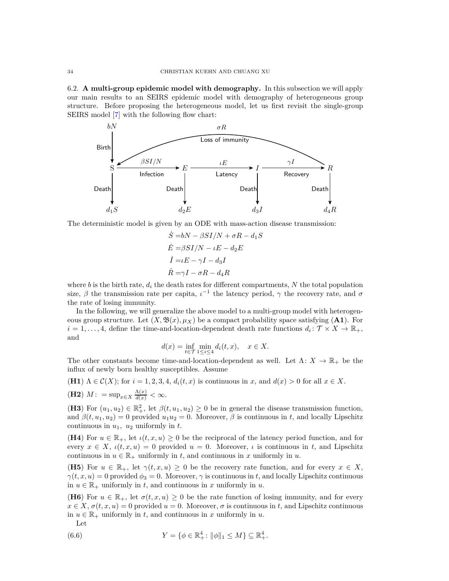<span id="page-33-0"></span>6.2. **A multi-group epidemic model with demography.** In this subsection we will apply our main results to an SEIRS epidemic model with demography of heterogeneous group structure. Before proposing the heterogeneous model, let us first revisit the single-group SEIRS model [\[7\]](#page-46-21) with the following flow chart:



The deterministic model is given by an ODE with mass-action disease transmission:

$$
\dot{S} = bN - \beta SI/N + \sigma R - d_1 S
$$
  
\n
$$
\dot{E} = \beta SI/N - \iota E - d_2 E
$$
  
\n
$$
\dot{I} = \iota E - \gamma I - d_3 I
$$
  
\n
$$
\dot{R} = \gamma I - \sigma R - d_4 R
$$

where  $b$  is the birth rate,  $d_i$  the death rates for different compartments,  $N$  the total population size,  $\beta$  the transmission rate per capita,  $\iota^{-1}$  the latency period,  $\gamma$  the recovery rate, and  $\sigma$ the rate of losing immunity.

In the following, we will generalize the above model to a multi-group model with heterogeneous group structure. Let  $(X, \mathfrak{B}(x), \mu_X)$  be a compact probability space satisfying  $(\mathbf{A1})$ . For  $i = 1, \ldots, 4$ , define the time-and-location-dependent death rate functions  $d_i: \mathcal{T} \times X \to \mathbb{R}_+$ , and

$$
d(x) = \inf_{t \in \mathcal{T}} \min_{1 \le i \le 4} d_i(t, x), \quad x \in X.
$$

The other constants become time-and-location-dependent as well. Let  $\Lambda: X \to \mathbb{R}_+$  be the influx of newly born healthy susceptibles. Assume

(H1) 
$$
\Lambda \in \mathcal{C}(X)
$$
; for  $i = 1, 2, 3, 4$ ,  $d_i(t, x)$  is continuous in x, and  $d(x) > 0$  for all  $x \in X$ .

(H2) 
$$
M
$$
:  $= \sup_{x \in X} \frac{\Lambda(x)}{d(x)} < \infty$ .

**(H3)** For  $(u_1, u_2) \in \mathbb{R}^2_+$ , let  $\beta(t, u_1, u_2) \ge 0$  be in general the disease transmission function, and  $\beta(t, u_1, u_2) = 0$  provided  $u_1 u_2 = 0$ . Moreover,  $\beta$  is continuous in *t*, and locally Lipschitz continuous in  $u_1$ ,  $u_2$  uniformly in  $t$ .

**(H4)** For  $u \in \mathbb{R}_+$ , let  $\iota(t, x, u) \geq 0$  be the reciprocal of the latency period function, and for every  $x \in X$ ,  $\iota(t, x, u) = 0$  provided  $u = 0$ . Moreover,  $\iota$  is continuous in t, and Lipschitz continuous in  $u \in \mathbb{R}_+$  uniformly in *t*, and continuous in *x* uniformly in *u*.

(**H5**) For  $u \in \mathbb{R}_+$ , let  $\gamma(t, x, u) \geq 0$  be the recovery rate function, and for every  $x \in X$ ,  $\gamma(t, x, u) = 0$  provided  $\phi_3 = 0$ . Moreover,  $\gamma$  is continuous in *t*, and locally Lipschitz continuous in  $u \in \mathbb{R}_+$  uniformly in *t*, and continuous in *x* uniformly in *u*.

**(H6)** For  $u \in \mathbb{R}_+$ , let  $\sigma(t, x, u) \geq 0$  be the rate function of losing immunity, and for every  $x \in X$ ,  $\sigma(t, x, u) = 0$  provided  $u = 0$ . Moreover,  $\sigma$  is continuous in *t*, and Lipschitz continuous in  $u \in \mathbb{R}_+$  uniformly in *t*, and continuous in *x* uniformly in *u*.

<span id="page-33-1"></span>Let

(6.6) 
$$
Y = \{ \phi \in \mathbb{R}^4_+ : ||\phi||_1 \le M \} \subseteq \mathbb{R}^4_+.
$$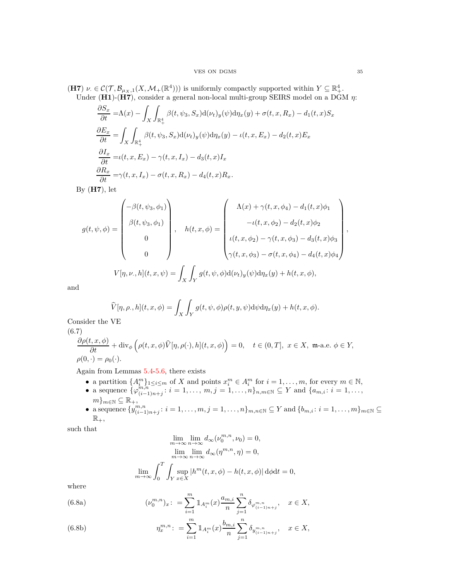### VES ON DGMS 35

(**H7**)  $\nu \in C(\mathcal{T}, \mathcal{B}_{\mu_X,1}(X, \mathcal{M}_+(\mathbb{R}^4)))$  is uniformly compactly supported within  $Y \subseteq \mathbb{R}^4_+$ . Under (**H1**)-(**H7**), consider a general non-local multi-group SEIRS model on a DGM *η*:

$$
\frac{\partial S_x}{\partial t} = \Lambda(x) - \int_X \int_{\mathbb{R}_+^4} \beta(t, \psi_3, S_x) d(\nu_t)_y(\psi) d\eta_x(y) + \sigma(t, x, R_x) - d_1(t, x) S_x
$$
  
\n
$$
\frac{\partial E_x}{\partial t} = \int_X \int_{\mathbb{R}_+^4} \beta(t, \psi_3, S_x) d(\nu_t)_y(\psi) d\eta_x(y) - \iota(t, x, E_x) - d_2(t, x) E_x
$$
  
\n
$$
\frac{\partial I_x}{\partial t} = \iota(t, x, E_x) - \gamma(t, x, I_x) - d_3(t, x) I_x
$$
  
\n
$$
\frac{\partial R_x}{\partial t} = \gamma(t, x, I_x) - \sigma(t, x, R_x) - d_4(t, x) R_x.
$$

By (**H7**), let

$$
g(t, \psi, \phi) = \begin{pmatrix} -\beta(t, \psi_3, \phi_1) \\ \beta(t, \psi_3, \phi_1) \\ 0 \\ 0 \end{pmatrix}, \quad h(t, x, \phi) = \begin{pmatrix} \Lambda(x) + \gamma(t, x, \phi_4) - d_1(t, x)\phi_1 \\ -\iota(t, x, \phi_2) - d_2(t, x)\phi_2 \\ \iota(t, x, \phi_2) - \gamma(t, x, \phi_3) - d_3(t, x)\phi_3 \\ \gamma(t, x, \phi_3) - \sigma(t, x, \phi_4) - d_4(t, x)\phi_4 \end{pmatrix},
$$

$$
V[\eta, \nu, h](t, x, \psi) = \int_X \int_Y g(t, \psi, \phi) d(\nu_t)_y(\psi) d\eta_x(y) + h(t, x, \phi),
$$

and

$$
\widehat{V}[\eta, \rho_-, h](t, x, \phi) = \int_X \int_Y g(t, \psi, \phi) \rho(t, y, \psi) d\psi d\eta_x(y) + h(t, x, \phi).
$$

Consider the VE

(6.7)

<span id="page-34-0"></span>
$$
\frac{\partial \rho(t, x, \phi)}{\partial t} + \text{div}_{\phi} \left( \rho(t, x, \phi) \widehat{V}[\eta, \rho(\cdot), h](t, x, \phi) \right) = 0, \quad t \in (0, T], \ x \in X, \ \mathfrak{m} \text{-a.e. } \phi \in Y,
$$
  

$$
\rho(0, \cdot) = \rho_0(\cdot).
$$

Again from Lemmas [5.4-](#page-27-0)[5.6,](#page-27-2) there exists

- a partition  $\{A_i^m\}_{1 \leq i \leq m}$  of *X* and points  $x_i^m \in A_i^m$  for  $i = 1, \ldots, m$ , for every  $m \in \mathbb{N}$ ,
- a sequence  $\{\varphi_{(i-1)}^{m,n}\}$  $\binom{m,n}{(i-1)n+j}$ :  $i = 1, \ldots, m, j = 1, \ldots, n\}$ <sub>*n*,*m*∈N ⊆ Y and { $a_{m,i}: i = 1, \ldots, n$ }</sub>  $m\}_{m\in\mathbb{N}}\subseteq\mathbb{R}_{+},$
- a sequence  ${y^{m,n}_{(i-1)}}$  $\{m,n \atop (i-1)n+j}: i = 1,\ldots,m, j = 1,\ldots,n\}$   $m,n \in \mathbb{N} \subseteq Y$  and  $\{b_{m,i}: i = 1,\ldots,m\}$   $m \in \mathbb{N} \subseteq Y$  $\mathbb{R}_+,$

such that

$$
\lim_{m \to \infty} \lim_{n \to \infty} d_{\infty}(\nu_0^{m,n}, \nu_0) = 0,
$$
  
\n
$$
\lim_{m \to \infty} \lim_{n \to \infty} d_{\infty}(\eta^{m,n}, \eta) = 0,
$$
  
\n
$$
\lim_{m \to \infty} \int_0^T \int_Y \sup_{x \in X} |h^m(t, x, \phi) - h(t, x, \phi)| d\phi dt = 0,
$$

<span id="page-34-1"></span>where

(6.8a) 
$$
(\nu_0^{m,n})_x: = \sum_{i=1}^m \mathbb{1}_{A_i^m}(x) \frac{a_{m,i}}{n} \sum_{j=1}^n \delta_{\varphi_{(i-1)n+j}^{m,n}}, \quad x \in X,
$$

(6.8b) 
$$
\eta_x^{m,n} \colon = \sum_{i=1}^m 1\!\!1_{A_i^m}(x) \frac{b_{m,i}}{n} \sum_{j=1}^n \delta_{y_{(i-1)n+j}^{m,n}}, \quad x \in X,
$$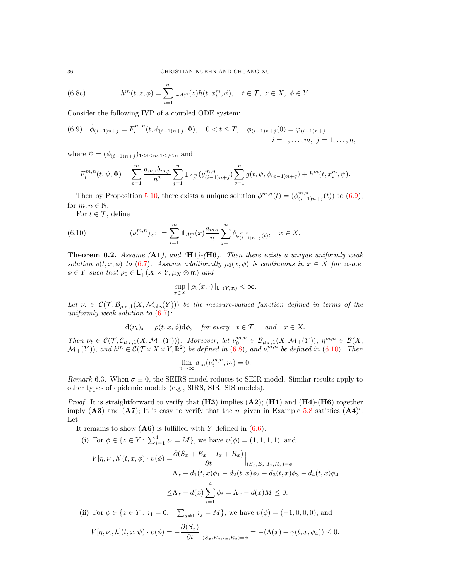(6.8c) 
$$
h^{m}(t, z, \phi) = \sum_{i=1}^{m} 1\!\!1_{A_{i}^{m}}(z)h(t, x_{i}^{m}, \phi), \quad t \in \mathcal{T}, \ z \in X, \ \phi \in Y.
$$

Consider the following IVP of a coupled ODE system:

<span id="page-35-0"></span>(6.9) 
$$
\dot{\phi}_{(i-1)n+j} = F_i^{m,n}(t, \phi_{(i-1)n+j}, \Phi), \quad 0 < t \leq T, \quad \phi_{(i-1)n+j}(0) = \varphi_{(i-1)n+j},
$$
\n
$$
i = 1, \dots, m, \ j = 1, \dots, n,
$$

where  $\Phi = (\phi_{(i-1)n+j})_{1 \leq i \leq m, 1 \leq j \leq n}$  and

$$
F_i^{m,n}(t,\psi,\Phi) = \sum_{p=1}^m \frac{a_{m,i}b_{m,p}}{n^2} \sum_{j=1}^n \mathbbm{1}_{A_p^m}(y_{(i-1)n+j}^{m,n}) \sum_{q=1}^n g(t,\psi,\phi_{(p-1)n+q}) + h^m(t,x_i^m,\psi).
$$

Then by Proposition [5.10,](#page-30-2) there exists a unique solution  $\phi^{m,n}(t) = (\phi^{m,n}_{(i-1)})$  $\binom{m,n}{(i-1)n+j}(t)$  to [\(6.9\)](#page-35-0), for  $m, n \in \mathbb{N}$ .

<span id="page-35-1"></span>For  $t \in \mathcal{T}$ , define

(6.10) 
$$
(\nu_t^{m,n})_x: = \sum_{i=1}^m \mathbb{1}_{A_i^m}(x) \frac{a_{m,i}}{n} \sum_{j=1}^n \delta_{\phi_{(i-1)n+j}^{m,n}(t)}, \quad x \in X.
$$

**Theorem 6.2.** *Assume (***A1***), and (***H1***)-(***H6***). Then there exists a unique uniformly weak solution*  $\rho(t, x, \phi)$  *to* [\(6.7\)](#page-34-0)*.* Assume additionally  $\rho_0(x, \phi)$  is continuous in  $x \in X$  for m-a.e.  $\phi \in Y$  *such that*  $\rho_0 \in L^1_+(X \times Y, \mu_X \otimes \mathfrak{m})$  *and* 

$$
\sup_{x\in X} \|\rho_0(x,\cdot)\|_{\mathsf{L}^1(Y,\mathfrak{m})} < \infty.
$$

Let  $\nu \in C(\mathcal{T}; \mathcal{B}_{\mu_X,1}(X, \mathcal{M}_{\text{abs}}(Y)))$  be the measure-valued function defined in terms of the *uniformly weak solution to* [\(6.7\)](#page-34-0)*:*

$$
d(\nu_t)_x = \rho(t, x, \phi) d\phi
$$
, for every  $t \in \mathcal{T}$ , and  $x \in X$ .

Then  $\nu_t \in \mathcal{C}(\mathcal{T}, \mathcal{C}_{\mu_X,1}(X, \mathcal{M}_+(Y)))$ . Moreover, let  $\nu_0^{m,n} \in \mathcal{B}_{\mu_X,1}(X, \mathcal{M}_+(Y)), \ \eta^{m,n} \in \mathcal{B}(X, \mathcal{M}_+(Y))$  $\mathcal{M}_+(Y)$ ), and  $h^m \in \mathcal{C}(\mathcal{T} \times X \times Y, \mathbb{R}^2)$  be defined in [\(6.8\)](#page-34-1), and  $v^{m,n}$  be defined in [\(6.10\)](#page-35-1). Then

$$
\lim_{n \to \infty} d_{\infty}(\nu_t^{m,n}, \nu_t) = 0.
$$

*Remark* 6.3. When  $\sigma \equiv 0$ , the SEIRS model reduces to SEIR model. Similar results apply to other types of epidemic models (e.g., SIRS, SIR, SIS models).

*Proof.* It is straightforward to verify that (**H3**) implies (**A2**); (**H1**) and (**H4**)-(**H6**) together imply  $(A3)$  and  $(A7)$ ; It is easy to verify that the *η*. given in Example [5.8](#page-29-3) satisfies  $(A4)'$ . Let

It remains to show (**A6**) is fulfilled with *Y* defined in [\(6.6\)](#page-33-1).

(i) For  $\phi \in \{z \in Y: \sum_{i=1}^{4} z_i = M\}$ , we have  $v(\phi) = (1, 1, 1, 1)$ , and

$$
V[\eta, \nu, h](t, x, \phi) \cdot \nu(\phi) = \frac{\partial (S_x + E_x + I_x + R_x)}{\partial t} \Big|_{(S_x, E_x, I_x, R_x) = \phi}
$$
  
=  $\Lambda_x - d_1(t, x)\phi_1 - d_2(t, x)\phi_2 - d_3(t, x)\phi_3 - d_4(t, x)\phi_4$   
 $\leq \Lambda_x - d(x) \sum_{i=1}^4 \phi_i = \Lambda_x - d(x)M \leq 0.$ 

(ii) For  $\phi \in \{z \in Y : z_1 = 0, \quad \sum_{j \neq 1} z_j = M\}$ , we have  $v(\phi) = (-1, 0, 0, 0)$ , and

$$
V[\eta,\nu,h](t,x,\psi)\cdot\upsilon(\phi)=-\frac{\partial(S_x)}{\partial t}\Big|_{(S_x,E_x,I_x,R_x)=\phi}=-\left(\Lambda(x)+\gamma(t,x,\phi_4)\right)\leq 0.
$$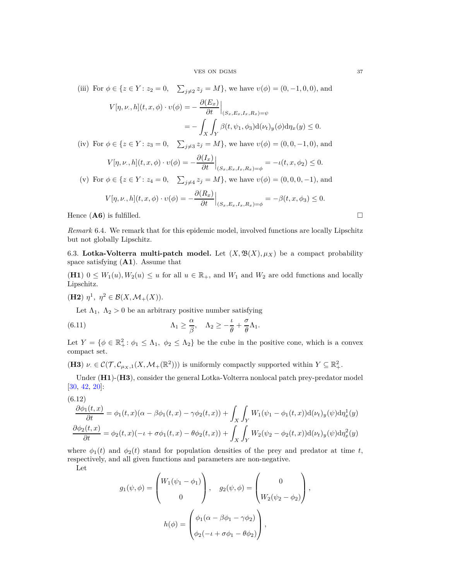(iii) For 
$$
\phi \in \{z \in Y : z_2 = 0, \sum_{j \neq 2} z_j = M\}
$$
, we have  $v(\phi) = (0, -1, 0, 0)$ , and  
\n
$$
V[\eta, \nu, h](t, x, \phi) \cdot v(\phi) = -\frac{\partial(E_x)}{\partial t}\Big|_{(S_x, E_x, I_x, R_x) = \psi}
$$
\n
$$
= -\int_X \int_Y \beta(t, \psi_1, \phi_3) d(\nu_t)_y(\phi) d\eta_x(y) \le 0.
$$
\n(iv) For  $\phi \in \{z \in Y : z_3 = 0, \sum_{j \neq 3} z_j = M\}$ , we have  $v(\phi) = (0, 0, -1, 0)$ , and  
\n
$$
V[\eta, \nu, h](t, x, \phi) \cdot v(\phi) = -\frac{\partial(I_x)}{\partial t}\Big|_{(S_x, E_x, I_x, R_x) = \phi} = -\iota(t, x, \phi_2) \le 0.
$$
\n(v) For  $\phi \in \{z \in Y : z_4 = 0, \sum_{j \neq 4} z_j = M\}$ , we have  $v(\phi) = (0, 0, 0, -1)$ , and  
\n
$$
V[\eta, \nu, h](t, x, \phi) \cdot v(\phi) = -\frac{\partial(R_x)}{\partial t}\Big|_{(S_x, E_x, I_x, R_x) = \phi} = -\beta(t, x, \phi_3) \le 0.
$$

Hence  $($ **A6** $)$  is fulfilled.  $\Box$ 

*Remark* 6.4. We remark that for this epidemic model, involved functions are locally Lipschitz but not globally Lipschitz.

<span id="page-36-0"></span>6.3. Lotka-Volterra multi-patch model. Let  $(X, \mathfrak{B}(X), \mu_X)$  be a compact probability space satisfying (**A1**). Assume that

(**H1**)  $0 \leq W_1(u), W_2(u) \leq u$  for all  $u \in \mathbb{R}_+$ , and  $W_1$  and  $W_2$  are odd functions and locally Lipschitz.

**(H2)**  $\eta^1$ ,  $\eta^2 \in \mathcal{B}(X, \mathcal{M}_+(X)).$ 

<span id="page-36-1"></span>Let  $\Lambda_1$ ,  $\Lambda_2 > 0$  be an arbitrary positive number satisfying

(6.11) 
$$
\Lambda_1 \geq \frac{\alpha}{\beta}, \quad \Lambda_2 \geq -\frac{\iota}{\theta} + \frac{\sigma}{\theta} \Lambda_1.
$$

Let  $Y = \{ \phi \in \mathbb{R}^2_+ : \phi_1 \leq \Lambda_1, \phi_2 \leq \Lambda_2 \}$  be the cube in the positive cone, which is a convex compact set.

(**H3**)  $\nu \in \mathcal{C}(\mathcal{T}, \mathcal{C}_{\mu_X,1}(X, \mathcal{M}_+(\mathbb{R}^2)))$  is uniformly compactly supported within  $Y \subseteq \mathbb{R}^2_+$ .

Under (**H1**)-(**H3**), consider the general Lotka-Volterra nonlocal patch prey-predator model [\[30,](#page-47-21) [42,](#page-47-22) [20\]](#page-46-22):

<span id="page-36-2"></span>(6.12)  
\n
$$
\frac{\partial \phi_1(t,x)}{\partial t} = \phi_1(t,x)(\alpha - \beta \phi_1(t,x) - \gamma \phi_2(t,x)) + \int_X \int_Y W_1(\psi_1 - \phi_1(t,x)) \mathrm{d}(\nu_t)_y(\psi) d\eta_x^1(y)
$$
\n
$$
\frac{\partial \phi_2(t,x)}{\partial t} = \phi_2(t,x)(-t + \sigma \phi_1(t,x) - \theta \phi_2(t,x)) + \int_X \int_Y W_2(\psi_2 - \phi_2(t,x)) \mathrm{d}(\nu_t)_y(\psi) d\eta_x^2(y)
$$

where  $\phi_1(t)$  and  $\phi_2(t)$  stand for population densities of the prey and predator at time *t*, respectively, and all given functions and parameters are non-negative.

Let

$$
g_1(\psi, \phi) = \begin{pmatrix} W_1(\psi_1 - \phi_1) \\ 0 \end{pmatrix}, \quad g_2(\psi, \phi) = \begin{pmatrix} 0 \\ W_2(\psi_2 - \phi_2) \end{pmatrix},
$$

$$
h(\phi) = \begin{pmatrix} \phi_1(\alpha - \beta \phi_1 - \gamma \phi_2) \\ \phi_2(-\iota + \sigma \phi_1 - \theta \phi_2) \end{pmatrix},
$$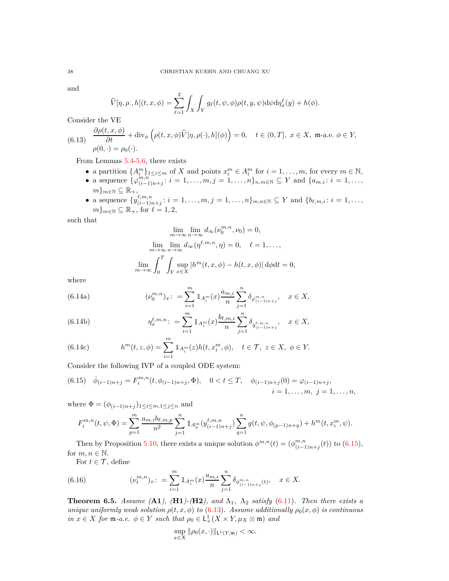and

$$
\widehat{V}[\eta,\rho,h](t,x,\phi) = \sum_{\ell=1}^2 \int_X \int_Y g_\ell(t,\psi,\phi) \rho(t,y,\psi) \mathrm{d}\psi \mathrm{d}\eta_x^{\ell}(y) + h(\phi).
$$

Consider the VE

<span id="page-37-1"></span>(6.13) 
$$
\frac{\partial \rho(t, x, \phi)}{\partial t} + \text{div}_{\phi} \left( \rho(t, x, \phi) \widehat{V}[\eta, \rho(\cdot), h](\phi) \right) = 0, \quad t \in (0, T], \ x \in X, \ \mathfrak{m}\text{-a.e. } \phi \in Y,
$$

$$
\rho(0, \cdot) = \rho_0(\cdot).
$$

From Lemmas [5.4-](#page-27-0)[5.6,](#page-27-2) there exists

- a partition  $\{A_i^m\}_{1 \leq i \leq m}$  of *X* and points  $x_i^m \in A_i^m$  for  $i = 1, \ldots, m$ , for every  $m \in \mathbb{N}$ ,
- a sequence  $\{\varphi_{(i-1)}^{m,n}\}$  $\binom{m,n}{(i-1)n+j}$ :  $i = 1, \ldots, m, j = 1, \ldots, n\}$ <sub>*n,m*∈N</sub> ⊆ Y and { $a_{m,i}: i = 1, \ldots, n$ }  $m\}_{m\in\mathbb{N}}\subseteq\mathbb{R}_{+},$
- a sequence  $\{y^{\ell,m,n}_{(i-1)\sigma}$  $(i, m, n, i; i = 1, \ldots, m, j = 1, \ldots, n\}$ <sub>*m*,*n*∈N ⊆ *Y* and {*b*<sub>*l*</sub><sub>*m*,*i*</sub>: *i* = 1,...,</sub>  $m\}_{m\in\mathbb{N}}\subseteq\mathbb{R}_+$ , for  $\ell=1,2$ ,

such that

$$
\lim_{m \to \infty} \lim_{n \to \infty} d_{\infty}(\nu_0^{m,n}, \nu_0) = 0,
$$
  

$$
\lim_{m \to \infty} \lim_{n \to \infty} d_{\infty}(\eta^{\ell, m, n}, \eta) = 0, \quad \ell = 1, ...,
$$
  

$$
\lim_{m \to \infty} \int_0^T \int_Y \sup_{x \in X} |h^m(t, x, \phi) - h(t, x, \phi)| d\phi dt = 0,
$$

<span id="page-37-2"></span>where

(6.14a) 
$$
(\nu_0^{m,n})_x: = \sum_{i=1}^m \mathbb{1}_{A_i^m}(x) \frac{a_{m,i}}{n} \sum_{j=1}^n \delta_{\varphi_{(i-1)n+j}^{m,n}}, \quad x \in X,
$$

(6.14b) 
$$
\eta_x^{\ell,m,n} \colon = \sum_{i=1}^m 1\!\!1_{A_i^m}(x) \frac{b_{\ell,m,i}}{n} \sum_{j=1}^n \delta_{y_{(i-1)n+j}^{\ell,m,n}}, \quad x \in X,
$$

(6.14c) 
$$
h^{m}(t, z, \phi) = \sum_{i=1}^{m} 1\!\!1_{A_{i}^{m}}(z)h(t, x_{i}^{m}, \phi), \quad t \in \mathcal{T}, \ z \in X, \ \phi \in Y.
$$

Consider the following IVP of a coupled ODE system:

<span id="page-37-0"></span>
$$
(6.15) \quad \dot{\phi}_{(i-1)n+j} = F_i^{m,n}(t, \phi_{(i-1)n+j}, \Phi), \quad 0 < t \le T, \quad \phi_{(i-1)n+j}(0) = \varphi_{(i-1)n+j},
$$
\n
$$
i = 1, \dots, m, \ j = 1, \dots, n,
$$

where  $\Phi = (\phi_{(i-1)n+j})_{1 \leq i \leq m, 1 \leq j \leq n}$  and

$$
F_i^{m,n}(t,\psi,\Phi) = \sum_{p=1}^m \frac{a_{m,i}b_{\ell,m,p}}{n^2} \sum_{j=1}^n \mathbbm{1}_{A_p^m}(y_{(i-1)n+j}^{\ell,m,n}) \sum_{q=1}^n g(t,\psi,\phi_{(p-1)n+q}) + h^m(t,x_i^m,\psi).
$$

Then by Proposition [5.10,](#page-30-2) there exists a unique solution  $\phi^{m,n}(t) = (\phi^{m,n}_{i,j})$  $\binom{m,n}{(i-1)n+j}(t)$  to [\(6.15\)](#page-37-0), for  $m, n \in \mathbb{N}$ .

<span id="page-37-3"></span>For  $t \in \mathcal{T}$ , define

(6.16) 
$$
(\nu_t^{m,n})_x: = \sum_{i=1}^m 1\!\!1_{A_i^m}(x) \frac{a_{m,i}}{n} \sum_{j=1}^n \delta_{\phi^{m,n}_{(i-1)n+j}(t)}, \quad x \in X.
$$

**Theorem 6.5.** *Assume* (**A1**), (**H1**)-(**H2**), and  $\Lambda_1$ ,  $\Lambda_2$  *satisfy* [\(6.11\)](#page-36-1)*. Then there exists a unique uniformly weak solution*  $\rho(t, x, \phi)$  *to* [\(6.13\)](#page-37-1)*.* Assume additionally  $\rho_0(x, \phi)$  *is continuous*  $in x \in X$  *for*  $\mathfrak{m}$ *-a.e.*  $\phi \in Y$  *such that*  $\rho_0 \in L^1_+(X \times Y, \mu_X \otimes \mathfrak{m})$  *and* 

$$
\sup_{x\in X} \|\rho_0(x,\cdot)\|_{\mathsf{L}^1(Y,\mathfrak{m})} < \infty.
$$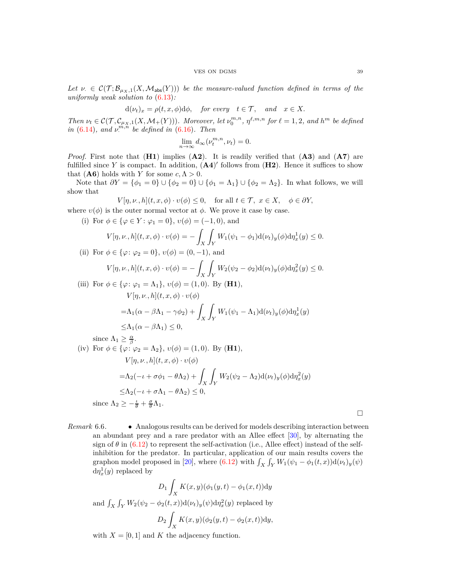Let  $\nu \in C(\mathcal{T}; \mathcal{B}_{\mu_X,1}(X, \mathcal{M}_{\text{abs}}(Y)))$  be the measure-valued function defined in terms of the *uniformly weak solution to* [\(6.13\)](#page-37-1)*:*

$$
d(\nu_t)_x = \rho(t, x, \phi) d\phi
$$
, for every  $t \in \mathcal{T}$ , and  $x \in X$ .

Then  $\nu_t \in \mathcal{C}(\mathcal{T}, \mathcal{C}_{\mu_X,1}(X, \mathcal{M}_+(Y)))$ . Moreover, let  $\nu_0^{m,n}$ ,  $\eta^{\ell,m,n}$  for  $\ell = 1,2$ , and  $h^m$  be defined *in* [\(6.14\)](#page-37-2)*, and*  $\nu^{m,n}$  *be defined in* [\(6.16\)](#page-37-3)*. Then* 

$$
\lim_{n \to \infty} d_{\infty}(\nu_t^{m,n}, \nu_t) = 0.
$$

*Proof.* First note that (**H1**) implies (**A2**). It is readily verified that (**A3**) and (**A7**) are fulfilled since Y is compact. In addition,  $(A4)'$  follows from  $(H2)$ . Hence it suffices to show that (**A6**) holds with *Y* for some  $c, \Lambda > 0$ .

Note that  $\partial Y = {\phi_1 = 0} \cup {\phi_2 = 0} \cup {\phi_1 = \Lambda_1} \cup {\phi_2 = \Lambda_2}$ . In what follows, we will show that

$$
V[\eta, \nu, h](t, x, \phi) \cdot \nu(\phi) \le 0, \quad \text{for all } t \in \mathcal{T}, \ x \in X, \quad \phi \in \partial Y,
$$

where  $v(\phi)$  is the outer normal vector at  $\phi$ . We prove it case by case.

(i) For  $\phi \in {\varphi \in Y : \varphi_1 = 0}, v(\phi) = (-1, 0),$  and

$$
V[\eta,\nu_\cdot,h](t,x,\phi)\cdot\upsilon(\phi)=-\int_X\int_Y W_1(\psi_1-\phi_1)\mathrm{d}(\nu_t)_y(\phi)\mathrm{d}\eta^1_x(y)\leq 0.
$$

(ii) For  $\phi \in \{\varphi : \varphi_2 = 0\}, v(\phi) = (0, -1)$ , and

$$
V[\eta,\nu_\cdot,h](t,x,\phi)\cdot\upsilon(\phi)=-\int_X\int_YW_2(\psi_2-\phi_2)\mathrm{d}(\nu_t)_y(\phi)\mathrm{d}\eta_x^2(y)\leq 0.
$$

(iii) For 
$$
\phi \in {\varphi : \varphi_1 = \Lambda_1}
$$
,  $v(\phi) = (1, 0)$ . By **(H1)**,  
\n
$$
V[\eta, \nu, h](t, x, \phi) \cdot v(\phi)
$$
\n
$$
= \Lambda_1(\alpha - \beta \Lambda_1 - \gamma \phi_2) + \int_X \int_Y W_1(\psi_1 - \Lambda_1) d(\nu_t)_y(\phi) d\eta_x^1(y)
$$
\n
$$
\leq \Lambda_1(\alpha - \beta \Lambda_1) \leq 0,
$$

since 
$$
\Lambda_1 \ge \frac{\alpha}{\beta}
$$
.  
\n(iv) For  $\phi \in \{\varphi : \varphi_2 = \Lambda_2\}$ ,  $v(\phi) = (1, 0)$ . By **(H1)**,  
\n
$$
V[\eta, \nu, h](t, x, \phi) \cdot v(\phi)
$$
\n
$$
= \Lambda_2(-\iota + \sigma\phi_1 - \theta\Lambda_2) + \int_X \int_Y W_2(\psi_2 - \Lambda_2) d(\nu_t)_y(\phi) d\eta_x^2(y)
$$
\n
$$
\le \Lambda_2(-\iota + \sigma\Lambda_1 - \theta\Lambda_2) \le 0,
$$
\nsince  $\Lambda_2 \ge -\frac{\iota}{\theta} + \frac{\sigma}{\theta}\Lambda_1$ .

*Remark* 6.6*.* • Analogous results can be derived for models describing interaction between an abundant prey and a rare predator with an Allee effect [\[30\]](#page-47-21), by alternating the sign of  $\theta$  in [\(6.12\)](#page-36-2) to represent the self-activation (i.e., Allee effect) instead of the selfinhibition for the predator. In particular, application of our main results covers the graphon model proposed in [\[20\]](#page-46-22), where  $(6.12)$  with  $\int_X \int_Y W_1(\psi_1 - \phi_1(t,x))d(\nu_t)_y(\psi)$  $d\eta_x^1(y)$  replaced by

$$
D_1 \int_X K(x, y)(\phi_1(y, t) - \phi_1(x, t)) dy
$$
  
and 
$$
\int_X \int_Y W_2(\psi_2 - \phi_2(t, x)) d(\nu_t)_y(\psi) d\eta_x^2(y) \text{ replaced by}
$$

$$
D_2 \int_X K(x, y)(\phi_2(y, t) - \phi_2(x, t)) dy,
$$

with  $X = [0, 1]$  and K the adjacency function.

 $\Box$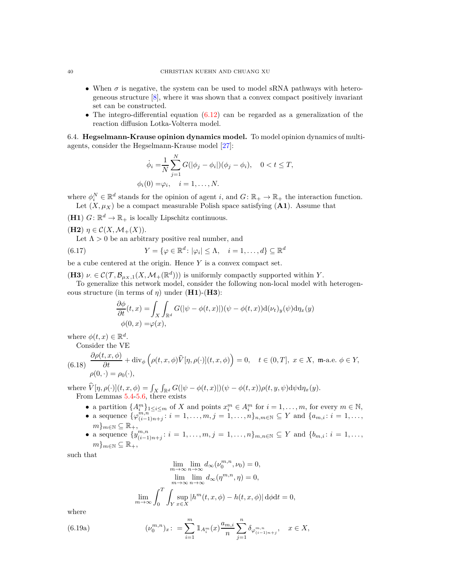- When  $\sigma$  is negative, the system can be used to model sRNA pathways with heterogeneous structure [\[8\]](#page-46-23), where it was shown that a convex compact positively invariant set can be constructed.
- The integro-differential equation  $(6.12)$  can be regarded as a generalization of the reaction diffusion Lotka-Volterra model.

<span id="page-39-0"></span>6.4. **Hegselmann-Krause opinion dynamics model.** To model opinion dynamics of multiagents, consider the Hegselmann-Krause model [\[27\]](#page-47-23):

$$
\dot{\phi}_i = \frac{1}{N} \sum_{j=1}^N G(|\phi_j - \phi_i|)(\phi_j - \phi_i), \quad 0 < t \le T,
$$
\n
$$
\phi_i(0) = \varphi_i, \quad i = 1, \dots, N.
$$

where  $\phi_i^N \in \mathbb{R}^d$  stands for the opinion of agent *i*, and  $G: \mathbb{R}_+ \to \mathbb{R}_+$  the interaction function. Let  $(X, \mu_X)$  be a compact measurable Polish space satisfying  $(A1)$ . Assume that

(**H1**)  $G: \mathbb{R}^d \to \mathbb{R}_+$  is locally Lipschitz continuous.

 $(\mathbf{H2})$   $\eta \in \mathcal{C}(X, \mathcal{M}_+(X)).$ 

Let  $\Lambda > 0$  be an arbitrary positive real number, and

(6.17) 
$$
Y = \{ \varphi \in \mathbb{R}^d \colon |\varphi_i| \leq \Lambda, \quad i = 1, ..., d \} \subseteq \mathbb{R}^d
$$

be a cube centered at the origin. Hence *Y* is a convex compact set.

(**H3**)  $\nu \in \mathcal{C}(\mathcal{T}, \mathcal{B}_{\mu_X,1}(X, \mathcal{M}_+(\mathbb{R}^d)))$  is uniformly compactly supported within *Y*.

To generalize this network model, consider the following non-local model with heterogeneous structure (in terms of *η*) under (**H1**)-(**H3**):

<span id="page-39-3"></span>
$$
\frac{\partial \phi}{\partial t}(t,x) = \int_X \int_{\mathbb{R}^d} G(|\psi - \phi(t,x)|) (\psi - \phi(t,x)) \mathrm{d}(\nu_t)_y(\psi) \mathrm{d}\eta_x(y) \n\phi(0,x) = \varphi(x),
$$

where  $\phi(t, x) \in \mathbb{R}^d$ .

Consider the VE

<span id="page-39-1"></span>(6.18) 
$$
\frac{\partial \rho(t, x, \phi)}{\partial t} + \text{div}_{\phi} \left( \rho(t, x, \phi) \widehat{V}[\eta, \rho(\cdot)](t, x, \phi) \right) = 0, \quad t \in (0, T], \ x \in X, \ \mathfrak{m}\text{-a.e. } \phi \in Y,
$$

$$
\rho(0, \cdot) = \rho_0(\cdot),
$$

 $\text{where } \hat{V}[\eta, \rho(\cdot)](t, x, \phi) = \int_X \int_{\mathbb{R}^d} G(|\psi - \phi(t, x)|)(\psi - \phi(t, x))\rho(t, y, \psi) d\psi d\eta_x(y).$ From Lemmas [5.4-](#page-27-0)[5.6,](#page-27-2) there exists

- a partition  $\{A_i^m\}_{1 \leq i \leq m}$  of *X* and points  $x_i^m \in A_i^m$  for  $i = 1, \ldots, m$ , for every  $m \in \mathbb{N}$ ,
- a sequence  $\{\varphi_{(i-1)}^{m,n}\}$  $\binom{m,n}{(i-1)n+j}$ :  $i = 1, \ldots, m, j = 1, \ldots, n\}$ <sub>*n,m*∈N</sub> ⊆ Y and { $a_{m,i}: i = 1, \ldots, n$ }  $m\}_{m\in\mathbb{N}}\subseteq\mathbb{R}_{+},$
- a sequence  $\{y^{m,n}_{(i-1)}\}$  $\binom{m,n}{(i-1)n+j}$ :  $i = 1, \ldots, m, j = 1, \ldots, n$ *}* $m, n \in \mathbb{N}$  ⊆ *Y* and { $b_{m,i}: i = 1, \ldots, n$ }  $m\}_{m\in\mathbb{N}}\subseteq\mathbb{R}_{+},$

such that

$$
\lim_{m \to \infty} \lim_{n \to \infty} d_{\infty}(\nu_0^{m,n}, \nu_0) = 0,
$$
  
\n
$$
\lim_{m \to \infty} \lim_{n \to \infty} d_{\infty}(\eta^{m,n}, \eta) = 0,
$$
  
\n
$$
\lim_{m \to \infty} \int_0^T \int_Y \sup_{x \in X} |h^m(t, x, \phi) - h(t, x, \phi)| d\phi dt = 0,
$$

<span id="page-39-2"></span>where

(6.19a) 
$$
(\nu_0^{m,n})_x: = \sum_{i=1}^m \mathbb{1}_{A_i^m}(x) \frac{a_{m,i}}{n} \sum_{j=1}^n \delta_{\varphi_{(i-1)n+j}^{m,n}}, \quad x \in X,
$$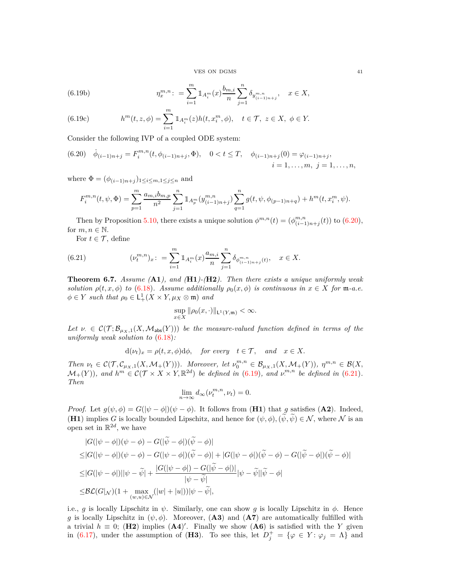VES ON DGMS 41

(6.19b) 
$$
\eta_x^{m,n} := \sum_{i=1}^m 1\!\!1_{A_i^m}(x) \frac{b_{m,i}}{n} \sum_{j=1}^n \delta_{y_{(i-1)n+j}^{m,n}}, \quad x \in X,
$$

(6.19c) 
$$
h^{m}(t, z, \phi) = \sum_{i=1}^{m} 1 \, \mathbb{1}_{A_{i}^{m}}(z) h(t, x_{i}^{m}, \phi), \quad t \in \mathcal{T}, \ z \in X, \ \phi \in Y.
$$

Consider the following IVP of a coupled ODE system:

<span id="page-40-0"></span>
$$
(6.20) \quad \dot{\phi}_{(i-1)n+j} = F_i^{m,n}(t, \phi_{(i-1)n+j}, \Phi), \quad 0 < t \le T, \quad \phi_{(i-1)n+j}(0) = \varphi_{(i-1)n+j},
$$
\n
$$
i = 1, \dots, m, \ j = 1, \dots, n,
$$

where  $\Phi = (\phi_{(i-1)n+j})_{1 \le i \le m, 1 \le j \le n}$  and

$$
F_i^{m,n}(t,\psi,\Phi) = \sum_{p=1}^m \frac{a_{m,i}b_{m,p}}{n^2} \sum_{j=1}^n \mathbbm{1}_{A_p^m}(y_{(i-1)n+j}^{m,n}) \sum_{q=1}^n g(t,\psi,\phi_{(p-1)n+q}) + h^m(t,x_i^m,\psi).
$$

Then by Proposition [5.10,](#page-30-2) there exists a unique solution  $\phi^{m,n}(t) = (\phi^{m,n}_{(i-1)})$  $\binom{m,n}{(i-1)n+j}(t)$  to [\(6.20\)](#page-40-0), for  $m, n \in \mathbb{N}$ .

<span id="page-40-1"></span>For  $t \in \mathcal{T}$ , define

(6.21) 
$$
(\nu_t^{m,n})_x: = \sum_{i=1}^m 1\!\!1_{A_i^m}(x) \frac{a_{m,i}}{n} \sum_{j=1}^n \delta_{\phi^{m,n}_{(i-1)n+j}(t)}, \quad x \in X.
$$

**Theorem 6.7.** *Assume (***A1***), and (***H1***)-(***H2***). Then there exists a unique uniformly weak solution*  $\rho(t, x, \phi)$  *to* [\(6.18\)](#page-39-1)*.* Assume additionally  $\rho_0(x, \phi)$  is continuous in  $x \in X$  for m-a.e.  $\phi \in Y$  *such that*  $\rho_0 \in L^1_+(X \times Y, \mu_X \otimes \mathfrak{m})$  *and* 

$$
\sup_{x\in X}\|\rho_0(x,\cdot)\|_{\mathsf{L}^1(Y,\mathfrak{m})}<\infty.
$$

Let  $\nu \in C(\mathcal{T}; \mathcal{B}_{\mu_X,1}(X, \mathcal{M}_{\text{abs}}(Y)))$  be the measure-valued function defined in terms of the *uniformly weak solution to* [\(6.18\)](#page-39-1)*:*

$$
d(\nu_t)_x = \rho(t, x, \phi) d\phi
$$
, for every  $t \in \mathcal{T}$ , and  $x \in X$ .

Then  $\nu_t \in \mathcal{C}(\mathcal{T}, \mathcal{C}_{\mu_X,1}(X, \mathcal{M}_+(Y))).$  Moreover, let  $\nu_0^{m,n} \in \mathcal{B}_{\mu_X,1}(X, \mathcal{M}_+(Y)),$   $\eta^{m,n} \in \mathcal{B}(X, \mathcal{M}_+(Y)).$  $\mathcal{M}_+(Y)$ ), and  $h^m \in \mathcal{C}(\mathcal{T} \times X \times Y, \mathbb{R}^{2d})$  be defined in [\(6.19\)](#page-39-2), and  $v^{m,n}$  be defined in [\(6.21\)](#page-40-1). *Then*

$$
\lim_{n \to \infty} d_{\infty}(\nu_t^{m,n}, \nu_t) = 0.
$$

*Proof.* Let  $g(\psi, \phi) = G(|\psi - \phi|)(\psi - \phi)$ . It follows from (**H1**) that *g* satisfies (**A2**). Indeed, **(H1)** implies *G* is locally bounded Lipschitz, and hence for  $(\psi, \phi), (\tilde{\psi}, \tilde{\psi}) \in \mathcal{N}$ , where  $\mathcal N$  is an open set in  $\mathbb{R}^{2d}$ , we have

$$
|G(|\psi - \phi|)(\psi - \phi) - G(|\widetilde{\psi} - \phi|)(\widetilde{\psi} - \phi)|
$$
  
\n
$$
\leq |G(|\psi - \phi|)(\psi - \phi) - G(|\psi - \phi|)(\widetilde{\psi} - \phi)| + |G(|\psi - \phi|)(\widetilde{\psi} - \phi) - G(|\widetilde{\psi} - \phi|)(\widetilde{\psi} - \phi)|
$$
  
\n
$$
\leq |G(|\psi - \phi|)||\psi - \widetilde{\psi}| + \frac{|G(|\psi - \phi|) - G(|\widetilde{\psi} - \phi|)}{|\psi - \widetilde{\psi}|}|\psi - \widetilde{\psi}||\widetilde{\psi} - \phi|
$$
  
\n
$$
\leq \mathcal{BL}(G|\mathcal{N})(1 + \max_{(w,u) \in \mathcal{N}}(|w| + |u|))|\psi - \widetilde{\psi}|,
$$

i.e., *g* is locally Lipschitz in  $\psi$ . Similarly, one can show *g* is locally Lipschitz in  $\phi$ . Hence *g* is locally Lipschitz in  $(\psi, \phi)$ . Moreover, (**A3**) and (**A7**) are automatically fulfilled with a trivial  $h \equiv 0$ ; (**H2**) implies  $(A4)'$ . Finally we show  $(A6)$  is satisfied with the *Y* given in [\(6.17\)](#page-39-3), under the assumption of (**H3**). To see this, let  $D_j^+ = {\varphi \in Y : \varphi_j = \Lambda}$  and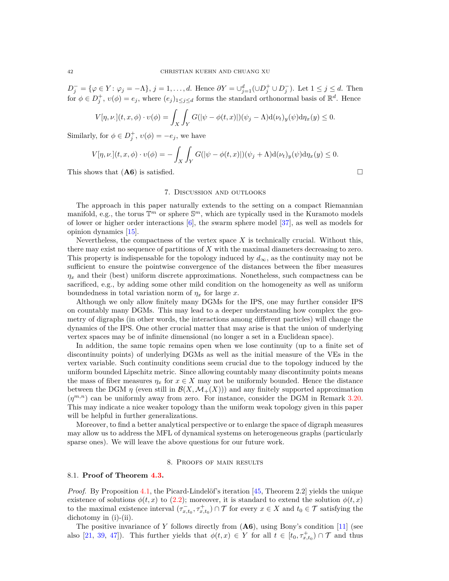*D*<sub>*j*</sub></sub> = { $\varphi$  ∈ *Y* :  $\varphi_j$  = −Λ}, *j* = 1, . . . , *d*. Hence  $\partial Y = \cup_{j=1}^d (\cup D_j^+ \cup D_j^-)$ . Let  $1 ≤ j ≤ d$ . Then for  $\phi \in D_j^+$ ,  $v(\phi) = e_j$ , where  $(e_j)_{1 \leq j \leq d}$  forms the standard orthonormal basis of  $\mathbb{R}^d$ . Hence

$$
V[\eta, \nu.](t, x, \phi) \cdot \upsilon(\phi) = \int_X \int_Y G(|\psi - \phi(t, x)|)(\psi_j - \Lambda) d(\nu_t)_y(\psi) d\eta_x(y) \le 0.
$$

Similarly, for  $\phi \in D_j^+$ ,  $v(\phi) = -e_j$ , we have

$$
V[\eta, \nu.](t, x, \phi) \cdot v(\phi) = -\int_X \int_Y G(|\psi - \phi(t, x)|)(\psi_j + \Lambda) \mathrm{d}(\nu_t)_y(\psi) \mathrm{d}\eta_x(y) \le 0.
$$

<span id="page-41-0"></span>This shows that  $(A6)$  is satisfied.

## 7. Discussion and outlooks

The approach in this paper naturally extends to the setting on a compact Riemannian manifold, e.g., the torus  $\mathbb{T}^m$  or sphere  $\mathbb{S}^m$ , which are typically used in the Kuramoto models of lower or higher order interactions [\[6\]](#page-46-11), the swarm sphere model [\[37\]](#page-47-24), as well as models for opinion dynamics [\[15\]](#page-46-12).

Nevertheless, the compactness of the vertex space *X* is technically crucial. Without this, there may exist no sequence of partitions of *X* with the maximal diameters decreasing to zero. This property is indispensable for the topology induced by  $d_{\infty}$ , as the continuity may not be sufficient to ensure the pointwise convergence of the distances between the fiber measures  $\eta_x$  and their (best) uniform discrete approximations. Nonetheless, such compactness can be sacrificed, e.g., by adding some other mild condition on the homogeneity as well as uniform boundedness in total variation norm of  $\eta_x$  for large *x*.

Although we only allow finitely many DGMs for the IPS, one may further consider IPS on countably many DGMs. This may lead to a deeper understanding how complex the geometry of digraphs (in other words, the interactions among different particles) will change the dynamics of the IPS. One other crucial matter that may arise is that the union of underlying vertex spaces may be of infinite dimensional (no longer a set in a Euclidean space).

In addition, the same topic remains open when we lose continuity (up to a finite set of discontinuity points) of underlying DGMs as well as the initial measure of the VEs in the vertex variable. Such continuity conditions seem crucial due to the topology induced by the uniform bounded Lipschitz metric. Since allowing countably many discontinuity points means the mass of fiber measures  $\eta_x$  for  $x \in X$  may not be uniformly bounded. Hence the distance between the DGM  $\eta$  (even still in  $\mathcal{B}(X,\mathcal{M}_+(X))$ ) and any finitely supported approximation  $(\eta^{m,n})$  can be uniformly away from zero. For instance, consider the DGM in Remark [3.20.](#page-22-2) This may indicate a nice weaker topology than the uniform weak topology given in this paper will be helpful in further generalizations.

Moreover, to find a better analytical perspective or to enlarge the space of digraph measures may allow us to address the MFL of dynamical systems on heterogeneous graphs (particularly sparse ones). We will leave the above questions for our future work.

## 8. Proofs of main results

## <span id="page-41-2"></span><span id="page-41-1"></span>8.1. **Proof of Theorem [4.3.](#page-24-0)**

*Proof.* By Proposition [4.1,](#page-23-2) the Picard-Lindelöf's iteration [\[45,](#page-47-25) Theorem 2.2] yields the unique existence of solutions  $\phi(t, x)$  to [\(2.2\)](#page-9-0); moreover, it is standard to extend the solution  $\phi(t, x)$ to the maximal existence interval  $(\tau_{x,t_0}^-, \tau_{x,t_0}^+) \cap \mathcal{T}$  for every  $x \in X$  and  $t_0 \in \mathcal{T}$  satisfying the dichotomy in (i)-(ii).

The positive invariance of Y follows directly from  $(166)$ , using Bony's condition [\[11\]](#page-46-14) (see also [\[21,](#page-46-16) [39,](#page-47-17) [47\]](#page-47-19)). This further yields that  $\phi(t,x) \in Y$  for all  $t \in [t_0, \tau_{x,t_0}^+] \cap \mathcal{T}$  and thus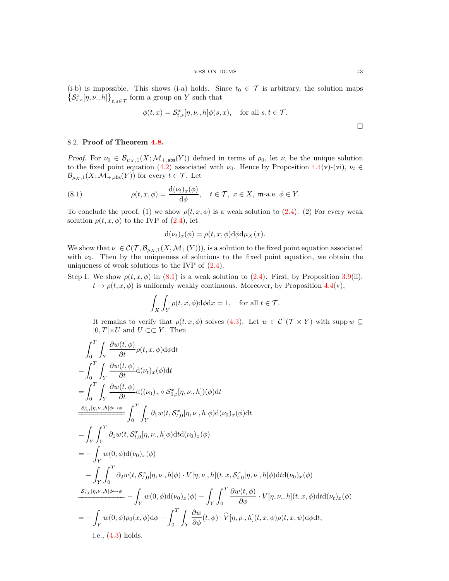(i-b) is impossible. This shows (i-a) holds. Since  $t_0 \in \mathcal{T}$  is arbitrary, the solution maps  $\left\{ \mathcal{S}_{t,s}^{\hat{x}}[\eta,\nu,h] \right\}_{t,s\in\mathcal{T}}$  form a group on *Y* such that

$$
\phi(t, x) = \mathcal{S}_{t,s}^x[\eta, \nu, h] \phi(s, x), \quad \text{for all } s, t \in \mathcal{T}.
$$

# <span id="page-42-0"></span>8.2. **Proof of Theorem [4.8.](#page-26-1)**

*Proof.* For  $\nu_0 \in \mathcal{B}_{\mu_X,1}(X;\mathcal{M}_{+,\text{abs}}(Y))$  defined in terms of  $\rho_0$ , let  $\nu$  be the unique solution to the fixed point equation [\(4.2\)](#page-24-2) associated with  $\nu_0$ . Hence by Proposition [4.4\(](#page-24-1)v)-(vi),  $\nu_t \in$  $\mathcal{B}_{\mu_X,1}(X;\mathcal{M}_{+,\text{abs}}(Y))$  for every  $t \in \mathcal{T}$ . Let

(8.1) 
$$
\rho(t, x, \phi) = \frac{d(\nu_t)_x(\phi)}{d\phi}, \quad t \in \mathcal{T}, \ x \in X, \ \mathfrak{m} \text{-a.e. } \phi \in Y.
$$

To conclude the proof, (1) we show  $\rho(t, x, \phi)$  is a weak solution to [\(2.4\)](#page-10-1). (2) For every weak solution  $\rho(t, x, \phi)$  to the IVP of  $(2.4)$ , let

<span id="page-42-1"></span>
$$
d(\nu_t)_x(\phi) = \rho(t, x, \phi) d\phi d\mu_X(x).
$$

We show that  $\nu \in \mathcal{C}(\mathcal{T}, \mathcal{B}_{\mu_X,1}(X, \mathcal{M}_+(Y))),$  is a solution to the fixed point equation associated with  $\nu_0$ . Then by the uniqueness of solutions to the fixed point equation, we obtain the uniqueness of weak solutions to the IVP of [\(2.4\)](#page-10-1).

Step I. We show  $\rho(t, x, \phi)$  in [\(8.1\)](#page-42-1) is a weak solution to [\(2.4\)](#page-10-1). First, by Proposition [3.9\(](#page-18-0)ii),  $t \mapsto \rho(t, x, \phi)$  is uniformly weakly continuous. Moreover, by Proposition [4.4\(](#page-24-1)v),

$$
\int_X \int_Y \rho(t, x, \phi) \mathrm{d}\phi \mathrm{d}x = 1, \quad \text{for all } t \in \mathcal{T}.
$$

It remains to verify that  $\rho(t, x, \phi)$  solves [\(4.3\)](#page-25-3). Let  $w \in C^1(\mathcal{T} \times Y)$  with supp  $w \subseteq$  $[0, T] \times U$  and  $U \subset\subset Y$ . Then

$$
\int_{0}^{T} \int_{Y} \frac{\partial w(t, \phi)}{\partial t} \rho(t, x, \phi) d\phi dt
$$
\n=
$$
\int_{0}^{T} \int_{Y} \frac{\partial w(t, \phi)}{\partial t} d(\nu_{t})_{x}(\phi) dt
$$
\n=
$$
\int_{0}^{T} \int_{Y} \frac{\partial w(t, \phi)}{\partial t} d(\nu_{0})_{x} \circ S_{0,t}^{x}[\eta, \nu, h])(\phi) dt
$$
\n
$$
\frac{S_{0,t}^{x}[\eta, \nu, h]\phi \mapsto \phi}{\int_{0}^{T} \int_{Y} \partial_{1} w(t, S_{t,0}^{x}[\eta, \nu, h]\phi) d(\nu_{0})_{x}(\phi) dt}
$$
\n=
$$
\int_{Y} \int_{0}^{T} \partial_{1} w(t, S_{t,0}^{x}[\eta, \nu, h]\phi) dt d(\nu_{0})_{x}(\phi)
$$
\n=
$$
- \int_{Y} w(0, \phi) d(\nu_{0})_{x}(\phi)
$$
\n
$$
- \int_{Y} \int_{0}^{T} \partial_{2} w(t, S_{t,0}^{x}[\eta, \nu, h]\phi) \cdot V[\eta, \nu, h](t, x, S_{t,0}^{x}[\eta, \nu, h]\phi) dt d(\nu_{0})_{x}(\phi)
$$
\n
$$
\frac{S_{t,0}^{x}[\eta, \nu, h]\phi \mapsto \phi}{\int_{Y} w(0, \phi) d(\nu_{0})_{x}(\phi) - \int_{Y} \int_{0}^{T} \frac{\partial w(t, \phi)}{\partial \phi} \cdot V[\eta, \nu, h](t, x, \phi) dt d(\nu_{t})_{x}(\phi)
$$
\n=
$$
- \int_{Y} w(0, \phi) \rho_{0}(x, \phi) d\phi - \int_{0}^{T} \int_{Y} \frac{\partial w}{\partial \phi}(t, \phi) \cdot \hat{V}[\eta, \rho, h](t, x, \phi) \rho(t, x, \psi) d\phi dt,
$$
 i.e., (4.3) holds.

 $\Box$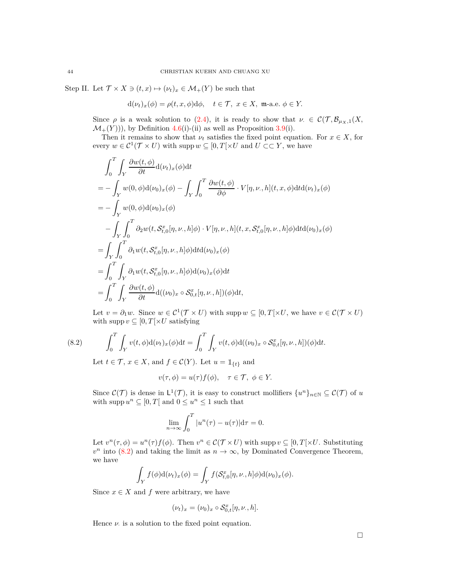Step II. Let  $\mathcal{T} \times X \ni (t, x) \mapsto (\nu_t)_x \in \mathcal{M}_+(Y)$  be such that

$$
d(\nu_t)_x(\phi) = \rho(t, x, \phi)d\phi, \quad t \in \mathcal{T}, \ x \in X, \ \mathfrak{m}\text{-a.e. } \phi \in Y.
$$

Since  $\rho$  is a weak solution to [\(2.4\)](#page-10-1), it is ready to show that  $\nu \in C(\mathcal{T}, \mathcal{B}_{\mu_X,1}(X,$  $\mathcal{M}_+(Y)$ ), by Definition [4.6\(](#page-25-2)i)-(ii) as well as Proposition [3.9\(](#page-18-0)i).

Then it remains to show that  $\nu_t$  satisfies the fixed point equation. For  $x \in X$ , for every  $w \in C^1(\mathcal{T} \times U)$  with supp  $w \subseteq [0, T[ \times U \text{ and } U \subset \subset Y, \text{ we have }$ 

$$
\int_{0}^{T} \int_{Y} \frac{\partial w(t,\phi)}{\partial t} d(\nu_{t})_{x}(\phi) dt
$$
\n
$$
= - \int_{Y} w(0,\phi) d(\nu_{0})_{x}(\phi) - \int_{Y} \int_{0}^{T} \frac{\partial w(t,\phi)}{\partial \phi} \cdot V[\eta, \nu, h](t, x, \phi) dt d(\nu_{t})_{x}(\phi)
$$
\n
$$
= - \int_{Y} w(0,\phi) d(\nu_{0})_{x}(\phi)
$$
\n
$$
- \int_{Y} \int_{0}^{T} \partial_{2} w(t, \mathcal{S}_{t,0}^{x}[\eta, \nu, h]\phi) \cdot V[\eta, \nu, h](t, x, \mathcal{S}_{t,0}^{x}[\eta, \nu, h]\phi) dt d(\nu_{0})_{x}(\phi)
$$
\n
$$
= \int_{Y} \int_{0}^{T} \partial_{1} w(t, \mathcal{S}_{t,0}^{x}[\eta, \nu, h]\phi) dt d(\nu_{0})_{x}(\phi)
$$
\n
$$
= \int_{0}^{T} \int_{Y} \partial_{1} w(t, \mathcal{S}_{t,0}^{x}[\eta, \nu, h]\phi) d(\nu_{0})_{x}(\phi) dt
$$
\n
$$
= \int_{0}^{T} \int_{Y} \frac{\partial w(t, \phi)}{\partial t} d((\nu_{0})_{x} \circ \mathcal{S}_{0,t}^{x}[\eta, \nu, h])(\phi) dt,
$$

Let  $v = \partial_1 w$ . Since  $w \in C^1(\mathcal{T} \times U)$  with supp  $w \subseteq [0, T[ \times U, w]$  we have  $v \in C(\mathcal{T} \times U)$ with supp  $v \subseteq [0, T] \times U$  satisfying

(8.2) 
$$
\int_0^T \int_Y v(t,\phi) d(\nu_t)_x(\phi) dt = \int_0^T \int_Y v(t,\phi) d((\nu_0)_x \circ \mathcal{S}_{0,t}^x[\eta,\nu,h])(\phi) dt.
$$

<span id="page-43-0"></span>Let  $t \in \mathcal{T}$ ,  $x \in X$ , and  $f \in \mathcal{C}(Y)$ . Let  $u = \mathbb{1}_{\{t\}}$  and

$$
v(\tau,\phi) = u(\tau)f(\phi), \quad \tau \in \mathcal{T}, \ \phi \in Y.
$$

Since  $\mathcal{C}(\mathcal{T})$  is dense in  $\mathsf{L}^1(\mathcal{T})$ , it is easy to construct mollifiers  $\{u^n\}_{n\in\mathbb{N}}\subseteq\mathcal{C}(\mathcal{T})$  of *u* with supp  $u^n \subseteq [0, T[$  and  $0 \le u^n \le 1$  such that

$$
\lim_{n \to \infty} \int_0^T |u^n(\tau) - u(\tau)| d\tau = 0.
$$

Let  $v^n(\tau, \phi) = u^n(\tau) f(\phi)$ . Then  $v^n \in C(\mathcal{T} \times U)$  with supp  $v \subseteq [0, T[ \times U]$ . Substituting  $v^n$  into [\(8.2\)](#page-43-0) and taking the limit as  $n \to \infty$ , by Dominated Convergence Theorem, we have

$$
\int_Y f(\phi) \mathrm{d}(\nu_t)_x(\phi) = \int_Y f(\mathcal{S}_{t,0}^x[\eta,\nu_\cdot,h] \phi) \mathrm{d}(\nu_0)_x(\phi).
$$

Since  $x \in X$  and  $f$  were arbitrary, we have

$$
(\nu_t)_x = (\nu_0)_x \circ \mathcal{S}^x_{0,t}[\eta, \nu., h].
$$

Hence  $\nu$  is a solution to the fixed point equation.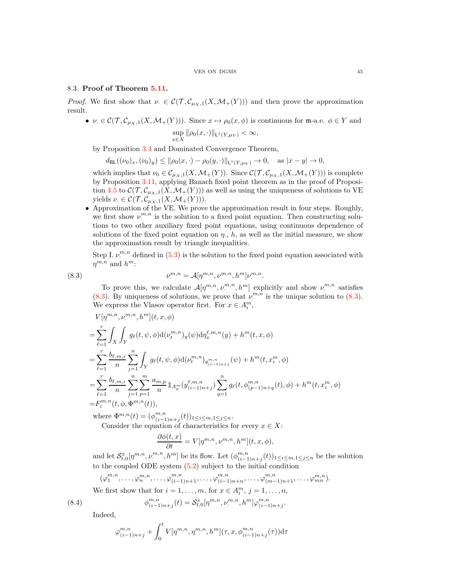## <span id="page-44-0"></span>8.3. **Proof of Theorem [5.11.](#page-30-1)**

*Proof.* We first show that  $\nu \in C(\mathcal{T}, \mathcal{C}_{\mu_X,1}(X, \mathcal{M}_+(Y)))$  and then prove the approximation result.

•  $\nu \in \mathcal{C}(\mathcal{T}, \mathcal{C}_{\mu_X,1}(X, \mathcal{M}_+(Y)))$ . Since  $x \mapsto \rho_0(x, \phi)$  is continuous for m-a.e.  $\phi \in Y$  and sup  $\sup_{x \in X} \|\rho_0(x, \cdot)\|_{\mathsf{L}^1(Y, \mu_Y)} < \infty,$ 

by Proposition [3.4](#page-16-1) and Dominated Convergence Theorem,

 $d_{\text{BL}}((\nu_0)_x, (\nu_0)_y) \le ||\rho_0(x, \cdot) - \rho_0(y, \cdot)||_{\mathsf{L}^1(Y, \mu_Y)} \to 0, \text{ as } |x - y| \to 0,$ 

which implies that  $\nu_0 \in C_{\mu_X,1}(X, \mathcal{M}_+(Y))$ . Since  $\mathcal{C}(\mathcal{T}, C_{\mu_X,1}(X, \mathcal{M}_+(Y)))$  is complete by Proposition [3.11,](#page-19-2) applying Banach fixed point theorem as in the proof of Proposi-tion [4.5](#page-25-1) to  $\mathcal{C}(\mathcal{T}, \mathcal{C}_{\mu_X,1}(X, \mathcal{M}_+(Y)))$  as well as using the uniqueness of solutions to VE yields  $\nu \in \mathcal{C}(\mathcal{T}, \mathcal{C}_{\mu_X,1}(X, \mathcal{M}_+(Y))).$ 

• Approximation of the VE. We prove the approximation result in four steps. Roughly, we first show  $\nu^{m,n}$  is the solution to a fixed point equation. Then constructing solutions to two other auxiliary fixed point equations, using continuous dependence of solutions of the fixed point equation on  $\eta$ ,  $h$ , as well as the initial measure, we show the approximation result by triangle inequalities.

Step I.  $\nu^{m,n}$  defined in [\(5.3\)](#page-30-3) is the solution to the fixed point equation associated with  $\eta^{m,n}$  and  $h^m$ :

(8.3) *ν*

<span id="page-44-1"></span>
$$
\nu^{m,n}_{\cdot} = \mathcal{A}[\eta^{m,n}, \nu^{m,n}_{\cdot}, h^{m}]\nu^{m,n}_{\cdot}.
$$

To prove this, we calculate  $\mathcal{A}[\eta^{m,n}, \nu^{m,n}, h^m]$  explicitly and show  $\nu^{m,n}$  satisfies [\(8.3\)](#page-44-1). By uniqueness of solutions, we prove that  $\nu^{m,n}$  is the unique solution to (8.3). We express the Vlasov operator first. For  $x \in A_i^m$ ,

$$
V[\eta^{m,n}, \nu^{m,n}, h^m](t, x, \phi)
$$
  
= 
$$
\sum_{\ell=1}^r \int_X \int_Y g_{\ell}(t, \psi, \phi) d(\nu^{m,n}_t)_y(\psi) d\eta_x^{\ell, m, n}(y) + h^m(t, x, \phi)
$$
  
= 
$$
\sum_{\ell=1}^r \frac{b_{\ell, m, i}}{n} \sum_{j=1}^n \int_Y g_{\ell}(t, \psi, \phi) d(\nu^{m,n}_t)_{y^{m,n}_{(i-1)n+j}}(\psi) + h^m(t, x_i^m, \phi)
$$
  
= 
$$
\sum_{\ell=1}^r \frac{b_{\ell, m, i}}{n} \sum_{j=1}^n \sum_{p=1}^m \frac{a_{m, p}}{n} 1_{A_p^m}(y_{(i-1)n+j}^{\ell, m, n}) \sum_{q=1}^n g_{\ell}(t, \phi_{(p-1)n+q}^{m, n}(t), \phi) + h^m(t, x_i^m, \phi)
$$
  
= 
$$
F_i^{m,n}(t, \phi, \Phi^{m,n}(t)),
$$

where  $\Phi^{m,n}(t) = (\phi^{m,n}_{(i-1)})$ (*i*−1)*n*+*j* (*t*))1≤*i*≤*m,*1≤*j*≤*n*. Consider the equation of characteristics for every  $x \in X$ :

$$
\frac{\partial \phi(t,x)}{\partial t} = V[\eta^{m,n}, \nu^{m,n}, h^m](t, x, \phi),
$$

and let  $\mathcal{S}_{t,0}^x[\eta^{m,n}, \nu^{m,n}]$  $[n^m, n, h^m]$  be its flow. Let  $(\phi^{m,n}_{(i-1)}, \phi^{m,n}_{(i-1)}, h^m)$  $\binom{m,n}{(i-1)n+j}(t)$ 1≤*i*≤*m*,1≤*j*≤*n* be the solution to the coupled ODE system [\(5.2\)](#page-29-1) subject to the initial condition

$$
(\varphi_1^{m,n},\ldots,\varphi_n^{m,n},\ldots,\varphi_{(i-1)n+1}^{m,n},\ldots,\varphi_{(i-1)n+n}^{m,n},\ldots,\varphi_{(m-1)n+1}^{m,n},\ldots,\varphi_{mn}^{m,n}).
$$

We first show that for  $i = 1, \ldots, m$ , for  $x \in A_i^m$ ,  $j = 1, \ldots, n$ ,

<span id="page-44-2"></span>
$$
\phi_{(i-1)n+j}^{m,n}(t) = \mathcal{S}_{t,0}^x[\eta^{m,n}, \nu^{m,n}, h^m] \varphi_{(i-1)n+j}^{m,n}.
$$

Indeed,

 $(8.4)$ 

$$
\varphi_{(i-1)n+j}^{m,n} + \int_0^t V[\eta^{m,n}, \eta^{m,n}, h^m](\tau, x, \phi_{(i-1)n+j}^{m,n}(\tau))d\tau
$$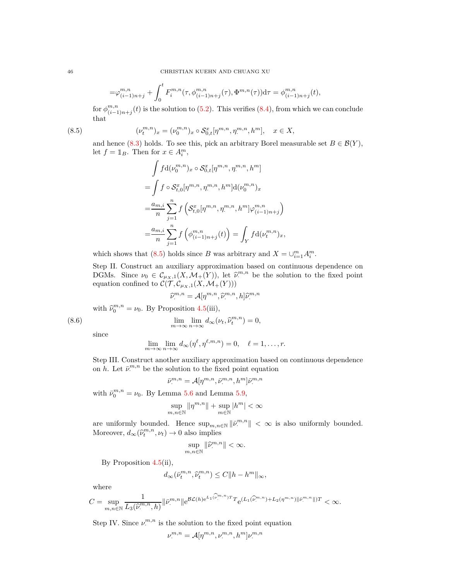$$
=\varphi_{(i-1)n+j}^{m,n}+\int_0^t F_i^{m,n}(\tau,\phi_{(i-1)n+j}^{m,n}(\tau),\Phi^{m,n}(\tau))\mathrm{d}\tau=\phi_{(i-1)n+j}^{m,n}(t),
$$

for  $\phi^{m,n}_{(i-1)}$  $\binom{m,n}{(i-1)n+j}(t)$  is the solution to [\(5.2\)](#page-29-1). This verifies [\(8.4\)](#page-44-2), from which we can conclude that

(8.5) 
$$
(\nu_t^{m,n})_x = (\nu_0^{m,n})_x \circ \mathcal{S}_{0,t}^x [\eta^{m,n}, \eta^{m,n}, h^m], \quad x \in X,
$$

and hence [\(8.3\)](#page-44-1) holds. To see this, pick an arbitrary Borel measurable set  $B \in \mathcal{B}(Y)$ , let  $f = \mathbb{1}_B$ . Then for  $x \in A_i^m$ ,

<span id="page-45-0"></span>
$$
\int f d(\nu_0^{m,n})_x \circ S_{0,t}^x [\eta^{m,n}, \eta^{m,n}, h^m]
$$
  
= 
$$
\int f \circ S_{t,0}^x [\eta^{m,n}, \eta^{m,n}, h^m] d(\nu_0^{m,n})_x
$$
  
= 
$$
\frac{a_{m,i}}{n} \sum_{j=1}^n f \left( S_{t,0}^x [\eta^{m,n}, \eta^{m,n}, h^m] \varphi_{(i-1)n+j}^{m,n} \right)
$$
  
= 
$$
\frac{a_{m,i}}{n} \sum_{j=1}^n f \left( \phi_{(i-1)n+j}^{m,n}(t) \right) = \int_Y f d(\nu_t^{m,n})_x,
$$

which shows that [\(8.5\)](#page-45-0) holds since *B* was arbitrary and  $X = \bigcup_{i=1}^{m} A_i^m$ .

Step II. Construct an auxiliary approximation based on continuous dependence on DGMs. Since  $\nu_0 \in C_{\mu_X,1}(X, \mathcal{M}_+(Y))$ , let  $\hat{\nu}^{m,n}$  be the solution to the fixed point equation confined to  $\mathcal{C}(\mathcal{T}, \mathcal{C}_{\mu_X,1}(X, \mathcal{M}_+(Y)))$ 

<span id="page-45-1"></span>
$$
\widehat{\nu}^{m,n}_{\cdot} = \mathcal{A}[\eta^{m,n},\widehat{\nu}^{m,n}_{\cdot},h] \widehat{\nu}^{m,n}_{\cdot}
$$

with  $\widehat{\nu}_0^{m,n} = \nu_0$ . By Proposition [4.5\(](#page-25-1)iii),

(8.6) 
$$
\lim_{m \to \infty} \lim_{n \to \infty} d_{\infty}(\nu_t, \widehat{\nu}_t^{m,n}) = 0,
$$

since

$$
\lim_{m \to \infty} \lim_{n \to \infty} d_{\infty}(\eta^{\ell}, \eta^{\ell, m, n}) = 0, \quad \ell = 1, \dots, r.
$$

Step III. Construct another auxiliary approximation based on continuous dependence on *h*. Let  $\bar{\nu}^{m,n}$  be the solution to the fixed point equation

$$
\bar{\nu}_{\cdot}^{m,n} = \mathcal{A}[\eta^{m,n}, \bar{\nu}_{\cdot}^{m,n}, h^m] \bar{\nu}_{\cdot}^{m,n}
$$

with  $\bar{\nu}_0^{m,n} = \nu_0$ . By Lemma [5.6](#page-27-2) and Lemma [5.9,](#page-29-0)

$$
\sup_{m,n\in\mathbb{N}}\|\eta^{m,n}\|+\sup_{m\in\mathbb{N}}|h^m|<\infty
$$

are uniformly bounded. Hence  $\sup_{m,n\in\mathbb{N}} ||\bar{\nu}^{m,n}|| < \infty$  is also uniformly bounded. Moreover,  $d_{\infty}(\hat{\nu}_t^{m,n}, \nu_t) \to 0$  also implies

$$
\sup_{m,n\in\mathbb{N}}\|\widehat{\nu}^{m,n}_\cdot\|<\infty.
$$

By Proposition [4.5\(](#page-25-1)ii),

$$
d_\infty(\bar{\nu}_t^{m,n},\widehat{\nu}_t^{m,n})\leq C\|h-h^m\|_\infty,
$$

where

$$
C = \sup_{m,n \in \mathbb{N}} \frac{1}{L_3(\widehat{\nu}^{m,n}, h)} \|\bar{\nu}^{m,n}\| e^{\mathcal{BL}(h) e^{L_1(\widehat{\nu}^{m,n})T} T} e^{(L_1(\widehat{\nu}^{m,n}) + L_2(\eta^{m,n})\|\bar{\nu}^{m,n}\|)T} < \infty.
$$

Step IV. Since *ν m,n*  $\mathbb{R}^{m,n}$  is the solution to the fixed point equation

$$
\nu^{m,n}_\cdot = \mathcal{A}[\eta^{m,n},\nu^{m,n}_\cdot,h^m]\nu^{m,n}_\cdot
$$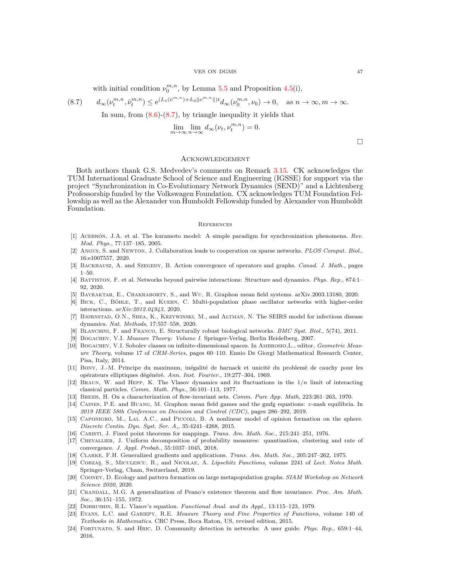### VES ON DGMS 47

<span id="page-46-24"></span>with initial condition  $\nu_0^{m,n}$ , by Lemma [5.5](#page-27-1) and Proposition [4.5\(](#page-25-1)i),

$$
(8.7) \t d_{\infty}(\nu_t^{m,n}, \bar{\nu}_t^{m,n}) \le e^{(L_1(\bar{\nu}_t^{m,n}) + L_2 \|\nu_t^{m,n}\|)t} d_{\infty}(\nu_0^{m,n}, \nu_0) \to 0, \text{ as } n \to \infty, m \to \infty.
$$

In sum, from [\(8.6\)](#page-45-1)-[\(8.7\)](#page-46-24), by triangle inequality it yields that

$$
\lim_{m \to \infty} \lim_{n \to \infty} d_{\infty}(\nu_t, \nu_t^{m,n}) = 0.
$$

 $\Box$ 

## <span id="page-46-0"></span>Acknowledgement

Both authors thank G.S. Medvedev's comments on Remark [3.15.](#page-20-4) CK acknowledges the TUM International Graduate School of Science and Engineering (IGSSE) for support via the project "Synchronization in Co-Evolutionary Network Dynamics (SEND)" and a Lichtenberg Professorship funded by the Volkswagen Foundation. CX acknowledges TUM Foundation Fellowship as well as the Alexander von Humboldt Fellowship funded by Alexander von Humboldt Foundation.

### <span id="page-46-1"></span>**REFERENCES**

- <span id="page-46-3"></span>[1] Acebron, J.A. ´ et al. The kuramoto model: A simple paradigm for synchronization phenomena. *Rev. Mod. Phys.*, 77:137–185, 2005.
- <span id="page-46-2"></span>[2] Angus, S. and Newton, J. Collaboration leads to cooperation on sparse networks. *PLOS Comput. Biol.*, 16:e1007557, 2020.
- <span id="page-46-8"></span><span id="page-46-5"></span>[3] BACKHAUSZ, A. and SZEGEDY, B. Action convergence of operators and graphs. *Canad. J. Math.*, pages 1–50.
- [4] Battiston, F. et al. Networks beyond pairwise interactions: Structure and dynamics. *Phys. Rep.*, 874:1– 92, 2020.
- <span id="page-46-11"></span><span id="page-46-9"></span>[5] Bayraktar, E., Chakraborty, S., and Wu, R. Graphon mean field systems. arXiv.2003.13180, 2020.
- [6] BICK, C., BÖHLE, T., and KUEHN, C. Multi-population phase oscillator networks with higher-order interactions. *arXiv:2012.04943*, 2020.
- <span id="page-46-21"></span>[7] Bjørnstad, O.N., Shea, K., Krzywinski, M., and Altman, N. The SEIRS model for infectious disease dynamics. *Nat. Methods*, 17:557–558, 2020.
- <span id="page-46-23"></span><span id="page-46-19"></span>[8] Blanchini, F. and Franco, E. Structurally robust biological networks. *BMC Syst. Biol.*, 5(74), 2011.
- <span id="page-46-20"></span>[9] Bogachev, V.I. *Measure Theory: Volume I*. Springer-Verlag, Berlin Heidelberg, 2007.
- [10] BOGACHEV, V.I. Sobolev classes on infinite-dimensional spaces. In AMBROSIO,L., editor, *Geometric Measure Theory*, volume 17 of *CRM-Series*, pages 60–110. Ennio De Giorgi Mathematical Research Center, Pisa, Italy, 2014.
- <span id="page-46-14"></span>[11] Bony, J.-M. Principe du maximum, inégalité de harnack et unicité du problemè de cauchy pour les opérateurs elliptiques dégénéré. *Ann. Inst. Fourier.*, 19:277-304, 1969.
- <span id="page-46-6"></span>[12] Braun, W. and Hepp, K. The Vlasov dynamics and its fluctuations in the 1*/n* limit of interacting classical particles. *Comm. Math. Phys.*, 56:101–113, 1977.
- <span id="page-46-15"></span><span id="page-46-10"></span>[13] Brezis, H. On a characterization of flow-invariant sets. *Comm. Pure App. Math*, 223:261–263, 1970.
- [14] Caines, P.E. and Huang, M. Graphon mean field games and the gmfg equations: *ε*-nash equilibria. In *2019 IEEE 58th Conference on Decision and Control (CDC)*, pages 286–292, 2019.
- <span id="page-46-12"></span>[15] CAPONIGRO, M., LAI, A.C., and PICCOLI, B. A nonlinear model of opinion formation on the sphere. *Discrete Contin. Dyn. Syst. Ser. A,*, 35:4241–4268, 2015.
- <span id="page-46-18"></span><span id="page-46-13"></span>[16] Caristi, J. Fixed point theorems for mappings. *Trans. Am. Math. Soc.*, 215:241–251, 1976.
- [17] Chevallier, J. Uniform decomposition of probability measures: quantization, clustering and rate of convergence. *J. Appl. Probab.*, 55:1037–1045, 2018.
- <span id="page-46-26"></span><span id="page-46-17"></span>[18] Clarke, F.H. Generalized gradients and applications. *Trans. Am. Math. Soc.*, 205:247–262, 1975.
- [19] Cobzas¸, S., Miculescu, R., and Nicolae, A. *Lipschitz Functions*, volume 2241 of *Lect. Notes Math.* Springer-Verlag, Cham, Switzerland, 2019.
- <span id="page-46-22"></span>[20] Cooney, D. Ecology and pattern formation on large metapopulation graphs. *SIAM Workshop on Network Science 2020*, 2020.
- <span id="page-46-16"></span>[21] Crandall, M.G. A generalization of Peano's existence theorem and flow invariance. *Proc. Am. Math. Soc.*, 36:151–155, 1972.
- <span id="page-46-25"></span><span id="page-46-7"></span>[22] Dobrushin, R.L. Vlasov's equation. *Functional Anal. and its Appl.*, 13:115–123, 1979.
- [23] Evans, L.C. and Gariepy, R.E. *Measure Theory and Fine Properties of Functions*, volume 140 of *Textbooks in Mathematics*. CRC Press, Boca Raton, US, revised edition, 2015.
- <span id="page-46-4"></span>[24] Fortunato, S. and Hric, D. Community detection in networks: A user guide. *Phys. Rep.*, 659:1–44, 2016.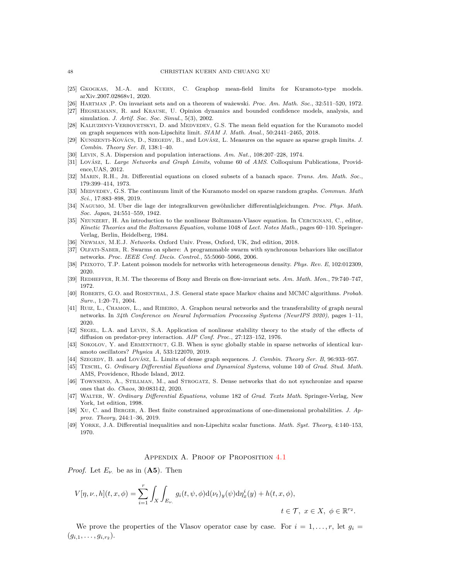### 48 CHRISTIAN KUEHN AND CHUANG XU

- <span id="page-47-11"></span>[25] GKOGKAS, M.-A. and KUEHN, C. Graphop mean-field limits for Kuramoto-type models. arXiv.2007.02868v1, 2020.
- <span id="page-47-23"></span><span id="page-47-16"></span>[26] Hartman ,P. On invariant sets and on a theorem of wa˙zewski. *Proc. Am. Math. Soc.*, 32:511–520, 1972.
- [27] Hegselmann, R. and Krause, U. Opinion dynamics and bounded confidence models, analysis, and simulation. *J. Artif. Soc. Soc. Simul.*, 5(3), 2002.
- <span id="page-47-10"></span>[28] KALIUZHNYI-VERBOVETSKYI, D. and MEDVEDEV, G.S. The mean field equation for the Kuramoto model on graph sequences with non-Lipschitz limit. *SIAM J. Math. Anal.*, 50:2441–2465, 2018.
- <span id="page-47-8"></span>[29] KUNSZENTI-KOVÁCS, D., SZEGEDY, B., and LOVÁSZ, L. Measures on the square as sparse graph limits. *J. Combin. Theory Ser. B*, 138:1–40.
- <span id="page-47-21"></span><span id="page-47-2"></span>[30] Levin, S.A. Dispersion and population interactions. *Am. Nat.*, 108:207–228, 1974.
- [31] Lovász, L. *Large Networks and Graph Limits*, volume 60 of *AMS*. Colloquium Publications, Providence,UAS, 2012.
- <span id="page-47-18"></span>[32] Marin, R.H., Jr. Differential equations on closed subsets of a banach space. *Trans. Am. Math. Soc.*, 179:399–414, 1973.
- <span id="page-47-6"></span>[33] MEDVEDEV, G.S. The continuum limit of the Kuramoto model on sparse random graphs. *Commun. Math Sci.*, 17:883–898, 2019.
- <span id="page-47-14"></span>[34] NAGUMO, M. Uber die lage der integralkurven gewöhnlicher differentialgleichungen. Proc. Phys. Math. *Soc. Japan*, 24:551–559, 1942.
- <span id="page-47-7"></span>[35] Neunzert, H. An introduction to the nonlinear Boltzmann-Vlasov equation. In Cercignani, C., editor, *Kinetic Theories and the Boltzmann Equation*, volume 1048 of *Lect. Notes Math.*, pages 60–110. Springer-Verlag, Berlin, Heidelberg, 1984.
- <span id="page-47-24"></span><span id="page-47-1"></span>[36] Newman, M.E.J. *Networks*. Oxford Univ. Press, Oxford, UK, 2nd edition, 2018.
- [37] Olfati-Saber, R. Swarms on sphere: A programmable swarm with synchronous behaviors like oscillator networks. *Proc. IEEE Conf. Decis. Control.*, 55:5060–5066, 2006.
- <span id="page-47-17"></span><span id="page-47-3"></span>[38] Peixoto, T.P. Latent poisson models for networks with heterogeneous density. *Phys. Rev. E*, 102:012309, 2020.
- <span id="page-47-20"></span>[39] Redheffer, R.M. The theorems of Bony and Brezis on flow-invariant sets. *Am. Math. Mon.*, 79:740–747, 1972.
- [40] Roberts, G.O. and Rosenthal, J.S. General state space Markov chains and MCMC algorithms. *Probab. Surv.*, 1:20–71, 2004.
- <span id="page-47-12"></span>[41] RUIZ, L., CHAMON, L., and RIBEIRO, A. Graphon neural networks and the transferability of graph neural networks. In *34th Conference on Neural Information Processing Systems (NeurIPS 2020)*, pages 1–11, 2020.
- <span id="page-47-22"></span>[42] SEGEL, L.A. and LEVIN, S.A. Application of nonlinear stability theory to the study of the effects of diffusion on predator-prey interaction. *AIP Conf. Proc.*, 27:123–152, 1976.
- <span id="page-47-5"></span>[43] SOKOLOV, Y. and ERMENTROUT, G.B. When is sync globally stable in sparse networks of identical kuramoto oscillators? *Physica A*, 533:122070, 2019.
- <span id="page-47-25"></span><span id="page-47-9"></span>[44] SZEGEDY, B. and LOVÁSZ, L. Limits of dense graph sequences. *J. Combin. Theory Ser. B*, 96:933–957.
- [45] Teschl, G. *Ordinary Differential Equations and Dynamical Systems*, volume 140 of *Grad. Stud. Math.* AMS, Providence, Rhode Island, 2012.
- <span id="page-47-4"></span>[46] TOWNSEND, A., STILLMAN, M., and STROGATZ, S. Dense networks that do not synchronize and sparse ones that do. *Chaos*, 30:083142, 2020.
- <span id="page-47-19"></span>[47] Walter, W. *Ordinary Differential Equations*, volume 182 of *Grad. Texts Math.* Springer-Verlag, New York, 1st edition, 1998.
- <span id="page-47-13"></span>[48] Xu, C. and Berger, A. Best finite constrained approximations of one-dimensional probabilities. *J. Approx. Theory*, 244:1–36, 2019.
- <span id="page-47-15"></span><span id="page-47-0"></span>[49] Yorke, J.A. Differential inequalities and non-Lipschitz scalar functions. *Math. Syst. Theory*, 4:140–153, 1970.

## APPENDIX A. PROOF OF PROPOSITION [4.1](#page-23-2)

*Proof.* Let  $E_\nu$  be as in (**A5**). Then

$$
V[\eta, \nu, h](t, x, \phi) = \sum_{i=1}^{r} \int_{X} \int_{E_{\nu}} g_i(t, \psi, \phi) d(\nu_t)_y(\psi) d\eta_x^{i}(y) + h(t, x, \phi),
$$
  

$$
t \in \mathcal{T}, \ x \in X, \ \phi \in \mathbb{I}
$$

We prove the properties of the Vlasov operator case by case. For  $i = 1, \ldots, r$ , let  $q_i =$  $(g_{i,1},\ldots,g_{i,r_2}).$ 

*r*2 *.*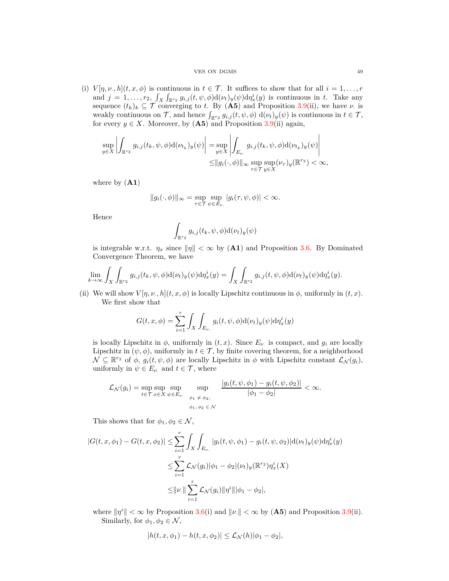### VES ON DGMS 49

(i)  $V[\eta, \nu, h](t, x, \phi)$  is continuous in  $t \in \mathcal{T}$ . It suffices to show that for all  $i = 1, \ldots, r$ and  $j = 1, \ldots, r_2, \int_X \int_{\mathbb{R}^{r_2}} g_{i,j}(t, \psi, \phi) d(\nu_t)_y(\psi) d\eta_x^i(y)$  is continuous in *t*. Take any sequence  $(t_k)_k \subseteq \mathcal{T}$  converging to *t*. By  $(\mathbf{A5})$  and Proposition [3.9\(](#page-18-0)ii), we have *ν*. is weakly continuous on  $\mathcal{T}$ , and hence  $\int_{\mathbb{R}^{r_2}} g_{i,j}(t, \psi, \phi) d(\nu_t)_y(\psi)$  is continuous in  $t \in \mathcal{T}$ , for every  $y \in X$ . Moreover, by  $(A5)$  and Proposition [3.9\(](#page-18-0)ii) again,

$$
\sup_{y \in X} \left| \int_{\mathbb{R}^{r_2}} g_{i,j}(t_k, \psi, \phi) d(\nu_{t_k})_y(\psi) \right| = \sup_{y \in X} \left| \int_{E_{\nu.}} g_{i,j}(t_k, \psi, \phi) d(\nu_{t_k})_y(\psi) \right|
$$
  

$$
\leq ||g_i(\cdot, \phi)||_{\infty} \sup_{\tau \in \mathcal{T}} \sup_{y \in X} (\nu_{\tau})_y(\mathbb{R}^{r_2}) < \infty,
$$

where by (**A1**)

$$
||g_i(\cdot,\phi)||_{\infty} = \sup_{\tau \in \mathcal{T}} \sup_{\psi \in E_{\nu.}} |g_i(\tau,\psi,\phi)| < \infty.
$$

Hence

$$
\int_{\mathbb{R}^{r_2}} g_{i,j}(t_k,\psi,\phi) \mathrm{d}(\nu_t)_y(\psi)
$$

is integrable w.r.t.  $\eta_x$  since  $\|\eta\| < \infty$  by (A1) and Proposition [3.6.](#page-17-0) By Dominated Convergence Theorem, we have

$$
\lim_{k\to\infty}\int_X\int_{\mathbb{R}^{r_2}}g_{i,j}(t_k,\psi,\phi)\mathrm{d}(\nu_t)_y(\psi)\mathrm{d}\eta^i_x(y)=\int_X\int_{\mathbb{R}^{r_2}}g_{i,j}(t,\psi,\phi)\mathrm{d}(\nu_t)_y(\psi)\mathrm{d}\eta^i_x(y).
$$

(ii) We will show  $V[\eta, \nu, h](t, x, \phi)$  is locally Lipschitz continuous in  $\phi$ , uniformly in  $(t, x)$ . We first show that

$$
G(t, x, \phi) = \sum_{i=1}^{r} \int_{X} \int_{E_{\nu}} g_i(t, \psi, \phi) d(\nu_t)_y(\psi) d\eta_x^{i}(y)
$$

is locally Lipschitz in  $\phi$ , uniformly in  $(t, x)$ . Since  $E_{\nu}$  is compact, and  $g_i$  are locally Lipschitz in  $(\psi, \phi)$ , uniformly in  $t \in \mathcal{T}$ , by finite covering theorem, for a neighborhood  $\mathcal{N} \subseteq \mathbb{R}^{r_2}$  of  $\phi$ ,  $g_i(t, \psi, \phi)$  are locally Lipschitz in  $\phi$  with Lipschitz constant  $\mathcal{L}_{\mathcal{N}}(g_i)$ , uniformly in  $\psi \in E_{\nu}$  and  $t \in \mathcal{T}$ , where

$$
\mathcal{L}_{\mathcal{N}}(g_i) = \sup_{t \in \mathcal{T}} \sup_{x \in X} \sup_{\psi \in E_{\nu.}} \sup_{\phi_1 \neq \phi_2, \atop \phi_1, \phi_2 \in \mathcal{N}} \frac{|g_i(t, \psi, \phi_1) - g_i(t, \psi, \phi_2)|}{|\phi_1 - \phi_2|} < \infty.
$$

This shows that for  $\phi_1, \phi_2 \in \mathcal{N}$ ,

$$
|G(t, x, \phi_1) - G(t, x, \phi_2)| \le \sum_{i=1}^r \int_X \int_{E_{\nu.}} |g_i(t, \psi, \phi_1) - g_i(t, \psi, \phi_2)| d(\nu_t)_y(\psi) d\eta_x^i(y)
$$
  

$$
\le \sum_{i=1}^r \mathcal{L}_{\mathcal{N}}(g_i) |\phi_1 - \phi_2|(\nu_t)_y(\mathbb{R}^{r_2}) \eta_x^i(X)
$$
  

$$
\le ||\nu.|| \sum_{i=1}^r \mathcal{L}_{\mathcal{N}}(g_i) ||\eta^i|| |\phi_1 - \phi_2|,
$$

where  $||\eta^i|| < \infty$  by Proposition [3.6\(](#page-17-0)i) and  $||\nu|| < \infty$  by (**A5**) and Proposition [3.9\(](#page-18-0)ii). Similarly, for  $\phi_1, \phi_2 \in \mathcal{N}$ ,

$$
|h(t, x, \phi_1) - h(t, x, \phi_2)| \leq \mathcal{L}_{\mathcal{N}}(h) |\phi_1 - \phi_2|,
$$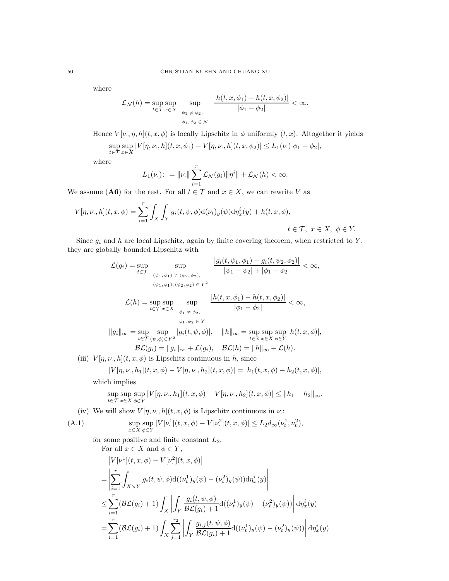where

$$
\mathcal{L}_{\mathcal{N}}(h) = \sup_{t \in \mathcal{T}} \sup_{x \in X} \sup_{\phi_1 \neq \phi_2, \atop \phi_1, \phi_2 \in \mathcal{N}} \frac{|h(t, x, \phi_1) - h(t, x, \phi_2)|}{|\phi_1 - \phi_2|} < \infty.
$$

Hence  $V[\nu, \eta, h](t, x, \phi)$  is locally Lipschitz in  $\phi$  uniformly  $(t, x)$ . Altogether it yields sup *t*∈T sup  $\sup_{x \in X} |V[\eta, \nu, h](t, x, \phi_1) - V[\eta, \nu, h](t, x, \phi_2)| \le L_1(\nu) |\phi_1 - \phi_2|,$ 

where

$$
L_1(\nu): = \|\nu\| \sum_{i=1}^r \mathcal{L}_{\mathcal{N}}(g_i) \|\eta^i\| + \mathcal{L}_{\mathcal{N}}(h) < \infty.
$$

We assume (A6) for the rest. For all  $t \in \mathcal{T}$  and  $x \in X$ , we can rewrite *V* as

$$
V[\eta, \nu, h](t, x, \phi) = \sum_{i=1}^r \int_X \int_Y g_i(t, \psi, \phi) d(\nu_t)_y(\psi) d\eta_x^i(y) + h(t, x, \phi),
$$
  

$$
t \in \mathcal{T}, \ x \in X, \ \phi \in Y.
$$

Since  $g_i$  and  $h$  are local Lipschitz, again by finite covering theorem, when restricted to  $Y$ , they are globally bounded Lipschitz with

$$
\mathcal{L}(g_i) = \sup_{t \in \mathcal{T}} \sup_{(\psi_1, \phi_1) \neq (\psi_2, \phi_2),} \frac{|g_i(t, \psi_1, \phi_1) - g_i(t, \psi_2, \phi_2)|}{|\psi_1 - \psi_2| + |\phi_1 - \phi_2|} < \infty,
$$
  

$$
\frac{(\psi_1, \phi_1), (\psi_2, \phi_2) \in Y^2}{(\psi_1, \phi_1), (\psi_2, \phi_2) \in Y^2}
$$
  

$$
\mathcal{L}(h) = \sup_{t \in \mathcal{T}} \sup_{x \in X} \sup_{\phi_1 \neq \phi_2,} \frac{|h(t, x, \phi_1) - h(t, x, \phi_2)|}{|\phi_1 - \phi_2|} < \infty,
$$
  

$$
\frac{\phi_1, \phi_2 \in Y}{\phi_1, \phi_2 \in Y}
$$
  

$$
||g_i||_{\infty} = \sup_{t \in \mathcal{T}} \sup_{(\psi, \phi) \in Y^2} |g_i(t, \psi, \phi)|, \quad ||h||_{\infty} = \sup_{t \in \mathbb{R}} \sup_{x \in X} \sup_{\phi \in Y} |h(t, x, \phi)|,
$$
  
(iii) 
$$
V[\eta, \nu, h](t, x, \phi) \text{ is Lipschitz continuous in } h, \text{ since}
$$
  

$$
|V[\eta, \nu, h_1](t, x, \phi) - V[\eta, \nu, h_2](t, x, \phi)| = |h_1(t, x, \phi) - h_2(t, x, \phi)|,
$$

which implies

<span id="page-49-0"></span>
$$
\sup_{t \in \mathcal{T}} \sup_{x \in X} \sup_{\phi \in Y} |V[\eta, \nu, h_1](t, x, \phi) - V[\eta, \nu, h_2](t, x, \phi)| \le ||h_1 - h_2||_{\infty}.
$$

(iv) We will show  $V[\eta, \nu, h](t, x, \phi)$  is Lipschitz continuous in  $\nu$ .:

(A.1) 
$$
\sup_{x \in X} \sup_{\phi \in Y} |V[\nu^1](t, x, \phi) - V[\nu^2](t, x, \phi)| \le L_2 d_{\infty}(\nu_t^1, \nu_t^2),
$$

for some positive and finite constant *L*2.

For all 
$$
x \in X
$$
 and  $\phi \in Y$ ,  
\n
$$
|V[\nu^1](t, x, \phi) - V[\nu^2](t, x, \phi)|
$$
\n
$$
= \left| \sum_{i=1}^r \int_{X \times Y} g_i(t, \psi, \phi) d((\nu_t^1)_y(\psi) - (\nu_t^2)_y(\psi)) d\eta_x^i(y) \right|
$$
\n
$$
\leq \sum_{i=1}^r (\mathcal{BL}(g_i) + 1) \int_X \left| \int_Y \frac{g_i(t, \psi, \phi)}{\mathcal{BL}(g_i) + 1} d((\nu_t^1)_y(\psi) - (\nu_t^2)_y(\psi)) \right| d\eta_x^i(y)
$$
\n
$$
= \sum_{i=1}^r (\mathcal{BL}(g_i) + 1) \int_X \sum_{j=1}^{r_2} \left| \int_Y \frac{g_{i,j}(t, \psi, \phi)}{\mathcal{BL}(g_i) + 1} d((\nu_t^1)_y(\psi) - (\nu_t^2)_y(\psi)) \right| d\eta_x^i(y)
$$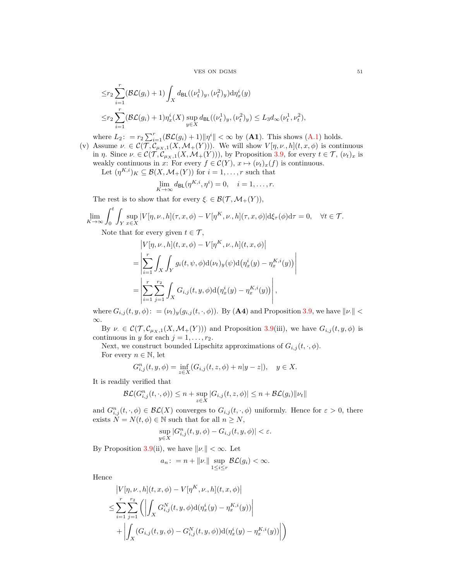$V$  VES ON DGMS  $51\,$ 

$$
\leq r_2 \sum_{i=1}^r (\mathcal{BL}(g_i) + 1) \int_X d_{\text{BL}}((\nu_t^1)_y, (\nu_t^2)_y) d\eta_x^i(y)
$$
  

$$
\leq r_2 \sum_{i=1}^r (\mathcal{BL}(g_i) + 1) \eta_x^i(X) \sup_{y \in X} d_{\text{BL}}((\nu_t^1)_y, (\nu_t^2)_y) \leq L_3 d_{\infty}(\nu_t^1, \nu_t^2),
$$

where  $L_2$ :  $= r_2 \sum_{i=1}^r (\mathcal{BL}(g_i) + 1) ||\eta^i|| < \infty$  by (**A1**). This shows (**A**.1) holds.

(v) Assume  $\nu \in C(\mathcal{T}, \mathcal{C}_{\mu_X,1}(X, \mathcal{M}_+(Y)))$ . We will show  $V[\eta, \nu, h](t, x, \phi)$  is continuous in *η*. Since  $\nu \in \mathcal{C}(\mathcal{T}, \mathcal{C}_{\mu_X,1}(X, \mathcal{M}_+(Y))),$  by Proposition [3.9,](#page-18-0) for every  $t \in \mathcal{T}, (\nu_t)_x$  is weakly continuous in *x*: For every  $f \in \mathcal{C}(Y)$ ,  $x \mapsto (\nu_t)_x(f)$  is continuous. Let  $(\eta^{K,i})_K \subseteq \mathcal{B}(X, \mathcal{M}_+(Y))$  for  $i = 1, \ldots, r$  such that

$$
\lim_{K \to \infty} d_{\mathsf{BL}}(\eta^{K,i}, \eta^i) = 0, \quad i = 1, \dots, r.
$$

The rest is to show that for every  $\xi \in \mathcal{B}(\mathcal{T}, \mathcal{M}_+(Y)),$ 

$$
\lim_{K \to \infty} \int_0^t \int_Y \sup_{x \in X} |V[\eta, \nu, h](\tau, x, \phi) - V[\eta^K, \nu, h](\tau, x, \phi)| d\xi_\tau(\phi) d\tau = 0, \quad \forall t \in \mathcal{T}.
$$

Note that for every given  $t \in \mathcal{T}$ ,

$$
|V[\eta, \nu, h](t, x, \phi) - V[\eta^{K}, \nu, h](t, x, \phi)|
$$
  
= 
$$
\left| \sum_{i=1}^{r} \int_{X} \int_{Y} g_{i}(t, \psi, \phi) d(\nu_{t})_{y}(\psi) d(\eta_{x}^{i}(y) - \eta_{x}^{K, i}(y)) \right|
$$
  
= 
$$
\left| \sum_{i=1}^{r} \sum_{j=1}^{r_{2}} \int_{X} G_{i,j}(t, y, \phi) d(\eta_{x}^{i}(y) - \eta_{x}^{K, i}(y)) \right|,
$$

where  $G_{i,j}(t, y, \phi)$ : =  $(\nu_t)_y(g_{i,j}(t, \cdot, \phi))$ . By (**A4**) and Proposition [3.9,](#page-18-0) we have  $\|\nu\|$  < ∞.

By  $\nu \in \mathcal{C}(\mathcal{T}, \mathcal{C}_{\mu_X,1}(X, \mathcal{M}_+(Y)))$  and Proposition [3.9\(](#page-18-0)iii), we have  $G_{i,j}(t, y, \phi)$  is continuous in *y* for each  $j = 1, \ldots, r_2$ .

Next, we construct bounded Lipschitz approximations of  $G_{i,j}(t, \cdot, \phi)$ . For every  $n \in \mathbb{N}$ , let

$$
G_{i,j}^n(t, y, \phi) = \inf_{z \in X} (G_{i,j}(t, z, \phi) + n|y - z|), \quad y \in X.
$$

It is readily verified that

$$
\mathcal{BL}(G_{i,j}^n(t,\cdot,\phi)) \le n + \sup_{z \in X} |G_{i,j}(t,z,\phi)| \le n + \mathcal{BL}(g_i) ||\nu_t||
$$

and  $G_{i,j}^n(t,\cdot,\phi) \in \mathcal{BL}(X)$  converges to  $G_{i,j}(t,\cdot,\phi)$  uniformly. Hence for  $\varepsilon > 0$ , there exists  $\tilde{N} = N(t, \phi) \in \mathbb{N}$  such that for all  $n \geq N$ ,

$$
\sup_{y \in X} |G_{i,j}^n(t, y, \phi) - G_{i,j}(t, y, \phi)| < \varepsilon.
$$

By Proposition [3.9\(](#page-18-0)ii), we have  $\|\nu\| < \infty$ . Let

$$
a_n: = n + ||\nu|| \sup_{1 \le i \le r} \mathcal{BL}(g_i) < \infty.
$$

Hence

$$
\begin{split} & \left| V[\eta, \nu_{\cdot}, h](t, x, \phi) - V[\eta^{K}, \nu_{\cdot}, h](t, x, \phi) \right| \\ & \leq \sum_{i=1}^{r} \sum_{j=1}^{r_{2}} \left( \left| \int_{X} G_{i,j}^{N}(t, y, \phi) d(\eta_{x}^{i}(y) - \eta_{x}^{K,i}(y)) \right| \\ & + \left| \int_{X} (G_{i,j}(t, y, \phi) - G_{i,j}^{N}(t, y, \phi)) d(\eta_{x}^{i}(y) - \eta_{x}^{K,i}(y)) \right| \right) \end{split}
$$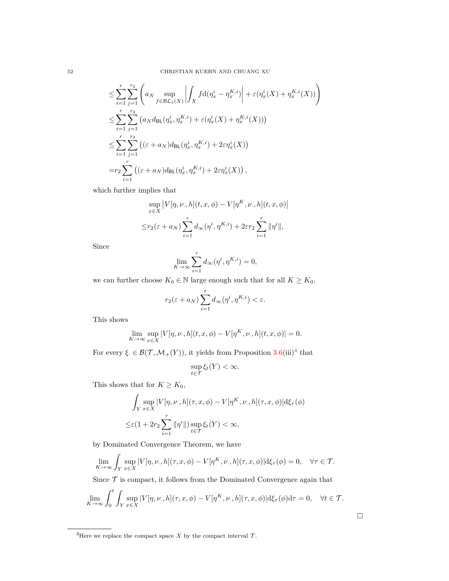$$
\leq \sum_{i=1}^{r} \sum_{j=1}^{r_2} \left( a_N \sup_{f \in \mathcal{BL}_1(X)} \left| \int_X f d(\eta_x^i - \eta_x^{K,i}) \right| + \varepsilon(\eta_x^i(X) + \eta_x^{K,i}(X)) \right)
$$
  
\n
$$
\leq \sum_{i=1}^{r} \sum_{j=1}^{r_2} \left( a_N d_{\text{BL}}(\eta_x^i, \eta_x^{K,i}) + \varepsilon(\eta_x^i(X) + \eta_x^{K,i}(X)) \right)
$$
  
\n
$$
\leq \sum_{i=1}^{r} \sum_{j=1}^{r_2} \left( (\varepsilon + a_N) d_{\text{BL}}(\eta_x^i, \eta_x^{K,i}) + 2\varepsilon \eta_x^i(X) \right)
$$
  
\n
$$
= r_2 \sum_{i=1}^{r} \left( (\varepsilon + a_N) d_{\text{BL}}(\eta_x^i, \eta_x^{K,i}) + 2\varepsilon \eta_x^i(X) \right),
$$

which further implies that

$$
\sup_{x \in X} |V[\eta, \nu, h](t, x, \phi) - V[\eta^K, \nu, h](t, x, \phi)|
$$
  

$$
\leq r_2(\varepsilon + a_N) \sum_{i=1}^r d_{\infty}(\eta^i, \eta^{K, i}) + 2\varepsilon r_2 \sum_{i=1}^r \|\eta^i\|,
$$

Since

$$
\lim_{K\to\infty}\sum_{i=1}^r d_\infty(\eta^i,\eta^{K,i})=0,
$$

we can further choose  $K_0 \in \mathbb{N}$  large enough such that for all  $K \geq K_0,$ 

$$
r_2(\varepsilon + a_N) \sum_{i=1}^r d_{\infty}(\eta^i, \eta^{K,i}) < \varepsilon.
$$

This shows

$$
\lim_{K \to \infty} \sup_{x \in X} |V[\eta, \nu, h](t, x, \phi) - V[\eta^K, \nu, h](t, x, \phi)| = 0.
$$

For every  $\xi \in \mathcal{B}(\mathcal{T}, \mathcal{M}_+(Y))$ , it yields from Proposition  $3.6(\text{iii})^4$  $3.6(\text{iii})^4$  $3.6(\text{iii})^4$  that

$$
\sup_{t\in\mathcal{T}}\xi_t(Y)<\infty.
$$

This shows that for  $K \geq K_0$ ,

$$
\int_{Y} \sup_{x \in X} |V[\eta, \nu, h](\tau, x, \phi) - V[\eta^{K}, \nu, h](\tau, x, \phi)| d\xi_{\tau}(\phi)
$$
  

$$
\leq \varepsilon (1 + 2r_2 \sum_{i=1}^{r} ||\eta^{i}||) \sup_{t \in \mathcal{T}} \xi_{t}(Y) < \infty,
$$

by Dominated Convergence Theorem, we have

$$
\lim_{K \to \infty} \int_Y \sup_{x \in X} |V[\eta, \nu, h](\tau, x, \phi) - V[\eta^K, \nu, h](\tau, x, \phi)| \mathrm{d}\xi_\tau(\phi) = 0, \quad \forall \tau \in \mathcal{T}.
$$

Since  $\mathcal T$  is compact, it follows from the Dominated Convergence again that

$$
\lim_{K \to \infty} \int_0^t \int_Y \sup_{x \in X} |V[\eta, \nu, h](\tau, x, \phi) - V[\eta^K, \nu, h](\tau, x, \phi)| d\xi_\tau(\phi) d\tau = 0, \quad \forall t \in \mathcal{T}.
$$

 $\Box$ 

<span id="page-51-0"></span><sup>&</sup>lt;sup>4</sup>Here we replace the compact space  $X$  by the compact interval  $\mathcal{T}$ .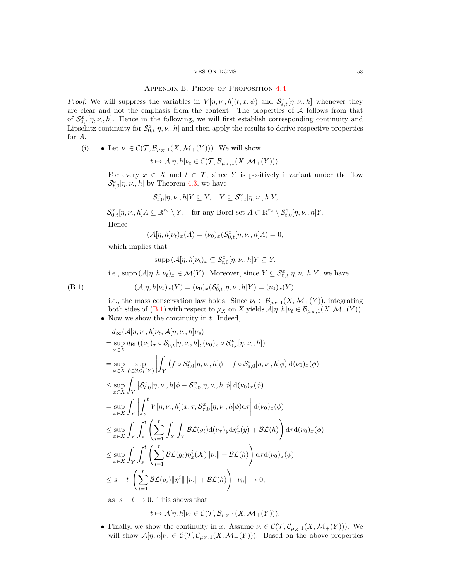### $V$  VES ON DGMS  $53\,$

## Appendix B. Proof of Proposition [4.4](#page-24-1)

<span id="page-52-0"></span>*Proof.* We will suppress the variables in  $V[\eta, \nu, h](t, x, \psi)$  and  $S_{s,t}^x[\eta, \nu, h]$  whenever they are clear and not the emphasis from the context. The properties of  $A$  follows from that of  $S_{0,t}^x[\eta,\nu,h]$ . Hence in the following, we will first establish corresponding continuity and Lipschitz continuity for  $S_{0,t}^x[\eta,\nu,h]$  and then apply the results to derive respective properties for A.

(i) 
$$
\bullet
$$
 Let  $\nu \in \mathcal{C}(\mathcal{T}, \mathcal{B}_{\mu_X,1}(X, \mathcal{M}_+(Y))). We will show$ 

 $t \mapsto \mathcal{A}[\eta, h] \nu_t \in \mathcal{C}(\mathcal{T}, \mathcal{B}_{\mu_X, 1}(X, \mathcal{M}_+(Y))).$ 

For every  $x \in X$  and  $t \in \mathcal{T}$ , since Y is positively invariant under the flow  $\mathcal{S}_{t,0}^{x}[\eta,\nu_\cdot,h]$  by Theorem [4.3,](#page-24-0) we have

$$
\mathcal{S}_{t,0}^x[\eta,\nu,h]Y\subseteq Y,\quad Y\subseteq \mathcal{S}_{0,t}^x[\eta,\nu,h]Y,
$$

 $\mathcal{S}_{0,t}^x[\eta,\nu,h]A \subseteq \mathbb{R}^{r_2} \setminus Y$ , for any Borel set  $A \subset \mathbb{R}^{r_2} \setminus \mathcal{S}_{t,0}^x[\eta,\nu,h]Y$ . Hence

$$
(\mathcal{A}[\eta,h]\nu_t)_x(A) = (\nu_0)_x(\mathcal{S}_{0,t}^x[\eta,\nu,h]A) = 0,
$$

which implies that

$$
\mathrm{supp}\,(\mathcal{A}[\eta,h]\nu_t)_x\subseteq\mathcal{S}_{t,0}^x[\eta,\nu,h]Y\subseteq Y,
$$

<span id="page-52-1"></span>i.e., supp  $(A[\eta, h]\nu_t)_x \in \mathcal{M}(Y)$ . Moreover, since  $Y \subseteq \mathcal{S}^x_{0,t}[\eta, \nu, h]Y$ , we have

(B.1)  $(\mathcal{A}[\eta, h]\nu_t)_x(Y) = (\nu_0)_x(\mathcal{S}^x_{0,t}[\eta, \nu, h]Y) = (\nu_0)_x(Y),$ 

i.e., the mass conservation law holds. Since  $\nu_t \in \mathcal{B}_{\mu_X,1}(X,\mathcal{M}_+(Y))$ , integrating both sides of [\(B.1\)](#page-52-1) with respect to  $\mu_X$  on *X* yields  $\mathcal{A}[\eta, h]\nu_t \in \mathcal{B}_{\mu_X, 1}(X, \mathcal{M}_+(Y)).$ • Now we show the continuity in *t*. Indeed,

$$
d_{\infty}(\mathcal{A}[\eta,\nu,h]\nu_t,\mathcal{A}[\eta,\nu,h]\nu_s)
$$
  
\n
$$
= \sup_{x \in X} d_{BL}((\nu_0)_x \circ \mathcal{S}_{0,t}^x[\eta,\nu,h],(\nu_0)_x \circ \mathcal{S}_{0,s}^x[\eta,\nu,h])
$$
  
\n
$$
= \sup_{x \in X} \sup_{f \in \mathcal{B}\mathcal{L}_1(Y)} \left| \int_Y (f \circ \mathcal{S}_{t,0}^x[\eta,\nu,h]\phi - f \circ \mathcal{S}_{s,0}^x[\eta,\nu,h]\phi) d(\nu_0)_x(\phi) \right|
$$
  
\n
$$
\leq \sup_{x \in X} \int_Y |\mathcal{S}_{t,0}^x[\eta,\nu,h]\phi - \mathcal{S}_{s,0}^x[\eta,\nu,h]\phi| d(\nu_0)_x(\phi)
$$
  
\n
$$
= \sup_{x \in X} \int_Y \left| \int_s^t V[\eta,\nu,h](x,\tau,\mathcal{S}_{\tau,0}^x[\eta,\nu,h]\phi) d\tau \right| d(\nu_0)_x(\phi)
$$
  
\n
$$
\leq \sup_{x \in X} \int_Y \int_s^t \left( \sum_{i=1}^r \int_X \int_Y \mathcal{B}\mathcal{L}(g_i) d(\nu_\tau)_y d\eta_x^i(y) + \mathcal{B}\mathcal{L}(h) \right) d\tau d(\nu_0)_x(\phi)
$$
  
\n
$$
\leq \sup_{x \in X} \int_Y \int_s^t \left( \sum_{i=1}^r \mathcal{B}\mathcal{L}(g_i)\eta_x^i(X) ||\nu|| + \mathcal{B}\mathcal{L}(h) \right) d\tau d(\nu_0)_x(\phi)
$$
  
\n
$$
\leq |s-t| \left( \sum_{i=1}^r \mathcal{B}\mathcal{L}(g_i) ||\eta^i|| ||\nu|| + \mathcal{B}\mathcal{L}(h) \right) ||\nu_0|| \to 0,
$$
  
\nas  $|s-t| \to 0$ . This shows that

 $t \mapsto \mathcal{A}[\eta, h] \nu_t \in \mathcal{C}(\mathcal{T}, \mathcal{B}_{\mu_X, 1}(X, \mathcal{M}_+(Y))).$ 

• Finally, we show the continuity in *x*. Assume  $\nu \in C(\mathcal{T}, \mathcal{C}_{\mu_X,1}(X, \mathcal{M}_+(Y)))$ . We will show  $\mathcal{A}[\eta, h]\nu \in \mathcal{C}(\mathcal{T}, \mathcal{C}_{\mu_X, 1}(X, \mathcal{M}_+(Y)))$ . Based on the above properties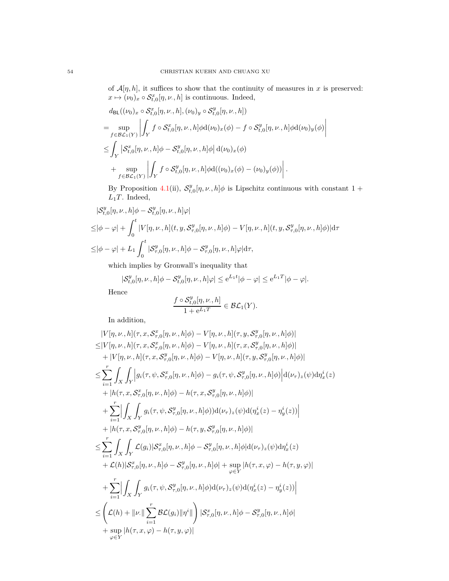of  $\mathcal{A}[\eta,h]$ , it suffices to show that the continuity of measures in  $x$  is preserved:  $x \mapsto (\nu_0)_x \circ \mathcal{S}_{t,0}^x[\eta,\nu_\cdot,h]$  is continuous. Indeed,

$$
d_{\text{BL}}((\nu_0)_x \circ \mathcal{S}_{t,0}^x[\eta,\nu,h],(\nu_0)_y \circ \mathcal{S}_{t,0}^y[\eta,\nu,h])
$$
  
\n
$$
= \sup_{f \in \mathcal{BL}_1(Y)} \left| \int_Y f \circ \mathcal{S}_{t,0}^x[\eta,\nu,h] \phi d(\nu_0)_x(\phi) - f \circ \mathcal{S}_{t,0}^y[\eta,\nu,h] \phi d(\nu_0)_y(\phi) \right|
$$
  
\n
$$
\leq \int_Y \left| \mathcal{S}_{t,0}^x[\eta,\nu,h] \phi - \mathcal{S}_{t,0}^y[\eta,\nu,h] \phi \right| d(\nu_0)_x(\phi)
$$
  
\n
$$
+ \sup_{f \in \mathcal{BL}_1(Y)} \left| \int_Y f \circ \mathcal{S}_{t,0}^y[\eta,\nu,h] \phi d((\nu_0)_x(\phi) - (\nu_0)_y(\phi)) \right|.
$$

By Proposition [4.1\(](#page-23-2)ii),  $S_{t,0}^y[\eta,\nu,h]\phi$  is Lipschitz continuous with constant 1 +  $L_1T$ . Indeed,

$$
\label{eq:2} \begin{split} &| \mathcal{S}_{t,0}^y[\eta,\nu.,h] \phi - \mathcal{S}_{t,0}^y[\eta,\nu.,h] \varphi |\\ \leq& |\phi-\varphi| + \int_0^t |V[\eta,\nu.,h](t,y,\mathcal{S}_{\tau,0}^y[\eta,\nu.,h] \phi) - V[\eta,\nu.,h](t,y,\mathcal{S}_{\tau,0}^y[\eta,\nu.,h] \phi) | \mathrm{d}\tau\\ \leq& |\phi-\varphi| + L_1 \int_0^t | \mathcal{S}_{\tau,0}^y[\eta,\nu.,h] \phi - \mathcal{S}_{\tau,0}^y[\eta,\nu.,h] \varphi | \mathrm{d}\tau, \end{split}
$$

which implies by Gronwall's inequality that

$$
|\mathcal{S}_{t,0}^y[\eta,\nu_\cdot,h]\phi-\mathcal{S}_{t,0}^y[\eta,\nu_\cdot,h]\varphi|\leq e^{L_1t}|\phi-\varphi|\leq e^{L_1T}|\phi-\varphi|.
$$

Hence

$$
\frac{f \circ \mathcal{S}_{t,0}^y[\eta,\nu,h]}{1 + e^{L_1T}} \in \mathcal{BL}_1(Y).
$$

In addition,

$$
|V[\eta, \nu, h](\tau, x, S_{\tau,0}^x[\eta, \nu, h] \phi) - V[\eta, \nu, h](\tau, y, S_{\tau,0}^y[\eta, \nu, h] \phi) |
$$
  
\n
$$
\leq |V[\eta, \nu, h](\tau, x, S_{\tau,0}^x[\eta, \nu, h] \phi) - V[\eta, \nu, h](\tau, x, S_{\tau,0}^y[\eta, \nu, h] \phi) |
$$
  
\n
$$
+ |V[\eta, \nu, h](\tau, x, S_{\tau,0}^y[\eta, \nu, h] \phi) - V[\eta, \nu, h](\tau, y, S_{\tau,0}^y[\eta, \nu, h] \phi) |
$$
  
\n
$$
\leq \sum_{i=1}^r \int_X \int_X |g_i(\tau, \psi, S_{\tau,0}^x[\eta, \nu, h] \phi) - g_i(\tau, \psi, S_{\tau,0}^y[\eta, \nu, h] \phi) |_{(L_{\tau})_z(\psi) d\eta_x^i(z) |_{(L_{\tau})_z(\psi) d\eta_x^i(z) |_{(L_{\tau})_z(\psi) d\eta_x^i(z) |_{(L_{\tau})_z(\psi) d\eta_x^i(z) |_{(L_{\tau})_z(\psi) d\eta_x^i(z) |_{(L_{\tau})_z(\psi) d\eta_x^i(z) |_{(L_{\tau})_z(\psi) d\eta_x^i(z) |_{(L_{\tau})_z(\psi) d\eta_x^i(z) |_{(L_{\tau})_z(\psi) d\eta_x^i(z) |_{(L_{\tau})_z(\psi) d\eta_x^i(z) |_{(L_{\tau})_z(\psi) d\eta_x^i(z) |_{(L_{\tau})_z(\psi) d\eta_x^i(z) |_{(L_{\tau})_z(\psi) d\eta_x^i(z) |_{(L_{\tau})_z(\psi) d\eta_x^i(z) |_{(L_{\tau})_z(\psi) d\eta_x^i(z) |_{(L_{\tau})_z(\psi) d\eta_x^i(z) |_{(L_{\tau})_z(\psi) d\eta_x^i(z) |_{(L_{\tau})_z(\psi) d\eta_x^i(z) |_{(L_{\tau})_z(\psi) d\eta_x^i(z) |_{(L_{\tau})_z(\psi) d\eta_x^i(z) |_{(L_{\tau})_z(\psi
$$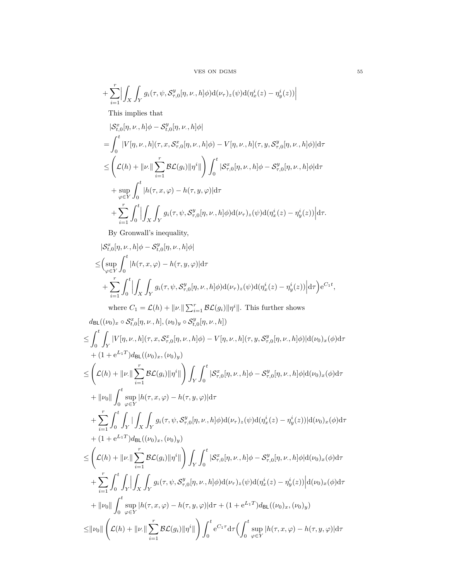$V\!E\!S$  ON DGMS  $55$ 

+
$$
\sum_{i=1}^r \Bigl| \int_X \int_Y g_i(\tau, \psi, \mathcal{S}^y_{\tau,0}[\eta, \nu, h] \phi) d(\nu_\tau)_z(\psi) d(\eta^i_x(z) - \eta^i_y(z)) \Bigr|
$$

This implies that

$$
\begin{split} &\left|\mathcal{S}_{t,0}^{x}[\eta,\nu,h]\phi-\mathcal{S}_{t,0}^{y}[\eta,\nu,h]\phi\right| \\ &=\int_{0}^{t}|V[\eta,\nu,h](\tau,x,\mathcal{S}_{\tau,0}^{x}[\eta,\nu,h]\phi)-V[\eta,\nu,h](\tau,y,\mathcal{S}_{\tau,0}^{y}[\eta,\nu,h]\phi)\right|\mathrm{d}\tau \\ &\leq \left(\mathcal{L}(h)+\|\nu\|\sum_{i=1}^{r}\mathcal{BL}(g_{i})\|\eta^{i}\|\right)\int_{0}^{t}|\mathcal{S}_{\tau,0}^{x}[\eta,\nu,h]\phi-\mathcal{S}_{\tau,0}^{y}[\eta,\nu,h]\phi|\mathrm{d}\tau \\ &+\sup_{\varphi\in Y}\int_{0}^{t}|h(\tau,x,\varphi)-h(\tau,y,\varphi)|\mathrm{d}\tau \\ &+\sum_{i=1}^{r}\int_{0}^{t}\left|\int_{X}\int_{Y}g_{i}(\tau,\psi,\mathcal{S}_{\tau,0}^{y}[\eta,\nu,h]\phi)\mathrm{d}(\nu_{\tau})_{z}(\psi)\mathrm{d}(\eta_{x}^{i}(z)-\eta_{y}^{i}(z))\right|\mathrm{d}\tau. \end{split}
$$

By Gronwall's inequality,

$$
|\mathcal{S}_{t,0}^{x}[ \eta,\nu,h] \phi - \mathcal{S}_{t,0}^{y}[\eta,\nu,h] \phi|
$$
\n
$$
\leq (\sup_{\varphi \in Y} \int_{0}^{t} |h(\tau,x,\varphi) - h(\tau,y,\varphi)| d\tau + \sum_{i=1}^{r} \int_{0}^{t} \left| \int_{X} \int_{Y} g_{i}(\tau,\psi,\mathcal{S}_{\tau,0}^{y}[\eta,\nu,h] \phi) d(\nu_{\tau})_{z}(\psi) d(\eta_{x}^{i}(z) - \eta_{y}^{i}(z)) \right| d\tau \right) e^{C_{1}t},
$$
\nwhere  $C_{1} = \mathcal{L}(h) + ||\nu|| \sum_{i=1}^{r} \mathcal{B}\mathcal{L}(g_{i}) ||\eta^{i}||$ . This further shows\n
$$
d_{BL}((\nu_{0})_{x} \circ \mathcal{S}_{t,0}^{x}[\eta,\nu,h],(\nu_{0})_{y} \circ \mathcal{S}_{t,0}^{y}[\eta,\nu,h])
$$
\n
$$
\leq \int_{0}^{t} \int_{Y} |V[\eta,\nu,h](\tau,x,\mathcal{S}_{\tau,0}^{x}[\eta,\nu,h] \phi) - V[\eta,\nu,h](\tau,y,\mathcal{S}_{\tau,0}^{y}[\eta,\nu,h] \phi) |d(\nu_{0})_{x}(\phi) d\tau + (1 + e^{L_{1}T}) d_{BL}((\nu_{0})_{x},(\nu_{0})_{y})
$$
\n
$$
\leq \left( \mathcal{L}(h) + ||\nu|| \sum_{i=1}^{r} \mathcal{B}\mathcal{L}(g_{i}) ||\eta^{i}|| \right) \int_{Y} \int_{0}^{t} |\mathcal{S}_{\tau,0}^{x}[\eta,\nu,h] \phi - \mathcal{S}_{\tau,0}^{y}[\eta,\nu,h] \phi |d(\nu_{0})_{x}(\phi) d\tau + ||\nu_{0}|| \int_{0}^{t} \sup_{\varphi \in Y} |h(\tau,x,\varphi) - h(\tau,y,\varphi)| d\tau
$$
\n
$$
+ \sum_{i=1}^{r} \int_{0}^{t} \int_{Y} \left| \int_{X} \int_{Y} g_{i}(\tau,\psi,\mathcal{S}_{\tau,0}^y[\eta,\nu,h] \phi) d(\nu_{\tau})_{z}(\psi)
$$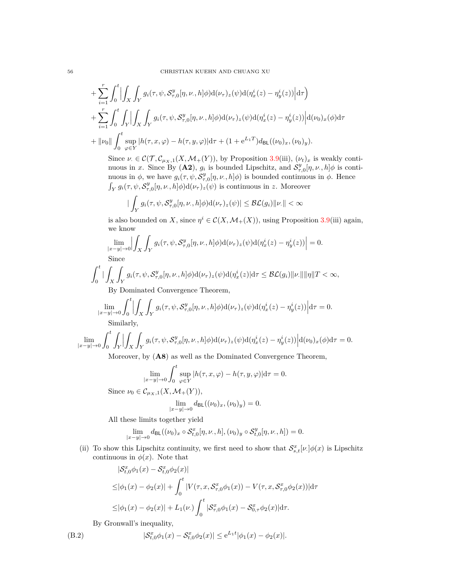+
$$
\sum_{i=1}^{r} \int_{0}^{t} \left| \int_{X} \int_{Y} g_i(\tau, \psi, \mathcal{S}_{\tau,0}^{y}[\eta, \nu, h] \phi) d(\nu_{\tau})_{z}(\psi) d(\eta_x^{i}(z) - \eta_y^{i}(z)) \right| d\tau \right) + \sum_{i=1}^{r} \int_{0}^{t} \int_{Y} \left| \int_{X} \int_{Y} g_i(\tau, \psi, \mathcal{S}_{\tau,0}^{y}[\eta, \nu, h] \phi) d(\nu_{\tau})_{z}(\psi) d(\eta_x^{i}(z) - \eta_y^{i}(z)) \right| d(\nu_{0})_{x}(\phi) d\tau + \|\nu_{0}\| \int_{0}^{t} \sup_{\varphi \in Y} |h(\tau, x, \varphi) - h(\tau, y, \varphi)| d\tau + (1 + e^{L_{1}T}) d_{\text{BL}}((\nu_{0})_{x}, (\nu_{0})_{y}).
$$

Since  $\nu \in \mathcal{C}(\mathcal{T}, \mathcal{C}_{\mu_X,1}(X, \mathcal{M}_+(Y)),$  by Proposition [3.9\(](#page-18-0)iii),  $(\nu_t)_x$  is weakly continuous in *x*. Since By (A2),  $g_i$  is bounded Lipschitz, and  $S^y_{\tau,0}[\eta,\nu,h]\phi$  is continuous in  $\phi$ , we have  $g_i(\tau, \psi, \mathcal{S}_{\tau,0}^y[\eta, \nu, h]\phi)$  is bounded continuous in  $\phi$ . Hence  $\int_Y g_i(\tau, \psi, \mathcal{S}_{\tau,0}^y[\eta,\nu,h]\phi) d(\nu_\tau)_z(\psi)$  is continuous in *z*. Moreover

$$
\big|\int_Y g_i(\tau,\psi,\mathcal{S}^y_{\tau,0}[\eta,\nu,,h]\phi)\mathrm{d}(\nu_\tau)_z(\psi)\big|\leq \mathcal{BL}(g_i)\|\nu\|<\infty
$$

is also bounded on *X*, since  $\eta^i \in \mathcal{C}(X, \mathcal{M}_+(X))$ , using Proposition [3.9\(](#page-18-0)iii) again, we know

$$
\lim_{|x-y|\to 0} \left| \int_X \int_Y g_i(\tau, \psi, \mathcal{S}^y_{\tau,0}[\eta, \nu, h] \phi) d(\nu_\tau)_z(\psi) d(\eta^i_x(z) - \eta^i_y(z)) \right| = 0.
$$
  
Since

Since

$$
\int_0^t \left| \int_X \int_Y g_i(\tau, \psi, \mathcal{S}^y_{\tau,0}[\eta, \nu, h] \phi) d(\nu_\tau)_z(\psi) d(\eta^i_x(z) | d\tau \leq \mathcal{BL}(g_i) \| \nu \| \|\eta\| T < \infty,
$$
  
By Dominated Convergence Theorem

By Dominated Convergence Theorem,

$$
\lim_{|x-y|\to 0} \int_0^t \left| \int_X \int_Y g_i(\tau, \psi, \mathcal{S}^y_{\tau,0}[\eta, \nu, h] \phi) d(\nu_\tau)_z(\psi) d(\eta^i_x(z) - \eta^i_y(z)) \right| d\tau = 0.
$$
  
Similarly

Similarly,

$$
\lim_{|x-y|\to 0} \int_0^t \int_Y \left| \int_X \int_Y g_i(\tau, \psi, \mathcal{S}^y_{\tau,0}[\eta, \nu, h] \phi) d(\nu_\tau)_z(\psi) d(\eta^i_x(z) - \eta^i_y(z)) \right| d(\nu_0)_x(\phi) d\tau = 0.
$$

Moreover, by (**A8**) as well as the Dominated Convergence Theorem,

$$
\lim_{|x-y|\to 0} \int_0^t \sup_{\varphi \in Y} |h(\tau, x, \varphi) - h(\tau, y, \varphi)| d\tau = 0.
$$
  

$$
\in C \quad (X, M, (Y))
$$

Since  $\nu_0 \in \mathcal{C}_{\mu_X,1}(X,\mathcal{M}_+(Y)),$ 

$$
\lim_{|x-y|\to 0} d_{\text{BL}}((\nu_0)_x, (\nu_0)_y) = 0.
$$

All these limits together yield

$$
\lim_{|x-y|\to 0} d_{\mathsf{BL}}((\nu_0)_x \circ \mathcal{S}_{t,0}^x[\eta,\nu,,h], (\nu_0)_y \circ \mathcal{S}_{t,0}^y[\eta,\nu,h]) = 0.
$$

(ii) To show this Lipschitz continuity, we first need to show that  $\mathcal{S}^x_{s,t}[\nu_{\cdot}]\phi(x)$  is Lipschitz continuous in  $\phi(x)$ . Note that

$$
|\mathcal{S}_{t,0}^{x}\phi_{1}(x) - \mathcal{S}_{t,0}^{x}\phi_{2}(x)|
$$
  
\n
$$
\leq |\phi_{1}(x) - \phi_{2}(x)| + \int_{0}^{t} |V(\tau, x, \mathcal{S}_{\tau,0}^{x}\phi_{1}(x)) - V(\tau, x, \mathcal{S}_{\tau,0}^{x}\phi_{2}(x))|d\tau
$$
  
\n
$$
\leq |\phi_{1}(x) - \phi_{2}(x)| + L_{1}(\nu) \int_{0}^{t} |\mathcal{S}_{\tau,0}^{x}\phi_{1}(x) - \mathcal{S}_{0,\tau}^{x}\phi_{2}(x)|d\tau.
$$

<span id="page-55-0"></span>By Gronwall's inequality,

(B.2) 
$$
|\mathcal{S}_{t,0}^x \phi_1(x) - \mathcal{S}_{t,0}^x \phi_2(x)| \leq e^{L_1 t} |\phi_1(x) - \phi_2(x)|.
$$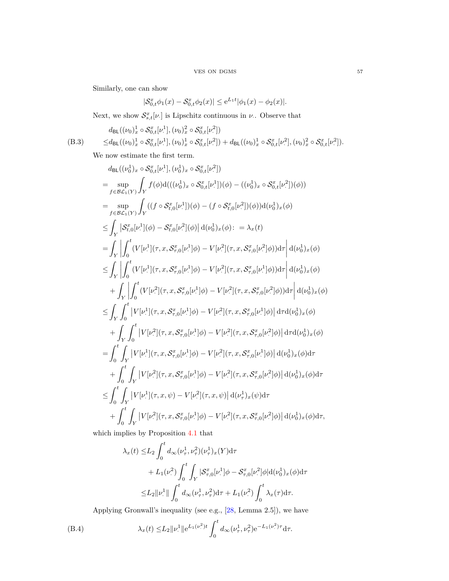Similarly, one can show

$$
|\mathcal{S}_{0,t}^x \phi_1(x) - \mathcal{S}_{0,t}^x \phi_2(x)| \le e^{L_1 t} |\phi_1(x) - \phi_2(x)|.
$$

Next, we show  $S_{s,t}^x[\nu]$  is Lipschitz continuous in  $\nu$ . Observe that

<span id="page-56-1"></span>
$$
d_{\text{BL}}((\nu_0)_x^1 \circ \mathcal{S}_{0,t}^x[\nu^1], (\nu_0)_x^2 \circ \mathcal{S}_{0,t}^x[\nu^2])
$$
  
(B.3) 
$$
\leq d_{\text{BL}}((\nu_0)_x^1 \circ \mathcal{S}_{0,t}^x[\nu^1], (\nu_0)_x^1 \circ \mathcal{S}_{0,t}^x[\nu^2]) + d_{\text{BL}}((\nu_0)_x^1 \circ \mathcal{S}_{0,t}^x[\nu^2], (\nu_0)_x^2 \circ \mathcal{S}_{0,t}^x[\nu^2]).
$$

We now estimate the first term.

$$
d_{BL}((\nu_{0}^{1})_{x} \circ S_{0,t}^{x}[\nu_{\cdot}^{1}], (\nu_{0}^{1})_{x} \circ S_{0,t}^{x}[\nu_{\cdot}^{2}])
$$
\n
$$
= \sup_{f \in \mathcal{B} \mathcal{L}_{1}(Y)} \int_{Y} f(\phi) d(((\nu_{0}^{1})_{x} \circ S_{0,t}^{x}[\nu_{\cdot}^{1}])(\phi) - ((\nu_{0}^{1})_{x} \circ S_{0,t}^{x}[\nu_{\cdot}^{2}])(\phi))
$$
\n
$$
= \sup_{f \in \mathcal{B} \mathcal{L}_{1}(Y)} \int_{Y} ((f \circ S_{t,0}^{x}[\nu_{\cdot}^{1}])(\phi) - (f \circ S_{t,0}^{x}[\nu_{\cdot}^{2}])(\phi)) d(\nu_{0}^{1})_{x}(\phi)
$$
\n
$$
\leq \int_{Y} |S_{t,0}^{x}[\nu_{\cdot}^{1}](\phi) - S_{t,0}^{x}[\nu_{\cdot}^{2}](\phi) | d(\nu_{0}^{1})_{x}(\phi) : = \lambda_{x}(t)
$$
\n
$$
= \int_{Y} \int_{0}^{t} (V[\nu_{\cdot}^{1}](\tau, x, S_{\tau,0}^{x}[\nu_{\cdot}^{1}]\phi) - V[\nu_{\cdot}^{2}](\tau, x, S_{\tau,0}^{x}[\nu_{\cdot}^{1}]\phi) d\tau | d(\nu_{0}^{1})_{x}(\phi)
$$
\n
$$
\leq \int_{Y} \int_{0}^{t} (V[\nu_{\cdot}^{1}](\tau, x, S_{\tau,0}^{x}[\nu_{\cdot}^{1}]\phi) - V[\nu_{\cdot}^{2}](\tau, x, S_{\tau,0}^{x}[\nu_{\cdot}^{1}]\phi) d\tau | d(\nu_{0}^{1})_{x}(\phi)
$$
\n
$$
+ \int_{Y} \int_{0}^{t} |V[\nu_{\cdot}^{1}](\tau, x, S_{\tau,0}^{x}[\nu_{\cdot}^{1}]\phi) - V[\nu_{\cdot}^{2}](\tau, x, S_{\tau,0}^{x}[\nu_{\cdot}^{1}]\phi) | d\tau | d(\nu_{0}^{1})_{x}(\phi)
$$
\n
$$
\leq \int_{Y} \int_{0}^{t} |
$$

which implies by Proposition [4.1](#page-23-2) that

$$
\lambda_x(t) \le L_2 \int_0^t d_{\infty}(\nu_\tau^1, \nu_\tau^2)(\nu_\tau^1)_x(Y) d\tau \n+ L_1(\nu_\tau^2) \int_0^t \int_Y |\mathcal{S}_{\tau,0}^x[\nu_\tau^1] \phi - \mathcal{S}_{\tau,0}^x[\nu_\tau^2] \phi | d(\nu_0^1)_x(\phi) d\tau \n\le L_2 \| \nu_\tau^1 \| \int_0^t d_{\infty}(\nu_\tau^1, \nu_\tau^2) d\tau + L_1(\nu_\tau^2) \int_0^t \lambda_x(\tau) d\tau.
$$

Applying Gronwall's inequality (see e.g., [\[28,](#page-47-10) Lemma 2.5]), we have

<span id="page-56-0"></span>(B.4) 
$$
\lambda_x(t) \leq L_2 \| \nu^1 \| e^{L_1(\nu^2) t} \int_0^t d_{\infty}(\nu^1_\tau, \nu^2_\tau) e^{-L_1(\nu^2) \tau} d\tau.
$$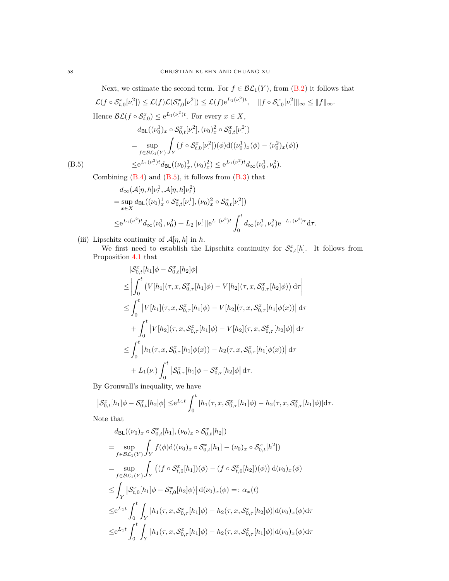Next, we estimate the second term. For  $f \in \mathcal{BL}_1(Y)$ , from [\(B.2\)](#page-55-0) it follows that  $\mathcal{L}(f \circ \mathcal{S}_{t,0}^x[\nu^2])$  $\mathcal{L}(f)\mathcal{L}(\mathcal{S}_{t,0}^x[\nu^2])$  $\mathcal{L}(f) e^{L_1(\nu^2)t}, \quad ||f \circ \mathcal{S}_{t,0}^x[\nu^2]$  $\mathbb{E}^{2}$ |||∞  $\leq$  || $f$ ||∞ $\cdot$ Hence  $\mathcal{BL}(f \circ \mathcal{S}_{t,0}^x) \leq e^{L_1(\nu^2)t}$ . For every  $x \in X$ ,

$$
d_{\text{BL}}((\nu_0^1)_x \circ \mathcal{S}_{0,t}^x[\nu^2], (\nu_0)_x^2 \circ \mathcal{S}_{0,t}^x[\nu^2])
$$
  
= 
$$
\sup_{f \in \mathcal{BL}_1(Y)} \int_Y (f \circ \mathcal{S}_{t,0}^x[\nu^2])(\phi) d((\nu_0^1)_x(\phi) - (\nu_0^2)_x(\phi))
$$
  
(B.5) 
$$
\leq e^{L_1(\nu^2)t} d_{\text{BL}}((\nu_0)_x^1, (\nu_0)_x^2) \leq e^{L_1(\nu^2)t} d_{\infty}(\nu_0^1, \nu_0^2).
$$

<span id="page-57-0"></span>Combining  $(B.4)$  and  $(B.5)$ , it follows from  $(B.3)$  that

$$
d_{\infty}(\mathcal{A}[\eta, h]\nu_t^1, \mathcal{A}[\eta, h]\nu_t^2)
$$
  
=  $\sup_{x \in X} d_{BL}((\nu_0)_x^1 \circ \mathcal{S}_{0,t}^x[\nu_*^1], (\nu_0)_x^2 \circ \mathcal{S}_{0,t}^x[\nu_*^2])$   
 $\leq e^{L_1(\nu_*^2)t} d_{\infty}(\nu_0^1, \nu_0^2) + L_2 ||\nu_*^1||e^{L_1(\nu_*^2)t} \int_0^t d_{\infty}(\nu_\tau^1, \nu_\tau^2) e^{-L_1(\nu_\tau^2)\tau} d\tau.$ 

(iii) Lipschitz continuity of  $\mathcal{A}[\eta, h]$  in  $h$ .

We first need to establish the Lipschitz continuity for  $S_{s,t}^x[h]$ . It follows from Proposition [4.1](#page-23-2) that

$$
|S_{0,t}^{x}[h_{1}]\phi - S_{0,t}^{x}[h_{2}]\phi|
$$
  
\n
$$
\leq \left| \int_{0}^{t} \left( V[h_{1}](\tau, x, S_{0,\tau}^{x}[h_{1}]\phi) - V[h_{2}](\tau, x, S_{0,\tau}^{x}[h_{2}]\phi) \right) d\tau \right|
$$
  
\n
$$
\leq \int_{0}^{t} \left| V[h_{1}](\tau, x, S_{0,\tau}^{x}[h_{1}]\phi) - V[h_{2}](\tau, x, S_{0,\tau}^{x}[h_{1}]\phi(x)) \right| d\tau
$$
  
\n
$$
+ \int_{0}^{t} \left| V[h_{2}](\tau, x, S_{0,\tau}^{x}[h_{1}]\phi) - V[h_{2}](\tau, x, S_{0,\tau}^{x}[h_{2}]\phi) \right| d\tau
$$
  
\n
$$
\leq \int_{0}^{t} \left| h_{1}(\tau, x, S_{0,\tau}^{x}[h_{1}]\phi(x)) - h_{2}(\tau, x, S_{0,\tau}^{x}[h_{1}]\phi(x)) \right| d\tau
$$
  
\n
$$
+ L_{1}(\nu) \int_{0}^{t} \left| S_{0,\tau}^{x}[h_{1}]\phi - S_{0,\tau}^{x}[h_{2}]\phi \right| d\tau.
$$

By Gronwall's inequality, we have

$$
\left| \mathcal{S}_{0,t}^{x}[h_1] \phi - \mathcal{S}_{0,t}^{x}[h_2] \phi \right| \leq e^{L_1 t} \int_0^t |h_1(\tau, x, \mathcal{S}_{0,\tau}^{x}[h_1] \phi) - h_2(\tau, x, \mathcal{S}_{0,\tau}^{x}[h_1] \phi)| d\tau.
$$
  
Note that

Note that

$$
d_{\text{BL}}((\nu_{0})_{x} \circ S_{0,t}^{x}[h_{1}], (\nu_{0})_{x} \circ S_{0,t}^{x}[h_{2}])
$$
\n
$$
= \sup_{f \in \mathcal{BL}_{1}(Y)} \int_{Y} f(\phi) d((\nu_{0})_{x} \circ S_{0,t}^{x}[h_{1}] - (\nu_{0})_{x} \circ S_{0,t}^{x}[h^{2}])
$$
\n
$$
= \sup_{f \in \mathcal{BL}_{1}(Y)} \int_{Y} ((f \circ S_{t,0}^{x}[h_{1}])(\phi) - (f \circ S_{t,0}^{x}[h_{2}])(\phi)) d(\nu_{0})_{x}(\phi)
$$
\n
$$
\leq \int_{Y} |S_{t,0}^{x}[h_{1}] \phi - S_{t,0}^{x}[h_{2}] \phi) | d(\nu_{0})_{x}(\phi) =: \alpha_{x}(t)
$$
\n
$$
\leq e^{L_{1}t} \int_{0}^{t} \int_{Y} |h_{1}(\tau, x, S_{0,\tau}^{x}[h_{1}] \phi) - h_{2}(\tau, x, S_{0,\tau}^{x}[h_{2}] \phi) | d(\nu_{0})_{x}(\phi) d\tau
$$
\n
$$
\leq e^{L_{1}t} \int_{0}^{t} \int_{Y} |h_{1}(\tau, x, S_{0,\tau}^{x}[h_{1}] \phi) - h_{2}(\tau, x, S_{0,\tau}^{x}[h_{1}] \phi) | d(\nu_{0})_{x}(\phi) d\tau
$$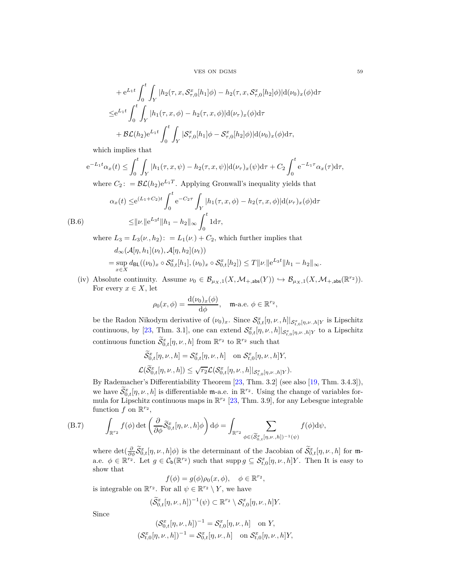VES ON DGMS 59

+ 
$$
e^{L_1 t} \int_0^t \int_Y |h_2(\tau, x, \mathcal{S}_{\tau,0}^x[h_1]\phi) - h_2(\tau, x, \mathcal{S}_{\tau,0}^x[h_2]\phi)|d(\nu_0)_x(\phi)d\tau
$$
  
\n $\leq e^{L_1 t} \int_0^t \int_Y |h_1(\tau, x, \phi) - h_2(\tau, x, \phi)|d(\nu_\tau)_x(\phi)d\tau$   
\n+  $\mathcal{BL}(h_2)e^{L_1 t} \int_0^t \int_Y |\mathcal{S}_{\tau,0}^x[h_1]\phi - \mathcal{S}_{\tau,0}^x[h_2]\phi)|d(\nu_0)_x(\phi)d\tau$ ,

which implies that

$$
e^{-L_1t}\alpha_x(t) \le \int_0^t \int_Y |h_1(\tau, x, \psi) - h_2(\tau, x, \psi)| d(\nu_\tau)_x(\psi) d\tau + C_2 \int_0^t e^{-L_1\tau} \alpha_x(\tau) d\tau,
$$

where  $C_2$ : =  $\mathcal{BL}(h_2)e^{L_1T}$ . Applying Gronwall's inequality yields that

<span id="page-58-1"></span>
$$
\alpha_x(t) \le e^{(L_1 + C_2)t} \int_0^t e^{-C_2 \tau} \int_Y |h_1(\tau, x, \phi) - h_2(\tau, x, \phi)| d(\nu_\tau)_x(\phi) d\tau
$$
  
(B.6)  

$$
\leq ||\nu|| e^{L_3 t} ||h_1 - h_2||_{\infty} \int_0^t 1 d\tau,
$$

where  $L_3 = L_3(\nu, h_2)$ :  $= L_1(\nu) + C_2$ , which further implies that  $d_{\infty}(\mathcal{A}[\eta, h_1](\nu_t), \mathcal{A}[\eta, h_2](\nu_t))$  $=$  sup  $\sup_{x \in X} d_{\text{BL}}((\nu_0)_x \circ \mathcal{S}_{0,t}^x[h_1], (\nu_0)_x \circ \mathcal{S}_{0,t}^x[h_2]) \le T ||\nu|| e^{L_3 t} ||h_1 - h_2||_{\infty}.$ 

(iv) Absolute continuity. Assume  $\nu_0 \in \mathcal{B}_{\mu_X,1}(X, \mathcal{M}_{+,\text{abs}}(Y)) \hookrightarrow \mathcal{B}_{\mu_X,1}(X, \mathcal{M}_{+,\text{abs}}(\mathbb{R}^{r_2})).$ For every  $x \in X$ , let

$$
\rho_0(x,\phi) = \frac{\mathrm{d}(\nu_0)_x(\phi)}{\mathrm{d}\phi}, \quad \text{m-a.e. } \phi \in \mathbb{R}^{r_2},
$$

be the Radon Nikodym derivative of  $(\nu_0)_x$ . Since  $\mathcal{S}_{0,t}^x[\eta,\nu_\cdot,h]|_{\mathcal{S}_{t,0}^x[\eta,\nu_\cdot,h]Y}$  is Lipschitz continuous, by [\[23,](#page-46-25) Thm. 3.1], one can extend  $\mathcal{S}_{0,t}^x[\eta,\nu,h]|_{\mathcal{S}_{t,0}^x[\eta,\nu,h]Y}$  to a Lipschitz continuous function  $\tilde{S}_{0,t}^x[\eta,\nu, h]$  from  $\mathbb{R}^{r_2}$  to  $\mathbb{R}^{r_2}$  such that

$$
\begin{aligned}\n\widetilde{\mathcal{S}}_{0,t}^x[\eta,\nu_\cdot,h] &= \mathcal{S}_{0,t}^x[\eta,\nu_\cdot,h] \quad \text{on } \mathcal{S}_{t,0}^x[\eta,\nu_\cdot,h]Y, \\
\mathcal{L}(\widetilde{\mathcal{S}}_{0,t}^x[\eta,\nu_\cdot,h]) &\leq \sqrt{r_2}\mathcal{L}(\mathcal{S}_{0,t}^x[\eta,\nu_\cdot,h]|_{\mathcal{S}_{t,0}^x[\eta,\nu_\cdot,h]Y}).\n\end{aligned}
$$

By Rademacher's Differentiability Theorem [\[23,](#page-46-25) Thm. 3.2] (see also [\[19,](#page-46-26) Thm. 3.4.3]), we have  $\widetilde{\mathcal{S}}_{0,t}^x[\eta,\nu,h]$  is differentiable **m**-a.e. in  $\mathbb{R}^{r_2}$ . Using the change of variables formula for Lipschitz continuous maps in  $\mathbb{R}^{r_2}$  [\[23,](#page-46-25) Thm. 3.9], for any Lebesgue integrable function  $f$  on  $\mathbb{R}^{r_2}$ ,

(B.7) 
$$
\int_{\mathbb{R}^{r_2}} f(\phi) \det \left( \frac{\partial}{\partial \phi} \widetilde{S}_{0,t}^x [\eta, \nu, h] \phi \right) d\phi = \int_{\mathbb{R}^{r_2}} \sum_{\phi \in (\widetilde{S}_{0,t}^x [\eta, \nu, h])^{-1}(\psi)} f(\phi) d\psi,
$$

<span id="page-58-0"></span>where  $\det(\frac{\partial}{\partial \phi} \widetilde{\mathcal{S}}_{0,t}^x[\eta,\nu,h]\phi)$  is the determinant of the Jacobian of  $\widetilde{\mathcal{S}}_{0,t}^x[\eta,\nu,h]$  for ma.e.  $\phi \in \mathbb{R}^{r_2}$ . Let  $g \in C_b(\mathbb{R}^{r_2})$  such that supp  $g \subseteq S_{t,0}^x[\eta,\nu,h]Y$ . Then It is easy to show that

$$
f(\phi) = g(\phi)\rho_0(x,\phi), \quad \phi \in \mathbb{R}^{r_2},
$$

is integrable on  $\mathbb{R}^{r_2}$ . For all  $\psi \in \mathbb{R}^{r_2} \setminus Y$ , we have

$$
(\widetilde{\mathcal{S}}_{0,t}^x[\eta,\nu,h])^{-1}(\psi) \subset \mathbb{R}^{r_2} \setminus \mathcal{S}_{t,0}^x[\eta,\nu,h]Y.
$$

Since

$$
\begin{aligned} (\mathcal{S}_{0,t}^x[\eta,\nu,,h])^{-1} &= \mathcal{S}_{t,0}^x[\eta,\nu,,h] \quad \text{on } Y, \\ (\mathcal{S}_{t,0}^x[\eta,\nu,,h])^{-1} &= \mathcal{S}_{0,t}^x[\eta,\nu,,h] \quad \text{on } \mathcal{S}_{t,0}^x[\eta,\nu.,h]Y, \end{aligned}
$$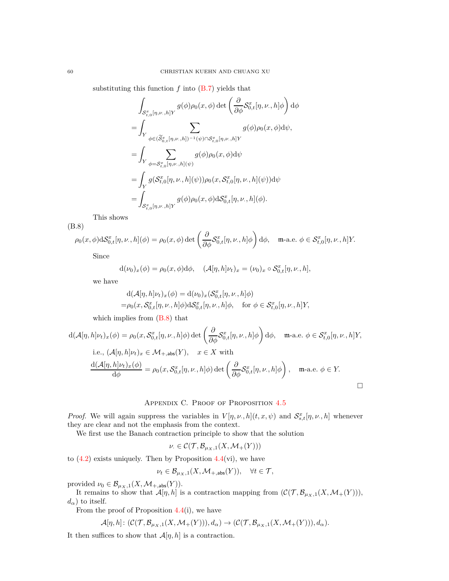substituting this function  $f$  into  $(B.7)$  yields that

$$
\int_{\mathcal{S}^x_{t,0}[\eta,\nu,h]} g(\phi)\rho_0(x,\phi) \det \left(\frac{\partial}{\partial \phi} \mathcal{S}^x_{0,t}[\eta,\nu,h] \phi\right) d\phi
$$
\n
$$
= \int_Y \sum_{\phi \in (\widetilde{\mathcal{S}}^x_{0,t}[\eta,\nu,h])^{-1}(\psi) \cap \mathcal{S}^x_{t,0}[\eta,\nu,h]Y} g(\phi)\rho_0(x,\phi) d\psi,
$$
\n
$$
= \int_Y \sum_{\phi = \mathcal{S}^x_{t,0}[\eta,\nu,h](\psi)} g(\phi)\rho_0(x,\phi) d\psi
$$
\n
$$
= \int_Y g(\mathcal{S}^x_{t,0}[\eta,\nu,h](\psi)) \rho_0(x,\mathcal{S}^x_{t,0}[\eta,\nu,h](\psi)) d\psi
$$
\n
$$
= \int_{\mathcal{S}^x_{t,0}[\eta,\nu,h]Y} g(\phi)\rho_0(x,\phi) d\mathcal{S}^x_{0,t}[\eta,\nu,h](\phi).
$$

This shows (B.8)

<span id="page-59-1"></span>
$$
\rho_0(x,\phi)\mathrm{d}\mathcal{S}_{0,t}^x[\eta,\nu,h](\phi) = \rho_0(x,\phi)\det\left(\frac{\partial}{\partial\phi}\mathcal{S}_{0,t}^x[\eta,\nu,h]\phi\right)\mathrm{d}\phi, \quad \text{m-a.e. } \phi \in \mathcal{S}_{t,0}^x[\eta,\nu,h]Y.
$$

Since

$$
d(\nu_0)_x(\phi) = \rho_0(x,\phi)d\phi, \quad (\mathcal{A}[\eta,h]\nu_t)_x = (\nu_0)_x \circ \mathcal{S}^x_{0,t}[\eta,\nu,h],
$$

we have

$$
d(\mathcal{A}[\eta, h]\nu_t)_x(\phi) = d(\nu_0)_x(\mathcal{S}_{0,t}^x[\eta, \nu, h]\phi)
$$
  
=  $\rho_0(x, \mathcal{S}_{0,t}^x[\eta, \nu, h]\phi) d\mathcal{S}_{0,t}^x[\eta, \nu, h]\phi$ , for  $\phi \in \mathcal{S}_{t,0}^x[\eta, \nu, h]Y$ ,

which implies from [\(B.8\)](#page-59-1) that

$$
d(\mathcal{A}[\eta, h]\nu_t)_x(\phi) = \rho_0(x, \mathcal{S}_{0,t}^x[\eta, \nu, h]\phi) \det \left(\frac{\partial}{\partial \phi} \mathcal{S}_{0,t}^x[\eta, \nu, h]\phi\right) d\phi, \quad \text{m-a.e. } \phi \in \mathcal{S}_{t,0}^x[\eta, \nu, h]Y,
$$
  
i.e.,  $(\mathcal{A}[\eta, h]\nu_t)_x \in \mathcal{M}_{+,\text{abs}}(Y), \quad x \in X \text{ with}$   

$$
\frac{d(\mathcal{A}[\eta, h]\nu_t)_x(\phi)}{d\phi} = \rho_0(x, \mathcal{S}_{0,t}^x[\eta, \nu, h]\phi) \det \left(\frac{\partial}{\partial \phi} \mathcal{S}_{0,t}^x[\eta, \nu, h]\phi\right), \quad \text{m-a.e. } \phi \in Y.
$$

## APPENDIX C. PROOF OF PROPOSITION [4.5](#page-25-1)

<span id="page-59-0"></span>*Proof.* We will again suppress the variables in  $V[\eta, \nu, h](t, x, \psi)$  and  $S_{s,t}^x[\eta, \nu, h]$  whenever they are clear and not the emphasis from the context.

We first use the Banach contraction principle to show that the solution

$$
\nu \in \mathcal{C}(\mathcal{T}, \mathcal{B}_{\mu_X,1}(X, \mathcal{M}_+(Y)))
$$

to  $(4.2)$  exists uniquely. Then by Proposition  $4.4(vi)$  $4.4(vi)$ , we have

$$
\nu_t \in \mathcal{B}_{\mu_X,1}(X,\mathcal{M}_{+,\text{abs}}(Y)), \quad \forall t \in \mathcal{T},
$$

provided  $\nu_0 \in \mathcal{B}_{\mu_X,1}(X, \mathcal{M}_{+,\text{abs}}(Y)).$ 

It remains to show that  $\mathcal{A}[\eta, h]$  is a contraction mapping from  $(\mathcal{C}(\mathcal{T}, \mathcal{B}_{\mu_X,1}(X, \mathcal{M}_+(Y))),$  $d_{\alpha}$ ) to itself.

From the proof of Proposition  $4.4(i)$  $4.4(i)$ , we have

$$
\mathcal{A}[\eta,h]:(\mathcal{C}(\mathcal{T},\mathcal{B}_{\mu_X,1}(X,\mathcal{M}_+(Y))),d_{\alpha})\to(\mathcal{C}(\mathcal{T},\mathcal{B}_{\mu_X,1}(X,\mathcal{M}_+(Y))),d_{\alpha}).
$$

It then suffices to show that  $\mathcal{A}[\eta, h]$  is a contraction.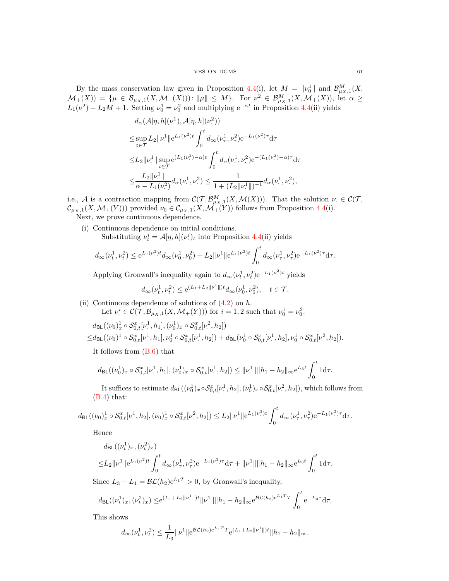By the mass conservation law given in Proposition [4.4\(](#page-24-1)i), let  $M = ||\nu_0||$  and  $\mathcal{B}_{\mu_X,1}^M(X,$  $\mathcal{M}_+(X)$  = { $\mu \in \mathcal{B}_{\mu_X,1}(X, \mathcal{M}_+(X)))$ :  $\|\mu\| \leq M$ }. For  $\nu^2 \in \mathcal{B}_{\mu_X,1}^M(X, \mathcal{M}_+(X))$ , let  $\alpha \geq$  $L_1(\nu^2)$  $(v^2) + L_2M + 1$ . Setting  $v_0^1 = v_0^2$  and multiplying  $e^{-\alpha t}$  in Proposition [4.4\(](#page-24-1)ii) yields

$$
d_{\alpha}(\mathcal{A}[\eta, h](\nu^{1}), \mathcal{A}[\eta, h](\nu^{2}))
$$
  
\n
$$
\leq \sup_{t \in \mathcal{T}} L_{2} ||\nu^{1}|| e^{L_{1}(\nu^{2})t} \int_{0}^{t} d_{\infty}(\nu_{\tau}^{1}, \nu_{\tau}^{2}) e^{-L_{1}(\nu^{2})\tau} d\tau
$$
  
\n
$$
\leq L_{2} ||\nu^{1}|| \sup_{t \in \mathcal{T}} e^{(L_{1}(\nu_{\tau}^{2}) - \alpha)t} \int_{0}^{t} d_{\alpha}(\nu_{\tau}^{1}, \nu_{\tau}^{2}) e^{-(L_{1}(\nu_{\tau}^{2}) - \alpha)\tau} d\tau
$$
  
\n
$$
\leq \frac{L_{2} ||\nu^{1}||}{\alpha - L_{1}(\nu^{2})} d_{\alpha}(\nu_{\tau}^{1}, \nu_{\tau}^{2}) \leq \frac{1}{1 + (L_{2} ||\nu^{1}||)^{-1}} d_{\alpha}(\nu_{\tau}^{1}, \nu_{\tau}^{2}),
$$

i.e., A is a contraction mapping from  $\mathcal{C}(\mathcal{T}, \mathcal{B}_{\mu_X,1}^M(X, \mathcal{M}(X)))$ . That the solution  $\nu \in \mathcal{C}(\mathcal{T}, \mathcal{B}_{\mu_X,1}^M(X, \mathcal{M}(X)))$ .  $\mathcal{C}_{\mu_X,1}(X,\mathcal{M}_+(Y))$  provided  $\nu_0 \in \mathcal{C}_{\mu_X,1}(X,\mathcal{M}_+(Y))$  follows from Proposition [4.4\(](#page-24-1)i).

Next, we prove continuous dependence.

(i) Continuous dependence on initial conditions. Substituting  $\nu_t^i = \mathcal{A}[\eta, h](\nu_t^i)$  $\binom{n}{k}$  into Proposition [4.4\(](#page-24-1)ii) yields

$$
d_{\infty}(\nu_t^1, \nu_t^2) \le e^{L_1(\nu_t^2)t} d_{\infty}(\nu_0^1, \nu_0^2) + L_2 \|\nu_t^1\| e^{L_1(\nu_t^2)t} \int_0^t d_{\infty}(\nu_\tau^1, \nu_\tau^2) e^{-L_1(\nu_t^2)\tau} d\tau.
$$

Applying Gronwall's inequality again to  $d_{\infty}(\nu_t^1, \nu_t^2) e^{-L_1(\nu_t^2)t}$  yields

$$
d_{\infty}(\nu_t^1, \nu_t^2) \le e^{(L_1 + L_2 ||\nu^1||)t} d_{\infty}(\nu_0^1, \nu_0^2), \quad t \in \mathcal{T}.
$$

(ii) Continuous dependence of solutions of [\(4.2\)](#page-24-2) on *h*. Let  $\nu^i \in \mathcal{C}(\mathcal{T}, \mathcal{B}_{\mu_X,1}(X, \mathcal{M}_+(Y)))$  for  $i = 1, 2$  such that  $\nu^1_0 = \nu^2_0$ .

$$
d_{\text{BL}}((\nu_0)_x^1 \circ \mathcal{S}_{0,t}^x[\nu_\cdot^1, h_1], (\nu_0^1)_x \circ \mathcal{S}_{0,t}^x[\nu_\cdot^2, h_2])
$$
  

$$
\leq d_{\text{BL}}((\nu_0)^1 \circ \mathcal{S}_{0,t}^x[\nu_\cdot^1, h_1], \nu_0^1 \circ \mathcal{S}_{0,t}^x[\nu_\cdot^1, h_2]) + d_{\text{BL}}(\nu_0^1 \circ \mathcal{S}_{0,t}^x[\nu_\cdot^1, h_2], \nu_0^1 \circ \mathcal{S}_{0,t}^x[\nu_\cdot^2, h_2]).
$$

It follows from [\(B.6\)](#page-58-1) that

$$
d_{\mathsf{BL}}((\nu_0^1)_x \circ \mathcal{S}_{0,t}^x[\nu^1,h_1],(\nu_0^1)_x \circ \mathcal{S}_{0,t}^x[\nu^1,h_2]) \le ||\nu^1_+|| ||h_1 - h_2||_{\infty} e^{L_3 t} \int_0^t 1 \mathrm{d}\tau.
$$

It suffices to estimate  $d_{\text{BL}}((\nu_0^1)_x \circ \mathcal{S}_{0,t}^x[\nu_0^1])$  $[.,<sup>1</sup>, h<sub>2</sub>], (\nu<sub>0</sub><sup>1</sup>)<sub>x</sub> \circ \mathcal{S}_{0,t}^{x}[\nu<sup>2</sup>]$  $\ldots$ ,  $\ldots$ ,  $\ldots$ , which follows from [\(B.4\)](#page-56-0) that:

$$
d_{\mathsf{BL}}((\nu_0)_x^1 \circ \mathcal{S}_{0,t}^x[\nu_\cdot^1,h_2],(\nu_0)_x^1 \circ \mathcal{S}_{0,t}^x[\nu_\cdot^2,h_2]) \leq L_2 \|\nu_\cdot^1\| e^{L_1(\nu_\cdot^2)t} \int_0^t d_\infty(\nu_\tau^1,\nu_\tau^2) e^{-L_1(\nu_\cdot^2)\tau} d\tau.
$$

Hence

$$
d_{\text{BL}}((\nu_t^1)_x, (\nu_t^2)_x)
$$
  

$$
\leq L_2 \|\nu^1\| e^{L_1(\nu_t^2)t} \int_0^t d_{\infty}(\nu_\tau^1, \nu_\tau^2) e^{-L_1(\nu_\tau^2)\tau} d\tau + \|\nu^1\| \|h_1 - h_2\|_\infty e^{L_3 t} \int_0^t 1 d\tau.
$$

Since  $L_3 - L_1 = \mathcal{BL}(h_2)e^{L_1T} > 0$ , by Gronwall's inequality,

$$
d_{\text{BL}}((\nu_t^1)_x,(\nu_t^2)_x) \leq e^{(L_1 + L_2 ||\nu^1||)t} ||\nu^1|| ||h_1 - h_2||_{\infty} e^{\mathcal{BL}(h_2)e^{L_1 T}T} \int_0^t e^{-L_3 \tau} d\tau,
$$

This shows

$$
d_{\infty}(\nu_t^1, \nu_t^2) \leq \frac{1}{L_3} \|\nu_{\cdot}^1\| e^{\mathcal{BL}(h_2)e^{L_1T}T} e^{(L_1 + L_2 \|\nu_{\cdot}^1\|)t} \|h_1 - h_2\|_{\infty}.
$$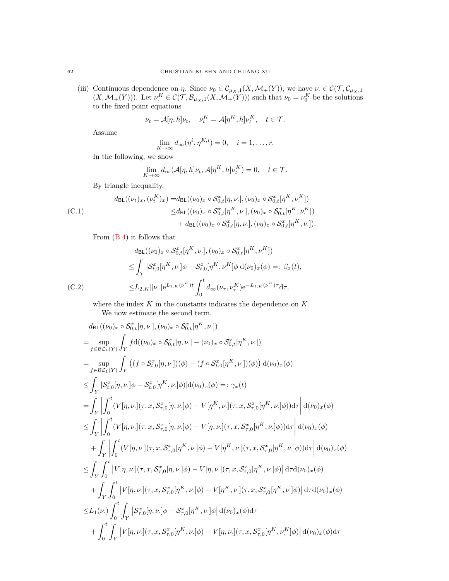(iii) Continuous dependence on *η*. Since  $\nu_0 \in C_{\mu_X,1}(X, \mathcal{M}_+(Y))$ , we have  $\nu \in C(\mathcal{T}, C_{\mu_X,1})$  $(X, \mathcal{M}_+(Y))$ . Let  $\nu^K \in \mathcal{C}(\mathcal{T}, \mathcal{B}_{\mu_X,1}(X, \mathcal{M}_+(Y)))$  such that  $\nu_0 = \nu_0^K$  be the solutions to the fixed point equations

$$
\nu_t = \mathcal{A}[\eta, h]\nu_t, \quad \nu_t^K = \mathcal{A}[\eta^K, h]\nu_t^K, \quad t \in \mathcal{T}.
$$

Assume

$$
\lim_{K \to \infty} d_{\infty}(\eta^{i}, \eta^{K,i}) = 0, \quad i = 1, \dots, r.
$$

In the following, we show

$$
\lim_{K \to \infty} d_{\infty}(\mathcal{A}[\eta, h] \nu_t, \mathcal{A}[\eta^K, h] \nu_t^K) = 0, \quad t \in \mathcal{T}.
$$

By triangle inequality,

<span id="page-61-0"></span>(C.1)  
\n
$$
d_{\text{BL}}((\nu_t)_x, (\nu_t^K)_x) = d_{\text{BL}}((\nu_0)_x \circ \mathcal{S}_{0,t}^x[\eta, \nu_{\cdot}], (\nu_0)_x \circ \mathcal{S}_{0,t}^x[\eta^K, \nu_{\cdot}^K])
$$
\n
$$
\leq d_{\text{BL}}((\nu_0)_x \circ \mathcal{S}_{0,t}^x[\eta^K, \nu_{\cdot}], (\nu_0)_x \circ \mathcal{S}_{0,t}^x[\eta^K, \nu_{\cdot}^K])
$$
\n
$$
+ d_{\text{BL}}((\nu_0)_x \circ \mathcal{S}_{0,t}^x[\eta, \nu_{\cdot}], (\nu_0)_x \circ \mathcal{S}_{0,t}^x[\eta^K, \nu_{\cdot}^I]).
$$

From [\(B.4\)](#page-56-0) it follows that

$$
d_{\text{BL}}((\nu_0)_x \circ \mathcal{S}_{0,t}^x[\eta^K, \nu.], (\nu_0)_x \circ \mathcal{S}_{0,t}^x[\eta^K, \nu.'])
$$
  
\n
$$
\leq \int_Y |\mathcal{S}_{t,0}^x[\eta^K, \nu.]\phi - \mathcal{S}_{t,0}^x[\eta^K, \nu.]\phi| d(\nu_0)_x(\phi) =: \beta_x(t),
$$
  
\n(C.2)  
\n
$$
\leq L_{2,K} ||\nu.|| e^{L_{1,K}(\nu.^K)t} \int_0^t d_{\infty}(\nu_{\tau}, \nu_{\tau}^K) e^{-L_{1,K}(\nu.^K)\tau} d\tau,
$$

<span id="page-61-1"></span>where the index  $K$  in the constants indicates the dependence on  $K$ . We now estimate the second term.

$$
d_{BL}((\nu_{0})_{x} \circ S_{0,t}^{x}[\eta,\nu],[\nu_{0})_{x} \circ S_{0,t}^{x}[\eta^{K},\nu])
$$
\n
$$
= \sup_{f \in \mathcal{B}\mathcal{L}_{1}(Y)} \int_{Y} f d((\nu_{0})_{x} \circ S_{0,t}^{x}[\eta,\nu]-(\nu_{0})_{x} \circ S_{0,t}^{x}[\eta^{K},\nu])
$$
\n
$$
= \sup_{f \in \mathcal{B}\mathcal{L}_{1}(Y)} \int_{Y} ( (f \circ S_{t,0}^{x}[\eta,\nu])(\phi) - (f \circ S_{t,0}^{x}[\eta^{K},\nu])(\phi) ) d(\nu_{0})_{x}(\phi)
$$
\n
$$
\leq \int_{Y} |S_{t,0}^{x}[\eta,\nu,]\phi - S_{t,0}^{x}[\eta^{K},\nu,]\phi) |d(\nu_{0})_{x}(\phi) =: \gamma_{x}(t)
$$
\n
$$
= \int_{Y} \int_{0}^{t} (V[\eta,\nu,](\tau,x,S_{\tau,0}^{x}[\eta,\nu,]\phi) - V[\eta^{K},\nu,](\tau,x,S_{\tau,0}^{x}[\eta^{K},\nu,]\phi) ) d\tau | d(\nu_{0})_{x}(\phi)
$$
\n
$$
\leq \int_{Y} \int_{0}^{t} (V[\eta,\nu,](\tau,x,S_{\tau,0}^{x}[\eta,\nu,]\phi) - V[\eta,\nu,](\tau,x,S_{\tau,0}^{x}[\eta^{K},\nu,]\phi) ) d\tau | d(\nu_{0})_{x}(\phi)
$$
\n
$$
+ \int_{Y} \int_{0}^{t} (V[\eta,\nu,](\tau,x,S_{\tau,0}^{x}[\eta^{K},\nu,]\phi) - V[\eta^{K},\nu,](\tau,x,S_{\tau,0}^{x}[\eta^{K},\nu,]\phi) ) d\tau | d(\nu_{0})_{x}(\phi)
$$
\n
$$
\leq \int_{Y} \int_{0}^{t} |V[\eta,\nu,](\tau,x,S_{\tau,0}^{x}[\eta,\nu,]\phi) - V[\eta,\nu,](\tau,x,S_{\tau,0}^{x}[\eta^{K},\nu,]\phi) | d\tau d(\nu_{0})_{x}(\phi)
$$
\n
$$
+ \int_{Y} \int_{0}^{t} |V[\eta,\nu
$$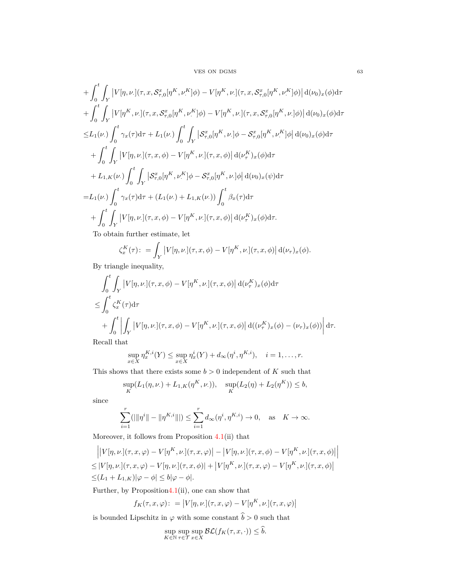### VES ON DGMS 63

$$
+ \int_{0}^{t} \int_{Y} |V[\eta, \nu, ](\tau, x, S_{\tau,0}^{x}[\eta^{K}, \nu^{K}]\phi) - V[\eta^{K}, \nu, ](\tau, x, S_{\tau,0}^{x}[\eta^{K}, \nu^{K}]\phi) | d(\nu_{0})_{x}(\phi) d\tau + \int_{0}^{t} \int_{Y} |V[\eta^{K}, \nu, ](\tau, x, S_{\tau,0}^{x}[\eta^{K}, \nu^{K}]\phi) - V[\eta^{K}, \nu, ](\tau, x, S_{\tau,0}^{x}[\eta^{K}, \nu, ]\phi) | d(\nu_{0})_{x}(\phi) d\tau \leq L_{1}(\nu, ) \int_{0}^{t} \gamma_{x}(\tau) d\tau + L_{1}(\nu, ) \int_{0}^{t} \int_{Y} |S_{\tau,0}^{x}[\eta^{K}, \nu, ]\phi - S_{\tau,0}^{x}[\eta^{K}, \nu^{K}]\phi | d(\nu_{0})_{x}(\phi) d\tau + \int_{0}^{t} \int_{Y} |V[\eta, \nu, ](\tau, x, \phi) - V[\eta^{K}, \nu, ](\tau, x, \phi) | d(\nu^{K}_{\tau})_{x}(\phi) d\tau + L_{1,K}(\nu, ) \int_{0}^{t} \int_{Y} |S_{\tau,0}^{x}[\eta^{K}, \nu^{K}]\phi - S_{\tau,0}^{x}[\eta^{K}, \nu, ]\phi | d(\nu_{0})_{x}(\psi) d\tau = L_{1}(\nu, ) \int_{0}^{t} \gamma_{x}(\tau) d\tau + (L_{1}(\nu, ) + L_{1,K}(\nu, ) ) \int_{0}^{t} \beta_{x}(\tau) d\tau + \int_{0}^{t} \int_{Y} |V[\eta, \nu, ](\tau, x, \phi) - V[\eta^{K}, \nu, ](\tau, x, \phi) | d(\nu^{K}_{\tau})_{x}(\phi) d\tau.
$$
  
To obtain further estimates let

To obtain further estimate, let

$$
\zeta_x^K(\tau) := \int_Y \left| V[\eta, \nu] (\tau, x, \phi) - V[\eta^K, \nu] (\tau, x, \phi) \right| d(\nu_\tau)_x(\phi).
$$

By triangle inequality,

$$
\int_0^t \int_Y |V[\eta, \nu.](\tau, x, \phi) - V[\eta^K, \nu.](\tau, x, \phi)| d(\nu_\tau^K)_x(\phi) d\tau
$$
  
\n
$$
\leq \int_0^t \zeta_x^K(\tau) d\tau
$$
  
\n
$$
+ \int_0^t \left| \int_Y |V[\eta, \nu.](\tau, x, \phi) - V[\eta^K, \nu.](\tau, x, \phi) \right| d((\nu_\tau^K)_x(\phi) - (\nu_\tau)_x(\phi)) \right| d\tau.
$$
  
\n**Example 11.1**

Recall that

$$
\sup_{x \in X} \eta_x^{K,i}(Y) \le \sup_{x \in X} \eta_x^i(Y) + d_{\infty}(\eta^i, \eta^{K,i}), \quad i = 1, \dots, r.
$$

This shows that there exists some  $b > 0$  independent of  $K$  such that

$$
\sup_K(L_1(\eta,\nu_+) + L_{1,K}(\eta^K,\nu_*)), \quad \sup_K(L_2(\eta) + L_2(\eta^K)) \le b,
$$

since

$$
\sum_{i=1}^{r} (|||\eta^{i}|| - ||\eta^{K,i}||) \le \sum_{i=1}^{r} d_{\infty}(\eta^{i}, \eta^{K,i}) \to 0, \text{ as } K \to \infty.
$$

Moreover, it follows from Proposition [4.1\(](#page-23-2)ii) that

$$
\left| |V[\eta, \nu.](\tau, x, \varphi) - V[\eta^K, \nu.](\tau, x, \varphi) - |V[\eta, \nu.](\tau, x, \phi) - V[\eta^K, \nu.](\tau, x, \phi) \right|
$$
  
\n
$$
\leq |V[\eta, \nu.](\tau, x, \varphi) - V[\eta, \nu.](\tau, x, \phi)| + |V[\eta^K, \nu.](\tau, x, \varphi) - V[\eta^K, \nu.](\tau, x, \phi)|
$$
  
\n
$$
\leq (L_1 + L_{1,K})|\varphi - \phi| \leq b|\varphi - \phi|.
$$

Further, by Propositio[n4.1\(](#page-23-2)ii), one can show that

$$
f_K(\tau, x, \varphi) : = |V[\eta, \nu] (\tau, x, \varphi) - V[\eta^K, \nu] (\tau, x, \varphi)|
$$

is bounded Lipschitz in  $\varphi$  with some constant  $\hat{b} > 0$  such that

$$
\sup_{K \in \mathbb{N}} \sup_{\tau \in \mathcal{T}} \sup_{x \in X} \mathcal{BL}(f_K(\tau, x, \cdot)) \le \tilde{b}.
$$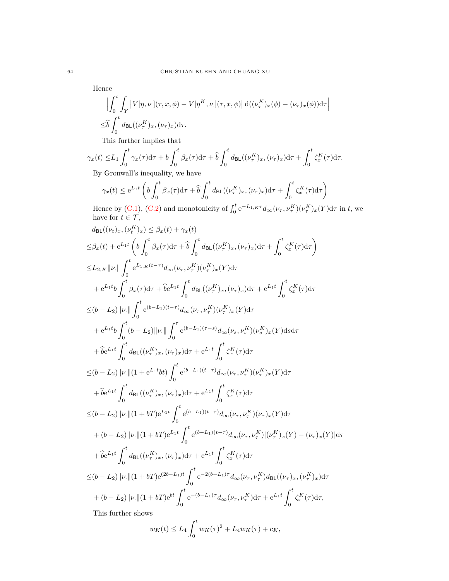Hence

$$
\left| \int_0^t \int_Y |V[\eta, \nu.](\tau, x, \phi) - V[\eta^K, \nu.](\tau, x, \phi) \right| d((\nu_\tau^K)_x(\phi) - (\nu_\tau)_x(\phi)) d\tau \right|
$$
  

$$
\leq \hat{b} \int_0^t d_{\text{BL}}((\nu_\tau^K)_x, (\nu_\tau)_x) d\tau.
$$

This further implies that

$$
\gamma_x(t) \le L_1 \int_0^t \gamma_x(\tau) d\tau + b \int_0^t \beta_x(\tau) d\tau + \hat{b} \int_0^t d_{\text{BL}}((\nu_\tau^K)_x, (\nu_\tau)_x) d\tau + \int_0^t \zeta_x^K(\tau) d\tau.
$$
  
By Cromville inequality, we have

By Gronwall's inequality, we have

$$
\gamma_x(t) \le e^{L_1 t} \left( b \int_0^t \beta_x(\tau) d\tau + \hat{b} \int_0^t d_{\text{BL}}((\nu_\tau^K)_x, (\nu_\tau)_x) d\tau + \int_0^t \zeta_x^K(\tau) d\tau \right)
$$

Hence by [\(C.1\)](#page-61-0), [\(C.2\)](#page-61-1) and monotonicity of  $\int_0^t e^{-L_{1,K}\tau} d_{\infty}(\nu_{\tau}, \nu_{\tau}^K)(\nu_{\tau}^K)_x(Y) d\tau$  in *t*, we have for  $t \in \mathcal{T}$ ,

$$
d_{BL}((\nu_t)_x, (\nu_t^K)_x) \leq \beta_x(t) + \gamma_x(t)
$$
  
\n
$$
\leq \beta_x(t) + e^{L_1t} \left( b \int_0^t \beta_x(\tau) d\tau + \hat{b} \int_0^t d_{BL}((\nu_t^K)_x, (\nu_\tau)_x) d\tau + \int_0^t \zeta_x^K(\tau) d\tau \right)
$$
  
\n
$$
\leq L_{2,K} ||\nu|| \int_0^t e^{L_{1,K}(t-\tau)} d_{\infty}(\nu_\tau, \nu_\tau^K)(\nu_\tau^K)_x(Y) d\tau
$$
  
\n
$$
+ e^{L_1t} b \int_0^t \beta_x(\tau) d\tau + \hat{b} e^{L_1t} \int_0^t d_{BL}((\nu_\tau^K)_x, (\nu_\tau)_x) d\tau + e^{L_1t} \int_0^t \zeta_x^K(\tau) d\tau
$$
  
\n
$$
\leq (b - L_2) ||\nu|| \int_0^t e^{(b - L_1)(t-\tau)} d_{\infty}(\nu_\tau, \nu_\tau^K)(\nu_\tau^K)_x(Y) d\tau
$$
  
\n
$$
+ e^{L_1t} b \int_0^t (b - L_2) ||\nu|| \int_0^\tau e^{(b - L_1)(\tau - s)} d_{\infty}(\nu_s, \nu_s^K)(\nu_s^K)_x(Y) ds d\tau
$$
  
\n
$$
+ \hat{b} e^{L_1t} \int_0^t d_{BL}((\nu_\tau^K)_x, (\nu_\tau)_x) d\tau + e^{L_1t} \int_0^t \zeta_x^K(\tau) d\tau
$$
  
\n
$$
\leq (b - L_2) ||\nu|| (1 + e^{L_1t} b t) \int_0^t e^{(b - L_1)(t-\tau)} d_{\infty}(\nu_\tau, \nu_\tau^K)(\nu_\tau^K)_x(Y) d\tau
$$
  
\n
$$
+ \hat{b} e^{L_1t} \int_0^t d_{BL}((\nu_\tau^K)_x, (\nu_\tau)_x) d\tau + e^{L_1t} \int_0^t \zeta_x^K(\tau) d\tau
$$
  
\n
$$
\leq (b - L_2) ||\nu|| (1 + bT) e^{L_1t} \int_0^t e^{(b - L_1)(t
$$

This further shows

$$
w_K(t) \le L_4 \int_0^t w_K(\tau)^2 + L_4 w_K(\tau) + c_K,
$$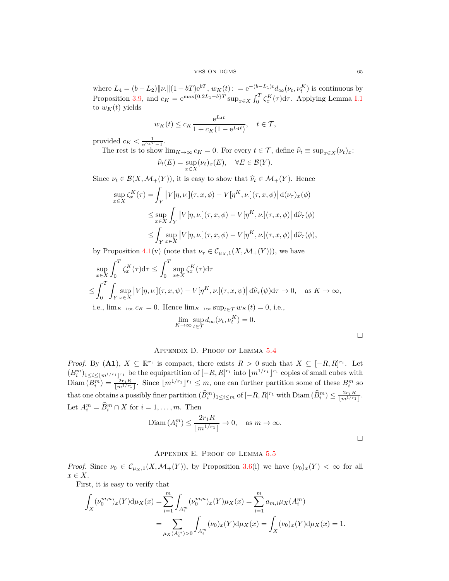where  $L_4 = (b - L_2) ||\nu|| (1 + bT) e^{bT}, w_K(t) := e^{-(b - L_1)t} d_{\infty}(\nu_t, \nu_t^K)$  is continuous by Proposition [3.9,](#page-18-0) and  $c_K = e^{\max\{0, 2L_1 - b\}T} \sup_{x \in X} \int_0^T \zeta_x^K(\tau) d\tau$ . Applying Lemma [I.1](#page-67-2) to  $w_K(t)$  yields

$$
w_K(t) \le c_K \frac{e^{L_4 t}}{1 + c_K (1 - e^{L_4 t})}, \quad t \in \mathcal{T},
$$

provided  $c_K < \frac{1}{e^{L_4 T} - 1}$ .

The rest is to show  $\lim_{K\to\infty} c_K = 0$ . For every  $t \in \mathcal{T}$ , define  $\hat{\nu}_t \equiv \sup_{x \in X} (\nu_t)_x$ :

$$
\widehat{\nu}_t(E) = \sup_{x \in X} (\nu_t)_x(E), \quad \forall E \in \mathcal{B}(Y).
$$

Since  $\nu_t \in \mathcal{B}(X, \mathcal{M}_+(Y))$ , it is easy to show that  $\hat{\nu}_t \in \mathcal{M}_+(Y)$ . Hence

$$
\sup_{x \in X} \zeta_x^K(\tau) = \int_Y |V[\eta, \nu.](\tau, x, \phi) - V[\eta^K, \nu.](\tau, x, \phi)| d(\nu_\tau)_x(\phi)
$$
  

$$
\leq \sup_{x \in X} \int_Y |V[\eta, \nu.](\tau, x, \phi) - V[\eta^K, \nu.](\tau, x, \phi)| d\widehat{\nu}_\tau(\phi)
$$
  

$$
\leq \int_Y \sup_{x \in X} |V[\eta, \nu.](\tau, x, \phi) - V[\eta^K, \nu.](\tau, x, \phi)| d\widehat{\nu}_\tau(\phi),
$$

by Proposition [4.1\(](#page-23-2)v) (note that  $\nu_{\tau} \in C_{\mu_X,1}(X, \mathcal{M}_+(Y))$ ), we have

$$
\sup_{x \in X} \int_0^T \zeta_x^K(\tau) d\tau \le \int_0^T \sup_{x \in X} \zeta_x^K(\tau) d\tau
$$
  
\n
$$
\le \int_0^T \int_Y \sup_{x \in X} |V[\eta, \nu.](\tau, x, \psi) - V[\eta^K, \nu.](\tau, x, \psi)| d\hat{\nu}_\tau(\psi) d\tau \to 0, \text{ as } K \to \infty,
$$
  
\ni.e.,  $\lim_{K \to \infty} c_K = 0$ . Hence  $\lim_{K \to \infty} \sup_{t \in \tau} w_K(t) = 0$ , i.e.,

i.e.,  $\lim_{K \to \infty} c_K = 0$ . Hence  $\lim_{K \to \infty} \sup_{t \in \mathcal{T}} w_K(t) = 0$ , i.e.,  $\epsilon$ <sup>*v*</sup> $\sim$ *N*<sup> $\sim$ </sup><sup>*v*</sup>

$$
\lim_{K \to \infty} \sup_{t \in \mathcal{T}} d_{\infty}(\nu_t, \nu_t^K) = 0.
$$

# Appendix D. Proof of Lemma [5.4](#page-27-0)

<span id="page-64-0"></span>*Proof.* By  $(A1)$ ,  $X \subseteq \mathbb{R}^{r_1}$  is compact, there exists  $R > 0$  such that  $X \subseteq [-R, R]^{r_1}$ . Let  $(B_i^m)_{1 \leq i \leq \lfloor m^{1/r_1} \rfloor^{r_1}}$  be the equipartition of  $[-R, R]^{r_1}$  into  $\lfloor m^{1/r_1} \rfloor^{r_1}$  copies of small cubes with  $\text{Diam}(B_i^m) = \frac{2r_1R}{\lfloor m^{1/r_1} \rfloor}$ . Since  $\lfloor m^{1/r_1} \rfloor^{r_1} \leq m$ , one can further partition some of these  $B_i^m$  so that one obtains a possibly finer partition  $(\widehat{B}_i^m)_{1 \le i \le m}$  of  $[-R, R]^{r_1}$  with  $\text{Diam}(\widehat{B}_i^m) \le \frac{2r_1 R}{\lfloor m^{1/r_1} \rfloor}$ . Let  $A_i^m = \widehat{B}_i^m \cap X$  for  $i = 1, \ldots, m$ . Then

$$
\text{Diam}\,(A_i^m) \le \frac{2r_1R}{\lfloor m^{1/r_1} \rfloor} \to 0, \quad \text{as } m \to \infty.
$$

# Appendix E. Proof of Lemma [5.5](#page-27-1)

<span id="page-64-1"></span>*Proof.* Since  $\nu_0 \in C_{\mu_X,1}(X, \mathcal{M}_+(Y))$ , by Proposition [3.6\(](#page-17-0)i) we have  $(\nu_0)_x(Y) < \infty$  for all *x* ∈ *X*.

First, it is easy to verify that

$$
\int_{X} (\nu_0^{m,n})_x(Y) d\mu_X(x) = \sum_{i=1}^m \int_{A_i^m} (\nu_0^{m,n})_x(Y) \mu_X(x) = \sum_{i=1}^m a_{m,i} \mu_X(A_i^m)
$$
  
= 
$$
\sum_{\mu_X(A_i^m) > 0} \int_{A_i^m} (\nu_0)_x(Y) d\mu_X(x) = \int_X (\nu_0)_x(Y) d\mu_X(x) = 1.
$$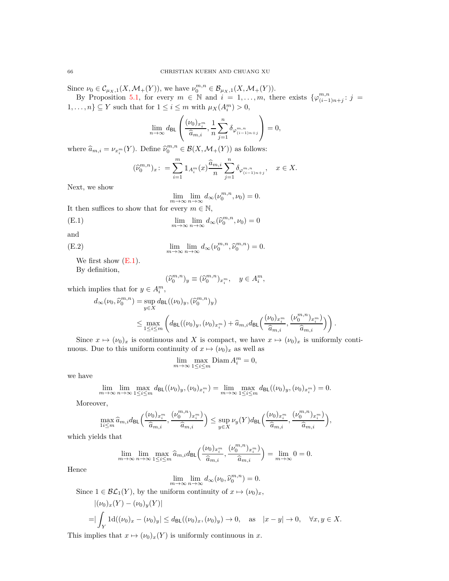Since  $\nu_0 \in C_{\mu_X,1}(X, \mathcal{M}_+(Y)),$  we have  $\nu_0^{m,n} \in \mathcal{B}_{\mu_X,1}(X, \mathcal{M}_+(Y)).$ 

By Proposition [5.1,](#page-26-2) for every  $m \in \mathbb{N}$  and  $i = 1, \ldots, m$ , there exists  $\{\varphi_{(i-1)}^{m,n}\}$  $\binom{m,n}{(i-1)n+j}$ :  $j =$ 1,...,  $n$ }  $\subseteq Y$  such that for  $1 \leq i \leq m$  with  $\mu_X(A_i^m) > 0$ ,

$$
\lim_{n \to \infty} d_{\text{BL}}\left(\frac{(\nu_0)_{x_i^m}}{\widehat{a}_{m,i}}, \frac{1}{n} \sum_{j=1}^n \delta_{\varphi_{(i-1)n+j}^{m,n}}\right) = 0,
$$

where  $\widehat{a}_{m,i} = \nu_{x_i^m}(Y)$ . Define  $\widehat{\nu}_0^{m,n} \in \mathcal{B}(X, \mathcal{M}_+(Y))$  as follows:

$$
(\widehat{\nu}_{0}^{m,n})_{x} : = \sum_{i=1}^{m} \mathbbm{1}_{A_{i}^{m}}(x) \frac{\widehat{a}_{m,i}}{n} \sum_{j=1}^{n} \delta_{\varphi_{(i-1)n+j}^{m,n}}, \quad x \in X.
$$

Next, we show

<span id="page-65-0"></span>
$$
\lim_{m \to \infty} \lim_{n \to \infty} d_{\infty}(\nu_0^{m,n}, \nu_0) = 0.
$$

It then suffices to show that for every  $m \in \mathbb{N}$ ,

(E.1) 
$$
\lim_{m \to \infty} \lim_{n \to \infty} d_{\infty}(\widehat{\nu}_0^{m,n}, \nu_0) = 0
$$

and

(E.2) 
$$
\lim_{m \to \infty} \lim_{n \to \infty} d_{\infty}(\nu_0^{m,n}, \widehat{\nu}_0^{m,n}) = 0.
$$

We first show  $(E.1)$ .

By definition,

<span id="page-65-1"></span>
$$
(\widehat{\nu}_0^{m,n})_y \equiv (\widehat{\nu}_0^{m,n})_{x_i^m}, \quad y \in A_i^m,
$$

which implies that for  $y \in A_i^m$ ,

$$
d_{\infty}(\nu_0, \widehat{\nu}_0^{m,n}) = \sup_{y \in X} d_{\text{BL}}((\nu_0)_y, (\widehat{\nu}_0^{m,n})_y)
$$
  

$$
\leq \max_{1 \leq i \leq m} \left( d_{\text{BL}}((\nu_0)_y, (\nu_0)_{x_i^m}) + \widehat{a}_{m,i} d_{\text{BL}}\left(\frac{(\nu_0)_{x_i^m}}{\widehat{a}_{m,i}}, \frac{(\nu_0^{m,n})_{x_i^m}}{\widehat{a}_{m,i}}\right) \right)
$$

*.*

*,*

Since  $x \mapsto (\nu_0)_x$  is continuous and *X* is compact, we have  $x \mapsto (\nu_0)_x$  is uniformly continuous. Due to this uniform continuity of  $x \mapsto (\nu_0)_x$  as well as

$$
\lim_{m \to \infty} \max_{1 \le i \le m} \text{Diam } A_i^m = 0,
$$

we have

$$
\lim_{m \to \infty} \lim_{n \to \infty} \max_{1 \leq i \leq m} d_{\text{BL}}((\nu_0)_y, (\nu_0)_{x_i^m}) = \lim_{m \to \infty} \max_{1 \leq i \leq m} d_{\text{BL}}((\nu_0)_y, (\nu_0)_{x_i^m}) = 0.
$$

Moreover,

$$
\max_{1i\leq m}\widehat{a}_{m,i}d_{\text{BL}}\left(\frac{(\nu_0)_{x_i^m}}{\widehat{a}_{m,i}},\frac{(\nu_0^{m,n})_{x_i^m}}{\widehat{a}_{m,i}}\right)\leq \sup_{y\in X}\nu_y(Y)d_{\text{BL}}\left(\frac{(\nu_0)_{x_i^m}}{\widehat{a}_{m,i}},\frac{(\nu_0^{m,n})_{x_i^m}}{\widehat{a}_{m,i}}\right)
$$

which yields that

$$
\lim_{m \to \infty} \lim_{n \to \infty} \max_{1 \le i \le m} \widehat{a}_{m,i} d_{\text{BL}} \left( \frac{(\nu_0)_{x_i^m}}{\widehat{a}_{m,i}}, \frac{(\nu_0^{m,n})_{x_i^m}}{\widehat{a}_{m,i}} \right) = \lim_{m \to \infty} 0 = 0.
$$

Hence

$$
\lim_{m \to \infty} \lim_{n \to \infty} d_{\infty}(\nu_0, \widehat{\nu}_0^{m,n}) = 0.
$$

Since  $1 \in \mathcal{BL}_1(Y)$ , by the uniform continuity of  $x \mapsto (\nu_0)_x$ ,

$$
\begin{aligned} & |(\nu_0)_x(Y) - (\nu_0)_y(Y)| \\ &= | \int_Y 1 \mathrm{d}((\nu_0)_x - (\nu_0)_y| \le d_{\mathsf{BL}}((\nu_0)_x, (\nu_0)_y) \to 0, \quad \text{as} \quad |x - y| \to 0, \quad \forall x, y \in X. \end{aligned}
$$

This implies that  $x \mapsto (\nu_0)_x(Y)$  is uniformly continuous in *x*.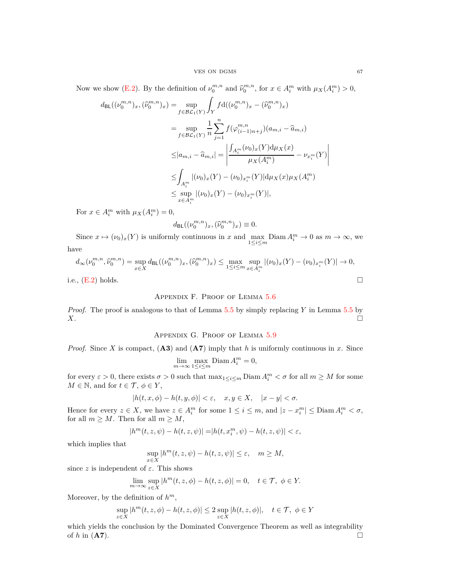Now we show [\(E.2\)](#page-65-1). By the definition of  $\nu_0^{m,n}$  and  $\hat{\nu}_0^{m,n}$ , for  $x \in A_i^m$  with  $\mu_X(A_i^m) > 0$ ,

$$
d_{\text{BL}}((\nu_0^{m,n})_x, (\widehat{\nu}_0^{m,n})_x) = \sup_{f \in \mathcal{BL}_1(Y)} \int_Y f d((\nu_0^{m,n})_x - (\widehat{\nu}_0^{m,n})_x)
$$
  
\n
$$
= \sup_{f \in \mathcal{BL}_1(Y)} \frac{1}{n} \sum_{j=1}^n f(\varphi_{(i-1)n+j}^{m,n})(a_{m,i} - \widehat{a}_{m,i})
$$
  
\n
$$
\leq |a_{m,i} - \widehat{a}_{m,i}| = \left| \frac{\int_{A_i^m} (\nu_0)_x(Y) d\mu_X(x)}{\mu_X(A_i^m)} - \nu_{x_i^m}(Y) \right|
$$
  
\n
$$
\leq \int_{A_i^m} |(\nu_0)_x(Y) - (\nu_0)_{x_i^m}(Y)| d\mu_X(x) \mu_X(A_i^m)
$$
  
\n
$$
\leq \sup_{x \in A_i^m} |(\nu_0)_x(Y) - (\nu_0)_{x_i^m}(Y)|,
$$

For  $x \in A_i^m$  with  $\mu_X(A_i^m) = 0$ ,

$$
d_{\mathsf{BL}}((\nu_0^{m,n})_x,(\widehat{\nu}_0^{m,n})_x)\equiv 0.
$$

Since  $x \mapsto (\nu_0)_x(Y)$  is uniformly continuous in *x* and  $\max_{1 \le i \le m} \text{Diam } A_i^m \to 0$  as  $m \to \infty$ , we have

$$
d_{\infty}(\nu_0^{m,n}, \widehat{\nu}_0^{m,n}) = \sup_{x \in X} d_{\text{BL}}((\nu_0^{m,n})_x, (\widehat{\nu}_0^{m,n})_x) \le \max_{1 \le i \le m} \sup_{x \in A_i^m} |(\nu_0)_x(Y) - (\nu_0)_{x_i^m}(Y)| \to 0,
$$

<span id="page-66-0"></span>i.e.,  $(E.2)$  holds.

## Appendix F. Proof of Lemma [5.6](#page-27-2)

<span id="page-66-1"></span>*Proof.* The proof is analogous to that of Lemma [5.5](#page-27-1) by simply replacing *Y* in Lemma [5.5](#page-27-1) by *X*.

# Appendix G. Proof of Lemma [5.9](#page-29-0)

*Proof.* Since *X* is compact, (**A3**) and (**A7**) imply that *h* is uniformly continuous in *x*. Since

$$
\lim_{m \to \infty} \max_{1 \le i \le m} \text{Diam } A_i^m = 0,
$$

for every  $\varepsilon > 0$ , there exists  $\sigma > 0$  such that  $\max_{1 \leq i \leq m} \text{Diam } A_i^m < \sigma$  for all  $m \geq M$  for some  $M \in \mathbb{N}$ , and for  $t \in \mathcal{T}, \phi \in Y$ ,

$$
|h(t, x, \phi) - h(t, y, \phi)| < \varepsilon, \quad x, y \in X, \quad |x - y| < \sigma.
$$

Hence for every  $z \in X$ , we have  $z \in A_i^m$  for some  $1 \le i \le m$ , and  $|z - x_i^m| \le \text{Diam } A_i^m < \sigma$ , for all  $m \geq M$ . Then for all  $m \geq M$ ,

$$
|h^m(t,z,\psi)-h(t,z,\psi)|=|h(t,x_i^m,\psi)-h(t,z,\psi)|<\varepsilon,
$$

which implies that

$$
\sup_{x \in X} |h^m(t, z, \psi) - h(t, z, \psi)| \le \varepsilon, \quad m \ge M,
$$

since  $z$  is independent of  $\varepsilon$ . This shows

$$
\lim_{m \to \infty} \sup_{z \in X} |h^m(t, z, \phi) - h(t, z, \phi)| = 0, \quad t \in \mathcal{T}, \ \phi \in Y.
$$

Moreover, by the definition of *h m*,

$$
\sup_{z \in X} |h^m(t, z, \phi) - h(t, z, \phi)| \le 2 \sup_{z \in X} |h(t, z, \phi)|, \quad t \in \mathcal{T}, \ \phi \in Y
$$

which yields the conclusion by the Dominated Convergence Theorem as well as integrability of  $h$  in ( $\mathbf{A7}$ ).